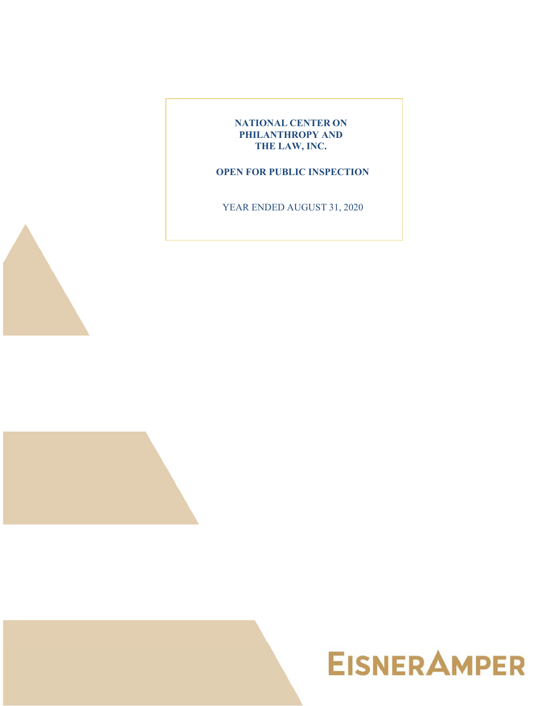

## **OPEN FOR PUBLIC INSPECTION**

YEAR ENDED AUGUST 31, 2020



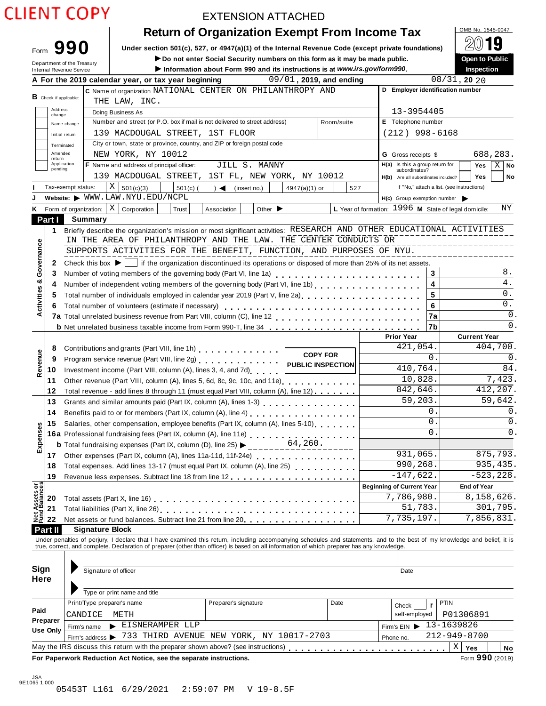|  | <b>CLIENT COPY</b> |  |
|--|--------------------|--|
|  |                    |  |

## EXTENSION ATTACHED

| <b>Return of Organization Exempt From Income Tax</b> | OMB No. 1545-0047   |
|------------------------------------------------------|---------------------|
|                                                      | $\bigcap$ $\bigcap$ |

Form **990 Under section 501(c), 527, or 4947(a)(1) of the Internal Revenue Code (except private foundations)<br>
<b>Department of the Treasury Proper to Public**<br> **Department of the Treasury Proper to Public**<br> **Department Sev** Do not enter Social Security numbers on this form as it may be made public.

| ∶ maue public. |                 | <b>OPEN TO FU</b> |
|----------------|-----------------|-------------------|
| gov/form990.   |                 | Inspection        |
|                | $00/21$ 20 $00$ |                   |

|               |                               | Department of the Treasury<br>Internal Revenue Service |                                                                                                                                                    |                               | ► Do not enter Social Security numbers on this form as it may be made public.<br>Information about Form 990 and its instructions is at www.irs.gov/form990.                                                                    |                                                                                                                                                                |                             |               |                         |                                                        |                            |                                            | <b>Open to Public</b><br>Inspection |                      |  |
|---------------|-------------------------------|--------------------------------------------------------|----------------------------------------------------------------------------------------------------------------------------------------------------|-------------------------------|--------------------------------------------------------------------------------------------------------------------------------------------------------------------------------------------------------------------------------|----------------------------------------------------------------------------------------------------------------------------------------------------------------|-----------------------------|---------------|-------------------------|--------------------------------------------------------|----------------------------|--------------------------------------------|-------------------------------------|----------------------|--|
|               |                               |                                                        |                                                                                                                                                    |                               | A For the 2019 calendar year, or tax year beginning                                                                                                                                                                            |                                                                                                                                                                |                             |               | 09/01, 2019, and ending |                                                        |                            | $08/31$ , 20 20                            |                                     |                      |  |
|               |                               |                                                        |                                                                                                                                                    |                               | C Name of organization NATIONAL CENTER ON PHILANTHROPY AND                                                                                                                                                                     |                                                                                                                                                                |                             |               |                         |                                                        |                            | D Employer identification number           |                                     |                      |  |
|               | <b>B</b> Check if applicable: |                                                        |                                                                                                                                                    | THE LAW, INC.                 |                                                                                                                                                                                                                                |                                                                                                                                                                |                             |               |                         |                                                        |                            |                                            |                                     |                      |  |
|               | Address<br>change             | Doing Business As                                      |                                                                                                                                                    |                               |                                                                                                                                                                                                                                |                                                                                                                                                                |                             |               |                         |                                                        | 13-3954405                 |                                            |                                     |                      |  |
|               |                               | Name change                                            |                                                                                                                                                    |                               | Number and street (or P.O. box if mail is not delivered to street address)                                                                                                                                                     |                                                                                                                                                                |                             |               | Room/suite              |                                                        | E Telephone number         |                                            |                                     |                      |  |
|               |                               | Initial return                                         |                                                                                                                                                    |                               | 139 MACDOUGAL STREET, 1ST FLOOR                                                                                                                                                                                                |                                                                                                                                                                |                             |               |                         |                                                        |                            | $(212)$ 998-6168                           |                                     |                      |  |
|               | Terminated                    |                                                        |                                                                                                                                                    |                               | City or town, state or province, country, and ZIP or foreign postal code                                                                                                                                                       |                                                                                                                                                                |                             |               |                         |                                                        |                            |                                            |                                     |                      |  |
|               | Amended                       |                                                        |                                                                                                                                                    | NEW YORK, NY 10012            |                                                                                                                                                                                                                                |                                                                                                                                                                |                             |               |                         |                                                        | <b>G</b> Gross receipts \$ |                                            |                                     | 688,283.             |  |
|               | return                        | Application                                            |                                                                                                                                                    |                               | F Name and address of principal officer:                                                                                                                                                                                       |                                                                                                                                                                | JILL S. MANNY               |               |                         |                                                        |                            | H(a) Is this a group return for            | Yes                                 | $X \mid$ No          |  |
|               | pending                       |                                                        |                                                                                                                                                    |                               | 139 MACDOUGAL STREET, 1ST FL, NEW YORK, NY 10012                                                                                                                                                                               |                                                                                                                                                                |                             |               |                         |                                                        | subordinates?              |                                            |                                     |                      |  |
|               |                               |                                                        |                                                                                                                                                    |                               |                                                                                                                                                                                                                                |                                                                                                                                                                |                             |               |                         |                                                        |                            | H(b) Are all subordinates included?        | <b>Yes</b>                          | No                   |  |
|               |                               | Tax-exempt status:                                     |                                                                                                                                                    | Χ<br>501(c)(3)                | $501(c)$ (                                                                                                                                                                                                                     | $\rightarrow$ $\blacktriangleleft$                                                                                                                             | (insert no.)                | 4947(a)(1) or | 527                     |                                                        |                            | If "No," attach a list. (see instructions) |                                     |                      |  |
|               |                               |                                                        |                                                                                                                                                    | Website: WWW.LAW.NYU.EDU/NCPL |                                                                                                                                                                                                                                |                                                                                                                                                                |                             |               |                         |                                                        |                            | $H(c)$ Group exemption number              |                                     |                      |  |
| K.            |                               | Form of organization:                                  |                                                                                                                                                    | X   Corporation               | Trust                                                                                                                                                                                                                          | Association                                                                                                                                                    | Other $\blacktriangleright$ |               |                         | L Year of formation: $1996$ M State of legal domicile: |                            |                                            |                                     | ΝY                   |  |
|               | Part I                        | Summary                                                |                                                                                                                                                    |                               |                                                                                                                                                                                                                                |                                                                                                                                                                |                             |               |                         |                                                        |                            |                                            |                                     |                      |  |
|               | 1                             |                                                        |                                                                                                                                                    |                               | Briefly describe the organization's mission or most significant activities: RESEARCH AND OTHER EDUCATIONAL ACTIVITIES                                                                                                          |                                                                                                                                                                |                             |               |                         |                                                        |                            |                                            |                                     |                      |  |
|               |                               |                                                        |                                                                                                                                                    |                               | IN THE AREA OF PHILANTHROPY AND THE LAW. THE CENTER CONDUCTS OR                                                                                                                                                                |                                                                                                                                                                |                             |               |                         |                                                        |                            |                                            |                                     |                      |  |
| Governance    |                               |                                                        |                                                                                                                                                    |                               | SUPPORTS ACTIVITIES FOR THE BENEFIT, FUNCTION, AND PURPOSES OF NYU.                                                                                                                                                            |                                                                                                                                                                |                             |               |                         |                                                        |                            |                                            |                                     |                      |  |
|               | 2                             |                                                        |                                                                                                                                                    |                               | Check this box $\blacktriangleright$   if the organization discontinued its operations or disposed of more than 25% of its net assets.                                                                                         |                                                                                                                                                                |                             |               |                         |                                                        |                            |                                            |                                     |                      |  |
|               | 3                             |                                                        |                                                                                                                                                    |                               | Number of voting members of the governing body (Part VI, line 1a)<br>                                                                                                                                                          |                                                                                                                                                                |                             |               |                         |                                                        |                            | 3                                          |                                     | 8.                   |  |
|               | 4                             |                                                        |                                                                                                                                                    |                               | Number of independent voting members of the governing body (Part VI, line 1b)                                                                                                                                                  |                                                                                                                                                                |                             |               |                         |                                                        |                            | 4                                          |                                     | $4$ .                |  |
|               | 5                             |                                                        |                                                                                                                                                    |                               | Total number of individuals employed in calendar year 2019 (Part V, line 2a)<br>The 2a)                                                                                                                                        |                                                                                                                                                                |                             |               |                         |                                                        |                            | 5                                          |                                     | 0.                   |  |
| Activities &  | 6                             |                                                        |                                                                                                                                                    |                               | Total number of volunteers (estimate if necessary)                                                                                                                                                                             |                                                                                                                                                                |                             |               |                         |                                                        |                            | 6                                          |                                     | $0$ .                |  |
|               |                               |                                                        |                                                                                                                                                    |                               |                                                                                                                                                                                                                                |                                                                                                                                                                |                             |               |                         |                                                        |                            | 7a                                         |                                     | 0.                   |  |
|               |                               |                                                        |                                                                                                                                                    |                               | <b>b</b> Net unrelated business taxable income from Form 990-T, line 34                                                                                                                                                        |                                                                                                                                                                |                             |               |                         |                                                        |                            | 7b                                         |                                     | 0.                   |  |
|               |                               |                                                        |                                                                                                                                                    |                               |                                                                                                                                                                                                                                |                                                                                                                                                                |                             |               |                         |                                                        | <b>Prior Year</b>          |                                            | <b>Current Year</b>                 |                      |  |
|               | 8                             |                                                        |                                                                                                                                                    |                               | Contributions and grants (Part VIII, line 1h) [19] Contributions and grants (Part VIII, line 1h)                                                                                                                               |                                                                                                                                                                |                             |               |                         |                                                        | 421,054.                   |                                            |                                     | 404,700.             |  |
|               | 9                             |                                                        |                                                                                                                                                    |                               | Program service revenue (Part VIII, line 2g)                                                                                                                                                                                   |                                                                                                                                                                |                             |               | <b>COPY FOR</b>         |                                                        |                            | 0.                                         |                                     | 0.                   |  |
| Revenue       | 10                            |                                                        |                                                                                                                                                    |                               | Investment income (Part VIII, column (A), lines 3, 4, and 7d)                                                                                                                                                                  |                                                                                                                                                                |                             |               | PUBLIC INSPECTION       |                                                        | 410,764.                   |                                            |                                     | 84.                  |  |
|               |                               |                                                        |                                                                                                                                                    |                               |                                                                                                                                                                                                                                |                                                                                                                                                                |                             |               |                         |                                                        | 10,828.                    |                                            | 7,423.                              |                      |  |
|               | 11                            |                                                        |                                                                                                                                                    |                               |                                                                                                                                                                                                                                | Other revenue (Part VIII, column (A), lines 5, 6d, 8c, 9c, 10c, and 11e)<br>Total revenue - add lines 8 through 11 (must equal Part VIII, column (A), line 12) |                             |               |                         |                                                        |                            |                                            | 412,207.                            |                      |  |
|               | 12                            |                                                        |                                                                                                                                                    |                               |                                                                                                                                                                                                                                |                                                                                                                                                                |                             |               |                         |                                                        | 842,646.<br>59,203.        |                                            |                                     | 59,642.              |  |
|               | 13                            |                                                        |                                                                                                                                                    |                               | Grants and similar amounts paid (Part IX, column (A), lines 1-3) [10] Canada and similar amounts and similar and $($                                                                                                           |                                                                                                                                                                |                             |               |                         |                                                        |                            | 0.                                         |                                     | 0.                   |  |
|               | 14                            |                                                        | Benefits paid to or for members (Part IX, column (A), line 4)<br>Salaries, other compensation, employee benefits (Part IX, column (A), lines 5-10) |                               |                                                                                                                                                                                                                                |                                                                                                                                                                |                             |               |                         |                                                        |                            | $\mathbf{0}$ .                             |                                     |                      |  |
|               | 15                            |                                                        |                                                                                                                                                    |                               |                                                                                                                                                                                                                                |                                                                                                                                                                |                             |               |                         |                                                        |                            | $\Omega$                                   |                                     | 0.<br>$\mathbf{0}$ . |  |
| Expenses      |                               |                                                        |                                                                                                                                                    |                               | 16a Professional fundraising fees (Part IX, column (A), line 11e)<br>16a Professional fundraising fees (Part IX, column (A), line 11e)                                                                                         |                                                                                                                                                                |                             |               |                         |                                                        |                            |                                            |                                     |                      |  |
|               |                               |                                                        |                                                                                                                                                    |                               | <b>b</b> Total fundraising expenses (Part IX, column (D), line 25) $\blacktriangleright$ ______                                                                                                                                |                                                                                                                                                                |                             | 64,260.       |                         |                                                        |                            |                                            |                                     |                      |  |
|               |                               |                                                        |                                                                                                                                                    |                               | 17 Other expenses (Part IX, column (A), lines 11a-11d, 11f-24e)                                                                                                                                                                |                                                                                                                                                                |                             |               |                         |                                                        | 931,065.                   |                                            |                                     | 875,793.             |  |
|               | 18                            |                                                        |                                                                                                                                                    |                               | Total expenses. Add lines 13-17 (must equal Part IX, column (A), line 25)                                                                                                                                                      |                                                                                                                                                                |                             |               |                         |                                                        | 990, 268.                  |                                            |                                     | 935, 435.            |  |
|               | 19                            |                                                        |                                                                                                                                                    |                               |                                                                                                                                                                                                                                |                                                                                                                                                                |                             |               |                         |                                                        | $-147,622.$                |                                            |                                     | $-523, 228.$         |  |
|               |                               |                                                        |                                                                                                                                                    |                               |                                                                                                                                                                                                                                |                                                                                                                                                                |                             |               |                         | <b>Beginning of Current Year</b>                       |                            |                                            | <b>End of Year</b>                  |                      |  |
| Net Assets or | 20                            |                                                        |                                                                                                                                                    |                               |                                                                                                                                                                                                                                |                                                                                                                                                                |                             |               |                         |                                                        | 7,786,980.                 |                                            | 8,158,626.                          |                      |  |
|               | 21                            |                                                        |                                                                                                                                                    |                               |                                                                                                                                                                                                                                |                                                                                                                                                                |                             |               |                         |                                                        | 51,783.                    |                                            |                                     | 301,795.             |  |
|               | 22                            |                                                        |                                                                                                                                                    |                               | Net assets or fund balances. Subtract line 21 from line 20.                                                                                                                                                                    |                                                                                                                                                                |                             |               |                         |                                                        | 7,735,197.                 |                                            | 7,856,831.                          |                      |  |
|               | Part II                       |                                                        |                                                                                                                                                    | <b>Signature Block</b>        |                                                                                                                                                                                                                                |                                                                                                                                                                |                             |               |                         |                                                        |                            |                                            |                                     |                      |  |
|               |                               |                                                        |                                                                                                                                                    |                               | Under penalties of perjury, I declare that I have examined this return, including accompanying schedules and statements, and to the best of my knowledge and belief, it is true, correct, and complete. Declaration of prepare |                                                                                                                                                                |                             |               |                         |                                                        |                            |                                            |                                     |                      |  |
|               |                               |                                                        |                                                                                                                                                    |                               |                                                                                                                                                                                                                                |                                                                                                                                                                |                             |               |                         |                                                        |                            |                                            |                                     |                      |  |
|               |                               |                                                        |                                                                                                                                                    |                               |                                                                                                                                                                                                                                |                                                                                                                                                                |                             |               |                         |                                                        |                            |                                            |                                     |                      |  |
| Sign          |                               |                                                        |                                                                                                                                                    | Signature of officer          |                                                                                                                                                                                                                                |                                                                                                                                                                |                             |               |                         |                                                        | Date                       |                                            |                                     |                      |  |
| Here          |                               |                                                        |                                                                                                                                                    |                               |                                                                                                                                                                                                                                |                                                                                                                                                                |                             |               |                         |                                                        |                            |                                            |                                     |                      |  |
|               |                               |                                                        |                                                                                                                                                    | Type or print name and title  |                                                                                                                                                                                                                                |                                                                                                                                                                |                             |               |                         |                                                        |                            |                                            |                                     |                      |  |
|               |                               |                                                        |                                                                                                                                                    | Print/Type preparer's name    |                                                                                                                                                                                                                                | Preparer's signature                                                                                                                                           |                             |               | Date                    |                                                        |                            | PTIN                                       |                                     |                      |  |
| Paid          |                               |                                                        |                                                                                                                                                    |                               |                                                                                                                                                                                                                                |                                                                                                                                                                |                             |               |                         |                                                        | Check                      | if                                         |                                     |                      |  |
|               | Preparer                      | CANDICE                                                |                                                                                                                                                    | METH                          |                                                                                                                                                                                                                                |                                                                                                                                                                |                             |               |                         |                                                        | self-employed              |                                            | P01306891                           |                      |  |
|               | Use Only                      | Firm's name                                            |                                                                                                                                                    |                               | EISNERAMPER LLP                                                                                                                                                                                                                |                                                                                                                                                                |                             |               |                         |                                                        | Firm's $EIN$               | 13-1639826                                 |                                     |                      |  |
|               |                               |                                                        |                                                                                                                                                    |                               | Firm's address > 733 THIRD AVENUE NEW YORK, NY 10017-2703                                                                                                                                                                      |                                                                                                                                                                |                             |               |                         | Phone no.                                              |                            | 212-949-8700                               |                                     |                      |  |
|               |                               |                                                        |                                                                                                                                                    |                               | May the IRS discuss this return with the preparer shown above? (see instructions)                                                                                                                                              |                                                                                                                                                                |                             |               |                         |                                                        |                            | Χ                                          | Yes                                 | No                   |  |
|               |                               |                                                        |                                                                                                                                                    |                               | For Paperwork Reduction Act Notice, see the separate instructions.                                                                                                                                                             |                                                                                                                                                                |                             |               |                         |                                                        |                            |                                            | Form 990 (2019)                     |                      |  |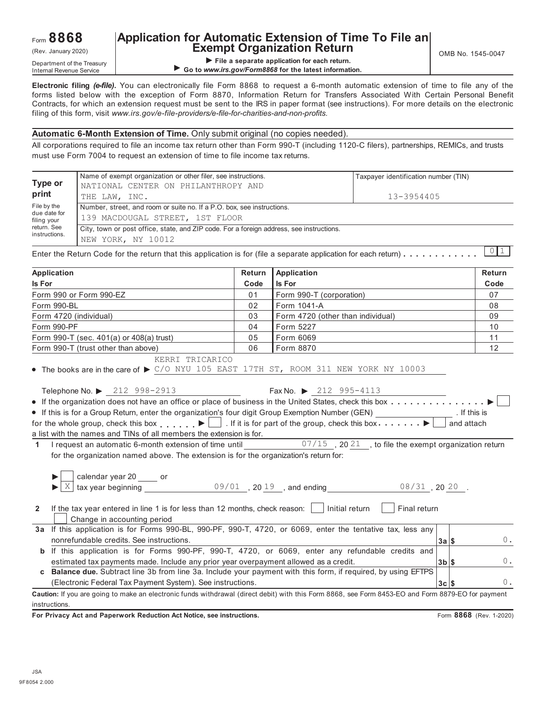## **Application for Automatic Extension of Time To File an**  $(Rev. January 2020)$   $\begin{array}{|c|c|c|c|c|}\n\hline\n\hline\n\end{array}$   $\begin{array}{|c|c|c|c|c|}\n\hline\n\end{array}$   $\begin{array}{|c|c|c|c|c|}\n\hline\n\end{array}$   $\begin{array}{|c|c|c|c|c|}\n\hline\n\end{array}$   $\begin{array}{|c|c|c|c|c|}\n\hline\n\end{array}$   $\begin{array}{|c|c|c|c|c|}\n\hline\n\end{array}$   $\begin{array}{|c|c|c|c|c|}\n\hline$

**File a separate application for each return.**<br>Internal Revenue Service **Department of the Internation of the Internation of the Internation of the Internation of the Internation of the Internation of the Internation of th** ▶ Go to *www.irs.gov/Form8868* for the latest information.

**Electronic filing** *(e-file)***.** You can electronically file Form 8868 to request a 6-month automatic extension of time to file any of the forms listed below with the exception of Form 8870, Information Return for Transfers Associated W ith Certain Personal Benefit Contracts, for which an extension request must be sent to the IRS in paper format (see instructions). For more details on the electronic filing of this form, visit *www.irs.gov/e-file-providers/e-file-for-charities-and-non-profits.*

#### **Automatic 6-Month Extension of Time.** Only submit original (no copies needed).

All corporations required to file an income tax return other than Form 990-T (including 1120-C filers), partnerships, REMICs, and trusts must use Form 7004 to request an extension of time to file income tax returns.

|                             | Name of exempt organization or other filer, see instructions.                                                                                 |        |             | Taxpayer identification number (TIN) |        |  |  |  |  |
|-----------------------------|-----------------------------------------------------------------------------------------------------------------------------------------------|--------|-------------|--------------------------------------|--------|--|--|--|--|
| Type or                     | NATIONAL CENTER ON PHILANTHROPY AND                                                                                                           |        |             |                                      |        |  |  |  |  |
| print                       | THE LAW, INC.                                                                                                                                 |        |             | 13-3954405                           |        |  |  |  |  |
| File by the                 | Number, street, and room or suite no. If a P.O. box, see instructions.                                                                        |        |             |                                      |        |  |  |  |  |
| due date for<br>filing your | 139 MACDOUGAL STREET, 1ST FLOOR                                                                                                               |        |             |                                      |        |  |  |  |  |
| return, See                 | City, town or post office, state, and ZIP code. For a foreign address, see instructions.                                                      |        |             |                                      |        |  |  |  |  |
| instructions.               | NEW YORK, NY 10012                                                                                                                            |        |             |                                      |        |  |  |  |  |
|                             | Enter the Return Code for the return that this application is for (file a separate application for each return) $\ldots \ldots \ldots \ldots$ |        |             |                                      |        |  |  |  |  |
| Application                 |                                                                                                                                               | Return | Application |                                      | Return |  |  |  |  |
|                             |                                                                                                                                               |        |             |                                      |        |  |  |  |  |

|                                                                                                                                                                                                                                                                                                                                                                                                                                                                                                                                                                                                                                         |      | $1.4$ P $1.3$ as $1.3$                                                                                         |                         |
|-----------------------------------------------------------------------------------------------------------------------------------------------------------------------------------------------------------------------------------------------------------------------------------------------------------------------------------------------------------------------------------------------------------------------------------------------------------------------------------------------------------------------------------------------------------------------------------------------------------------------------------------|------|----------------------------------------------------------------------------------------------------------------|-------------------------|
| Is For                                                                                                                                                                                                                                                                                                                                                                                                                                                                                                                                                                                                                                  | Code | Is For                                                                                                         | Code                    |
| Form 990 or Form 990-EZ                                                                                                                                                                                                                                                                                                                                                                                                                                                                                                                                                                                                                 | 01   | Form 990-T (corporation)                                                                                       | 07                      |
| Form 990-BL                                                                                                                                                                                                                                                                                                                                                                                                                                                                                                                                                                                                                             | 02   | Form 1041-A                                                                                                    | 08                      |
| Form 4720 (individual)                                                                                                                                                                                                                                                                                                                                                                                                                                                                                                                                                                                                                  | 03   | Form 4720 (other than individual)                                                                              | 09                      |
| Form 990-PF                                                                                                                                                                                                                                                                                                                                                                                                                                                                                                                                                                                                                             | 04   | Form 5227                                                                                                      | 10                      |
| Form 990-T (sec. 401(a) or 408(a) trust)                                                                                                                                                                                                                                                                                                                                                                                                                                                                                                                                                                                                | 05   | Form 6069                                                                                                      | 11                      |
| Form 990-T (trust other than above)                                                                                                                                                                                                                                                                                                                                                                                                                                                                                                                                                                                                     | 06   | Form 8870                                                                                                      | 12                      |
| KERRI TRICARICO<br>• The books are in the care of $\triangleright$ C/O NYU 105 EAST 17TH ST, ROOM 311 NEW YORK NY 10003<br>Telephone No. ▶ 212 998-2913<br>• If this is for a Group Return, enter the organization's four digit Group Exemption Number (GEN)<br>for the whole group, check this box $\Box$ If it is for part of the group, check this box $\Box$<br>a list with the names and TINs of all members the extension is for.<br>I request an automatic 6-month extension of time until<br>$\mathbf{1}$<br>for the organization named above. The extension is for the organization's return for:<br>calendar year 20 _____ or |      | Fax No. $\triangleright$ 212 995-4113<br>and attach<br>$07/15$ , 20 21, to file the exempt organization return | . If this is            |
| X<br>If the tax year entered in line 1 is for less than 12 months, check reason: $\Box$<br>$\mathbf{2}$<br>Change in accounting period<br>3a If this application is for Forms 990-BL, 990-PF, 990-T, 4720, or 6069, enter the tentative tax, less any                                                                                                                                                                                                                                                                                                                                                                                   |      | tax year beginning $09/01$ , $2019$ , and ending $08/31$ , $2020$ .<br>Initial return<br>Final return          |                         |
| nonrefundable credits. See instructions.                                                                                                                                                                                                                                                                                                                                                                                                                                                                                                                                                                                                |      | $3a$ $s$                                                                                                       | $0$ .                   |
| b If this application is for Forms 990-PF, 990-T, 4720, or 6069, enter any refundable credits and<br>estimated tax payments made. Include any prior year overpayment allowed as a credit.<br>c Balance due. Subtract line 3b from line 3a. Include your payment with this form, if required, by using EFTPS<br>(Electronic Federal Tax Payment System). See instructions.                                                                                                                                                                                                                                                               |      | $3b$ \$<br>$3c$ $s$                                                                                            | $0$ .<br>0.             |
| Caution: If you are going to make an electronic funds withdrawal (direct debit) with this Form 8868, see Form 8453-EO and Form 8879-EO for payment                                                                                                                                                                                                                                                                                                                                                                                                                                                                                      |      |                                                                                                                |                         |
| instructions.                                                                                                                                                                                                                                                                                                                                                                                                                                                                                                                                                                                                                           |      |                                                                                                                |                         |
| For Privacy Act and Paperwork Reduction Act Notice, see instructions.                                                                                                                                                                                                                                                                                                                                                                                                                                                                                                                                                                   |      |                                                                                                                | Form 8868 (Rev. 1-2020) |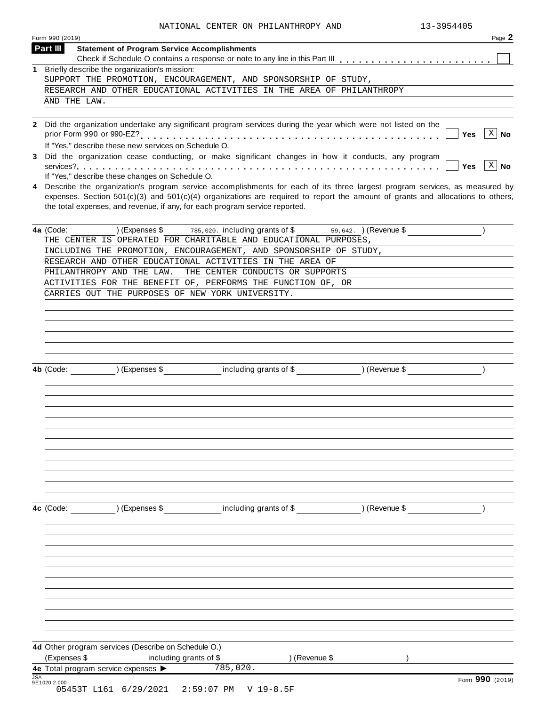| Form 990 (2019)        |                                                               | NATIONAL CENTER ON PHILANTHROPY AND                                                                                                                                                                                                                                                                                                               |               | 13-3954405<br>Page 2       |
|------------------------|---------------------------------------------------------------|---------------------------------------------------------------------------------------------------------------------------------------------------------------------------------------------------------------------------------------------------------------------------------------------------------------------------------------------------|---------------|----------------------------|
| Part III               | <b>Statement of Program Service Accomplishments</b>           |                                                                                                                                                                                                                                                                                                                                                   |               |                            |
|                        |                                                               |                                                                                                                                                                                                                                                                                                                                                   |               |                            |
|                        | 1 Briefly describe the organization's mission:                | SUPPORT THE PROMOTION, ENCOURAGEMENT, AND SPONSORSHIP OF STUDY,                                                                                                                                                                                                                                                                                   |               |                            |
|                        |                                                               | RESEARCH AND OTHER EDUCATIONAL ACTIVITIES IN THE AREA OF PHILANTHROPY                                                                                                                                                                                                                                                                             |               |                            |
| AND THE LAW.           |                                                               |                                                                                                                                                                                                                                                                                                                                                   |               |                            |
|                        |                                                               |                                                                                                                                                                                                                                                                                                                                                   |               |                            |
|                        | If "Yes," describe these new services on Schedule O.          | 2 Did the organization undertake any significant program services during the year which were not listed on the                                                                                                                                                                                                                                    |               | $X \mid N$ o<br><b>Yes</b> |
|                        |                                                               | 3 Did the organization cease conducting, or make significant changes in how it conducts, any program                                                                                                                                                                                                                                              |               |                            |
|                        | If "Yes," describe these changes on Schedule O.               |                                                                                                                                                                                                                                                                                                                                                   |               | $x \mid N$ o<br><b>Yes</b> |
|                        |                                                               | 4 Describe the organization's program service accomplishments for each of its three largest program services, as measured by<br>expenses. Section $501(c)(3)$ and $501(c)(4)$ organizations are required to report the amount of grants and allocations to others,<br>the total expenses, and revenue, if any, for each program service reported. |               |                            |
| 4a (Code:              |                                                               | (Expenses \$ $\frac{1}{785,020}$ . including grants of \$59,642. ) (Revenue \$                                                                                                                                                                                                                                                                    |               |                            |
|                        |                                                               | THE CENTER IS OPERATED FOR CHARITABLE AND EDUCATIONAL PURPOSES,<br>INCLUDING THE PROMOTION, ENCOURAGEMENT, AND SPONSORSHIP OF STUDY,                                                                                                                                                                                                              |               |                            |
|                        |                                                               | RESEARCH AND OTHER EDUCATIONAL ACTIVITIES IN THE AREA OF                                                                                                                                                                                                                                                                                          |               |                            |
|                        | PHILANTHROPY AND THE LAW.                                     | THE CENTER CONDUCTS OR SUPPORTS                                                                                                                                                                                                                                                                                                                   |               |                            |
|                        |                                                               | ACTIVITIES FOR THE BENEFIT OF, PERFORMS THE FUNCTION OF, OR                                                                                                                                                                                                                                                                                       |               |                            |
|                        |                                                               | CARRIES OUT THE PURPOSES OF NEW YORK UNIVERSITY.                                                                                                                                                                                                                                                                                                  |               |                            |
|                        |                                                               |                                                                                                                                                                                                                                                                                                                                                   |               |                            |
|                        |                                                               |                                                                                                                                                                                                                                                                                                                                                   |               |                            |
|                        | ) (Expenses \$                                                | including grants of \$                                                                                                                                                                                                                                                                                                                            | ) (Revenue \$ |                            |
|                        |                                                               |                                                                                                                                                                                                                                                                                                                                                   |               |                            |
|                        | ) (Expenses \$                                                | including grants of \$                                                                                                                                                                                                                                                                                                                            | ) (Revenue \$ |                            |
|                        |                                                               |                                                                                                                                                                                                                                                                                                                                                   |               |                            |
| 4b (Code:<br>4c (Code: | 4d Other program services (Describe on Schedule O.)           |                                                                                                                                                                                                                                                                                                                                                   |               |                            |
| (Expenses \$           | including grants of \$<br>4e Total program service expenses > | ) (Revenue \$<br>785,020.                                                                                                                                                                                                                                                                                                                         |               |                            |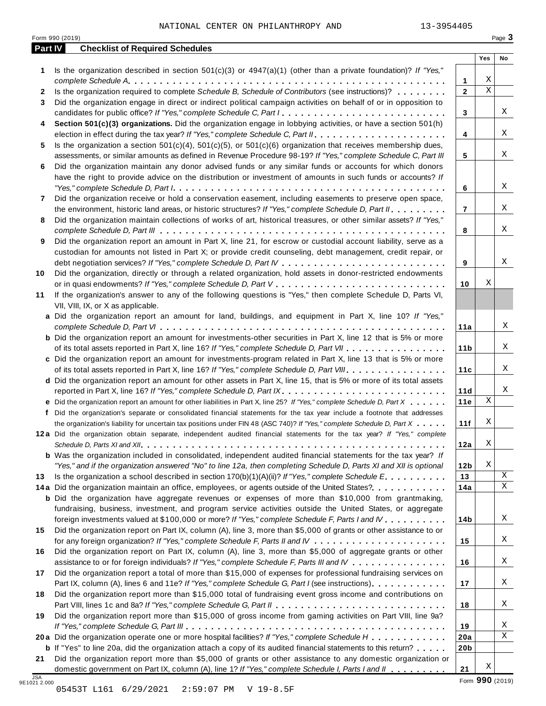|              | Form 990 (2019)                                                                                                                                                                             |                     |             | Page 3 |
|--------------|---------------------------------------------------------------------------------------------------------------------------------------------------------------------------------------------|---------------------|-------------|--------|
|              | <b>Checklist of Required Schedules</b><br>Part IV                                                                                                                                           |                     | Yes         | No     |
| 1            | Is the organization described in section $501(c)(3)$ or $4947(a)(1)$ (other than a private foundation)? If "Yes,"                                                                           |                     | Χ           |        |
| $\mathbf{2}$ | Is the organization required to complete Schedule B, Schedule of Contributors (see instructions)?                                                                                           | 1<br>$\overline{2}$ | $\mathbf X$ |        |
| 3            | Did the organization engage in direct or indirect political campaign activities on behalf of or in opposition to                                                                            |                     |             |        |
|              | candidates for public office? If "Yes," complete Schedule C, Part I                                                                                                                         | 3                   |             | Χ      |
| 4            | Section 501(c)(3) organizations. Did the organization engage in lobbying activities, or have a section 501(h)                                                                               |                     |             |        |
|              |                                                                                                                                                                                             | 4                   |             | Χ      |
| 5.           | Is the organization a section $501(c)(4)$ , $501(c)(5)$ , or $501(c)(6)$ organization that receives membership dues,                                                                        |                     |             |        |
|              | assessments, or similar amounts as defined in Revenue Procedure 98-19? If "Yes," complete Schedule C, Part III                                                                              | 5                   |             | X      |
| 6            | Did the organization maintain any donor advised funds or any similar funds or accounts for which donors                                                                                     |                     |             |        |
|              | have the right to provide advice on the distribution or investment of amounts in such funds or accounts? If                                                                                 |                     |             |        |
|              |                                                                                                                                                                                             | 6                   |             | Χ      |
| 7            | Did the organization receive or hold a conservation easement, including easements to preserve open space,                                                                                   |                     |             |        |
|              | the environment, historic land areas, or historic structures? If "Yes," complete Schedule D, Part II.                                                                                       | $\overline{7}$      |             | Χ      |
| 8            | Did the organization maintain collections of works of art, historical treasures, or other similar assets? If "Yes,"                                                                         |                     |             | Χ      |
| 9            | Did the organization report an amount in Part X, line 21, for escrow or custodial account liability, serve as a                                                                             | 8                   |             |        |
|              | custodian for amounts not listed in Part X; or provide credit counseling, debt management, credit repair, or                                                                                |                     |             |        |
|              |                                                                                                                                                                                             | 9                   |             | Χ      |
| 10           | Did the organization, directly or through a related organization, hold assets in donor-restricted endowments                                                                                |                     |             |        |
|              |                                                                                                                                                                                             | 10                  | Χ           |        |
| 11           | If the organization's answer to any of the following questions is "Yes," then complete Schedule D, Parts VI,                                                                                |                     |             |        |
|              | VII, VIII, IX, or X as applicable.                                                                                                                                                          |                     |             |        |
|              | a Did the organization report an amount for land, buildings, and equipment in Part X, line 10? If "Yes,"                                                                                    |                     |             |        |
|              |                                                                                                                                                                                             | 11a                 |             | Χ      |
|              | <b>b</b> Did the organization report an amount for investments-other securities in Part X, line 12 that is 5% or more                                                                       |                     |             |        |
|              | of its total assets reported in Part X, line 16? If "Yes," complete Schedule D, Part VII                                                                                                    | 11 <sub>b</sub>     |             | Χ      |
|              | c Did the organization report an amount for investments-program related in Part X, line 13 that is 5% or more                                                                               |                     |             |        |
|              | of its total assets reported in Part X, line 16? If "Yes," complete Schedule D, Part VIII                                                                                                   | 11c                 |             | Χ      |
|              | d Did the organization report an amount for other assets in Part X, line 15, that is 5% or more of its total assets<br>reported in Part X, line 16? If "Yes," complete Schedule D, Part IX. | 11d                 |             | Χ      |
|              | e Did the organization report an amount for other liabilities in Part X, line 25? If "Yes," complete Schedule D, Part X                                                                     | 11e                 | $\mathbf X$ |        |
|              | f Did the organization's separate or consolidated financial statements for the tax year include a footnote that addresses                                                                   |                     |             |        |
|              | the organization's liability for uncertain tax positions under FIN 48 (ASC 740)? If "Yes," complete Schedule D, Part X                                                                      | 11f                 | Χ           |        |
|              | 12a Did the organization obtain separate, independent audited financial statements for the tax year? If "Yes," complete                                                                     |                     |             |        |
|              |                                                                                                                                                                                             | 12a                 | Χ           |        |
|              | <b>b</b> Was the organization included in consolidated, independent audited financial statements for the tax year? If                                                                       |                     |             |        |
|              | "Yes," and if the organization answered "No" to line 12a, then completing Schedule D, Parts XI and XII is optional                                                                          | 12 <sub>b</sub>     | Χ           |        |
| 13           | Is the organization a school described in section $170(b)(1)(A)(ii)?$ If "Yes," complete Schedule E.                                                                                        | 13                  |             | X      |
|              | 14a Did the organization maintain an office, employees, or agents outside of the United States?                                                                                             | 14a                 |             | Χ      |
|              | <b>b</b> Did the organization have aggregate revenues or expenses of more than \$10,000 from grantmaking,                                                                                   |                     |             |        |
|              | fundraising, business, investment, and program service activities outside the United States, or aggregate                                                                                   |                     |             |        |
|              | foreign investments valued at \$100,000 or more? If "Yes," complete Schedule F, Parts I and IV                                                                                              | 14b                 |             | X      |
| 15           | Did the organization report on Part IX, column (A), line 3, more than \$5,000 of grants or other assistance to or                                                                           |                     |             | X      |
| 16           | Did the organization report on Part IX, column (A), line 3, more than \$5,000 of aggregate grants or other                                                                                  | 15                  |             |        |
|              | assistance to or for foreign individuals? If "Yes," complete Schedule F, Parts III and IV                                                                                                   | 16                  |             | X      |
| 17           | Did the organization report a total of more than \$15,000 of expenses for professional fundraising services on                                                                              |                     |             |        |
|              | Part IX, column (A), lines 6 and 11e? If "Yes," complete Schedule G, Part I (see instructions)                                                                                              | 17                  |             | X      |
| 18           | Did the organization report more than \$15,000 total of fundraising event gross income and contributions on                                                                                 |                     |             |        |
|              |                                                                                                                                                                                             | 18                  |             | X      |
| 19           | Did the organization report more than \$15,000 of gross income from gaming activities on Part VIII, line 9a?                                                                                |                     |             |        |
|              |                                                                                                                                                                                             | 19                  |             | Χ      |
|              | 20a Did the organization operate one or more hospital facilities? If "Yes," complete Schedule H                                                                                             | 20a                 |             | Χ      |
|              | <b>b</b> If "Yes" to line 20a, did the organization attach a copy of its audited financial statements to this return?                                                                       | 20 <sub>b</sub>     |             |        |
|              | Did the organization report more than \$5,000 of grants or other assistance to any domestic organization or                                                                                 |                     |             |        |
| 21           | domestic government on Part IX, column (A), line 1? If "Yes," complete Schedule I, Parts I and II                                                                                           | 21                  | Χ           |        |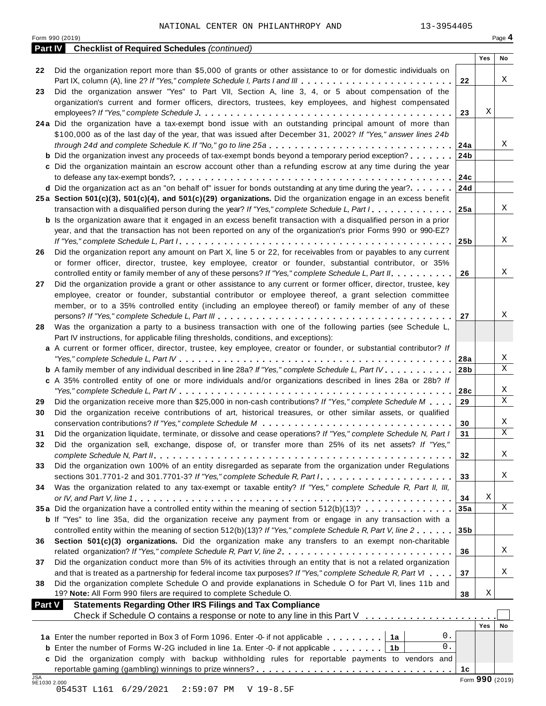| Page 4<br>Form 990 (2019)<br><b>Checklist of Required Schedules (continued)</b><br><b>Part IV</b><br>Yes<br>No<br>Did the organization report more than \$5,000 of grants or other assistance to or for domestic individuals on<br>22<br>X<br>Part IX, column (A), line 2? If "Yes," complete Schedule I, Parts I and III<br>22<br>Did the organization answer "Yes" to Part VII, Section A, line 3, 4, or 5 about compensation of the<br>23<br>organization's current and former officers, directors, trustees, key employees, and highest compensated<br>Χ<br>23<br>24a Did the organization have a tax-exempt bond issue with an outstanding principal amount of more than<br>\$100,000 as of the last day of the year, that was issued after December 31, 2002? If "Yes," answer lines 24b<br>Χ<br>24a<br><b>b</b> Did the organization invest any proceeds of tax-exempt bonds beyond a temporary period exception?<br>24b<br>c Did the organization maintain an escrow account other than a refunding escrow at any time during the year<br>24c<br>d Did the organization act as an "on behalf of" issuer for bonds outstanding at any time during the year?<br>24d<br>25a Section 501(c)(3), 501(c)(4), and 501(c)(29) organizations. Did the organization engage in an excess benefit<br>X<br>transaction with a disqualified person during the year? If "Yes," complete Schedule L, Part I<br>25a<br><b>b</b> Is the organization aware that it engaged in an excess benefit transaction with a disqualified person in a prior<br>year, and that the transaction has not been reported on any of the organization's prior Forms 990 or 990-EZ?<br>Χ<br>25 <sub>b</sub><br>Did the organization report any amount on Part X, line 5 or 22, for receivables from or payables to any current<br>or former officer, director, trustee, key employee, creator or founder, substantial contributor, or 35%<br>Χ<br>controlled entity or family member of any of these persons? If "Yes," complete Schedule L, Part II.<br>26<br>Did the organization provide a grant or other assistance to any current or former officer, director, trustee, key<br>employee, creator or founder, substantial contributor or employee thereof, a grant selection committee<br>member, or to a 35% controlled entity (including an employee thereof) or family member of any of these<br>Χ<br>27<br>Was the organization a party to a business transaction with one of the following parties (see Schedule L,<br>Part IV instructions, for applicable filing thresholds, conditions, and exceptions):<br>a A current or former officer, director, trustee, key employee, creator or founder, or substantial contributor? If<br>Χ<br>28a<br>X<br><b>b</b> A family member of any individual described in line 28a? If "Yes," complete Schedule L, Part IV.<br>28b<br>c A 35% controlled entity of one or more individuals and/or organizations described in lines 28a or 28b? If<br>Χ<br>28c<br>X<br>Did the organization receive more than \$25,000 in non-cash contributions? If "Yes," complete Schedule M<br>29<br>Did the organization receive contributions of art, historical treasures, or other similar assets, or qualified<br>30<br>Χ<br>30<br>Χ<br>Did the organization liquidate, terminate, or dissolve and cease operations? If "Yes," complete Schedule N, Part I<br>31<br>Did the organization sell, exchange, dispose of, or transfer more than 25% of its net assets? If "Yes,"<br>X<br>32<br>Did the organization own 100% of an entity disregarded as separate from the organization under Regulations<br>33<br>X<br>33<br>Was the organization related to any tax-exempt or taxable entity? If "Yes," complete Schedule R, Part II, III,<br>34<br>Χ<br>34<br>X<br>35a Did the organization have a controlled entity within the meaning of section 512(b)(13)?<br>35a<br><b>b</b> If "Yes" to line 35a, did the organization receive any payment from or engage in any transaction with a<br>controlled entity within the meaning of section 512(b)(13)? If "Yes," complete Schedule R, Part V, line 2<br>35 <sub>b</sub><br>Section 501(c)(3) organizations. Did the organization make any transfers to an exempt non-charitable<br>36<br>Χ<br>36<br>Did the organization conduct more than 5% of its activities through an entity that is not a related organization<br>37<br>Χ<br>and that is treated as a partnership for federal income tax purposes? If "Yes," complete Schedule R, Part VI<br>37<br>Did the organization complete Schedule O and provide explanations in Schedule O for Part VI, lines 11b and<br>38<br>Χ<br>19? Note: All Form 990 filers are required to complete Schedule O.<br>38<br><b>Statements Regarding Other IRS Filings and Tax Compliance</b><br><b>Part V</b><br>Check if Schedule O contains a response or note to any line in this Part V<br>Yes<br>No<br>0.<br>1a Enter the number reported in Box 3 of Form 1096. Enter -0- if not applicable<br>1а<br>0.<br><b>b</b> Enter the number of Forms W-2G included in line 1a. Enter -0- if not applicable $\ldots$ ,,,,,<br>1b<br>c Did the organization comply with backup withholding rules for reportable payments to vendors and<br>1c<br>Form 990 (2019)<br>9E1030 2.000 |            | 13-3954405<br>NATIONAL CENTER ON PHILANTHROPY AND |  |  |
|--------------------------------------------------------------------------------------------------------------------------------------------------------------------------------------------------------------------------------------------------------------------------------------------------------------------------------------------------------------------------------------------------------------------------------------------------------------------------------------------------------------------------------------------------------------------------------------------------------------------------------------------------------------------------------------------------------------------------------------------------------------------------------------------------------------------------------------------------------------------------------------------------------------------------------------------------------------------------------------------------------------------------------------------------------------------------------------------------------------------------------------------------------------------------------------------------------------------------------------------------------------------------------------------------------------------------------------------------------------------------------------------------------------------------------------------------------------------------------------------------------------------------------------------------------------------------------------------------------------------------------------------------------------------------------------------------------------------------------------------------------------------------------------------------------------------------------------------------------------------------------------------------------------------------------------------------------------------------------------------------------------------------------------------------------------------------------------------------------------------------------------------------------------------------------------------------------------------------------------------------------------------------------------------------------------------------------------------------------------------------------------------------------------------------------------------------------------------------------------------------------------------------------------------------------------------------------------------------------------------------------------------------------------------------------------------------------------------------------------------------------------------------------------------------------------------------------------------------------------------------------------------------------------------------------------------------------------------------------------------------------------------------------------------------------------------------------------------------------------------------------------------------------------------------------------------------------------------------------------------------------------------------------------------------------------------------------------------------------------------------------------------------------------------------------------------------------------------------------------------------------------------------------------------------------------------------------------------------------------------------------------------------------------------------------------------------------------------------------------------------------------------------------------------------------------------------------------------------------------------------------------------------------------------------------------------------------------------------------------------------------------------------------------------------------------------------------------------------------------------------------------------------------------------------------------------------------------------------------------------------------------------------------------------------------------------------------------------------------------------------------------------------------------------------------------------------------------------------------------------------------------------------------------------------------------------------------------------------------------------------------------------------------------------------------------------------------------------------------------------------------------------------------------------------------------------------------------------------------------------------------------------------------------------------------------------------------------------------------------------------------------------------------------------------------------------------------------------------------------------------------------------------------------------------------------------------------------------------------------------------------------------------|------------|---------------------------------------------------|--|--|
|                                                                                                                                                                                                                                                                                                                                                                                                                                                                                                                                                                                                                                                                                                                                                                                                                                                                                                                                                                                                                                                                                                                                                                                                                                                                                                                                                                                                                                                                                                                                                                                                                                                                                                                                                                                                                                                                                                                                                                                                                                                                                                                                                                                                                                                                                                                                                                                                                                                                                                                                                                                                                                                                                                                                                                                                                                                                                                                                                                                                                                                                                                                                                                                                                                                                                                                                                                                                                                                                                                                                                                                                                                                                                                                                                                                                                                                                                                                                                                                                                                                                                                                                                                                                                                                                                                                                                                                                                                                                                                                                                                                                                                                                                                                                                                                                                                                                                                                                                                                                                                                                                                                                                                                                                                                                          |            |                                                   |  |  |
|                                                                                                                                                                                                                                                                                                                                                                                                                                                                                                                                                                                                                                                                                                                                                                                                                                                                                                                                                                                                                                                                                                                                                                                                                                                                                                                                                                                                                                                                                                                                                                                                                                                                                                                                                                                                                                                                                                                                                                                                                                                                                                                                                                                                                                                                                                                                                                                                                                                                                                                                                                                                                                                                                                                                                                                                                                                                                                                                                                                                                                                                                                                                                                                                                                                                                                                                                                                                                                                                                                                                                                                                                                                                                                                                                                                                                                                                                                                                                                                                                                                                                                                                                                                                                                                                                                                                                                                                                                                                                                                                                                                                                                                                                                                                                                                                                                                                                                                                                                                                                                                                                                                                                                                                                                                                          |            |                                                   |  |  |
|                                                                                                                                                                                                                                                                                                                                                                                                                                                                                                                                                                                                                                                                                                                                                                                                                                                                                                                                                                                                                                                                                                                                                                                                                                                                                                                                                                                                                                                                                                                                                                                                                                                                                                                                                                                                                                                                                                                                                                                                                                                                                                                                                                                                                                                                                                                                                                                                                                                                                                                                                                                                                                                                                                                                                                                                                                                                                                                                                                                                                                                                                                                                                                                                                                                                                                                                                                                                                                                                                                                                                                                                                                                                                                                                                                                                                                                                                                                                                                                                                                                                                                                                                                                                                                                                                                                                                                                                                                                                                                                                                                                                                                                                                                                                                                                                                                                                                                                                                                                                                                                                                                                                                                                                                                                                          |            |                                                   |  |  |
|                                                                                                                                                                                                                                                                                                                                                                                                                                                                                                                                                                                                                                                                                                                                                                                                                                                                                                                                                                                                                                                                                                                                                                                                                                                                                                                                                                                                                                                                                                                                                                                                                                                                                                                                                                                                                                                                                                                                                                                                                                                                                                                                                                                                                                                                                                                                                                                                                                                                                                                                                                                                                                                                                                                                                                                                                                                                                                                                                                                                                                                                                                                                                                                                                                                                                                                                                                                                                                                                                                                                                                                                                                                                                                                                                                                                                                                                                                                                                                                                                                                                                                                                                                                                                                                                                                                                                                                                                                                                                                                                                                                                                                                                                                                                                                                                                                                                                                                                                                                                                                                                                                                                                                                                                                                                          |            |                                                   |  |  |
|                                                                                                                                                                                                                                                                                                                                                                                                                                                                                                                                                                                                                                                                                                                                                                                                                                                                                                                                                                                                                                                                                                                                                                                                                                                                                                                                                                                                                                                                                                                                                                                                                                                                                                                                                                                                                                                                                                                                                                                                                                                                                                                                                                                                                                                                                                                                                                                                                                                                                                                                                                                                                                                                                                                                                                                                                                                                                                                                                                                                                                                                                                                                                                                                                                                                                                                                                                                                                                                                                                                                                                                                                                                                                                                                                                                                                                                                                                                                                                                                                                                                                                                                                                                                                                                                                                                                                                                                                                                                                                                                                                                                                                                                                                                                                                                                                                                                                                                                                                                                                                                                                                                                                                                                                                                                          |            |                                                   |  |  |
|                                                                                                                                                                                                                                                                                                                                                                                                                                                                                                                                                                                                                                                                                                                                                                                                                                                                                                                                                                                                                                                                                                                                                                                                                                                                                                                                                                                                                                                                                                                                                                                                                                                                                                                                                                                                                                                                                                                                                                                                                                                                                                                                                                                                                                                                                                                                                                                                                                                                                                                                                                                                                                                                                                                                                                                                                                                                                                                                                                                                                                                                                                                                                                                                                                                                                                                                                                                                                                                                                                                                                                                                                                                                                                                                                                                                                                                                                                                                                                                                                                                                                                                                                                                                                                                                                                                                                                                                                                                                                                                                                                                                                                                                                                                                                                                                                                                                                                                                                                                                                                                                                                                                                                                                                                                                          |            |                                                   |  |  |
|                                                                                                                                                                                                                                                                                                                                                                                                                                                                                                                                                                                                                                                                                                                                                                                                                                                                                                                                                                                                                                                                                                                                                                                                                                                                                                                                                                                                                                                                                                                                                                                                                                                                                                                                                                                                                                                                                                                                                                                                                                                                                                                                                                                                                                                                                                                                                                                                                                                                                                                                                                                                                                                                                                                                                                                                                                                                                                                                                                                                                                                                                                                                                                                                                                                                                                                                                                                                                                                                                                                                                                                                                                                                                                                                                                                                                                                                                                                                                                                                                                                                                                                                                                                                                                                                                                                                                                                                                                                                                                                                                                                                                                                                                                                                                                                                                                                                                                                                                                                                                                                                                                                                                                                                                                                                          |            |                                                   |  |  |
|                                                                                                                                                                                                                                                                                                                                                                                                                                                                                                                                                                                                                                                                                                                                                                                                                                                                                                                                                                                                                                                                                                                                                                                                                                                                                                                                                                                                                                                                                                                                                                                                                                                                                                                                                                                                                                                                                                                                                                                                                                                                                                                                                                                                                                                                                                                                                                                                                                                                                                                                                                                                                                                                                                                                                                                                                                                                                                                                                                                                                                                                                                                                                                                                                                                                                                                                                                                                                                                                                                                                                                                                                                                                                                                                                                                                                                                                                                                                                                                                                                                                                                                                                                                                                                                                                                                                                                                                                                                                                                                                                                                                                                                                                                                                                                                                                                                                                                                                                                                                                                                                                                                                                                                                                                                                          |            |                                                   |  |  |
|                                                                                                                                                                                                                                                                                                                                                                                                                                                                                                                                                                                                                                                                                                                                                                                                                                                                                                                                                                                                                                                                                                                                                                                                                                                                                                                                                                                                                                                                                                                                                                                                                                                                                                                                                                                                                                                                                                                                                                                                                                                                                                                                                                                                                                                                                                                                                                                                                                                                                                                                                                                                                                                                                                                                                                                                                                                                                                                                                                                                                                                                                                                                                                                                                                                                                                                                                                                                                                                                                                                                                                                                                                                                                                                                                                                                                                                                                                                                                                                                                                                                                                                                                                                                                                                                                                                                                                                                                                                                                                                                                                                                                                                                                                                                                                                                                                                                                                                                                                                                                                                                                                                                                                                                                                                                          |            |                                                   |  |  |
|                                                                                                                                                                                                                                                                                                                                                                                                                                                                                                                                                                                                                                                                                                                                                                                                                                                                                                                                                                                                                                                                                                                                                                                                                                                                                                                                                                                                                                                                                                                                                                                                                                                                                                                                                                                                                                                                                                                                                                                                                                                                                                                                                                                                                                                                                                                                                                                                                                                                                                                                                                                                                                                                                                                                                                                                                                                                                                                                                                                                                                                                                                                                                                                                                                                                                                                                                                                                                                                                                                                                                                                                                                                                                                                                                                                                                                                                                                                                                                                                                                                                                                                                                                                                                                                                                                                                                                                                                                                                                                                                                                                                                                                                                                                                                                                                                                                                                                                                                                                                                                                                                                                                                                                                                                                                          |            |                                                   |  |  |
|                                                                                                                                                                                                                                                                                                                                                                                                                                                                                                                                                                                                                                                                                                                                                                                                                                                                                                                                                                                                                                                                                                                                                                                                                                                                                                                                                                                                                                                                                                                                                                                                                                                                                                                                                                                                                                                                                                                                                                                                                                                                                                                                                                                                                                                                                                                                                                                                                                                                                                                                                                                                                                                                                                                                                                                                                                                                                                                                                                                                                                                                                                                                                                                                                                                                                                                                                                                                                                                                                                                                                                                                                                                                                                                                                                                                                                                                                                                                                                                                                                                                                                                                                                                                                                                                                                                                                                                                                                                                                                                                                                                                                                                                                                                                                                                                                                                                                                                                                                                                                                                                                                                                                                                                                                                                          |            |                                                   |  |  |
|                                                                                                                                                                                                                                                                                                                                                                                                                                                                                                                                                                                                                                                                                                                                                                                                                                                                                                                                                                                                                                                                                                                                                                                                                                                                                                                                                                                                                                                                                                                                                                                                                                                                                                                                                                                                                                                                                                                                                                                                                                                                                                                                                                                                                                                                                                                                                                                                                                                                                                                                                                                                                                                                                                                                                                                                                                                                                                                                                                                                                                                                                                                                                                                                                                                                                                                                                                                                                                                                                                                                                                                                                                                                                                                                                                                                                                                                                                                                                                                                                                                                                                                                                                                                                                                                                                                                                                                                                                                                                                                                                                                                                                                                                                                                                                                                                                                                                                                                                                                                                                                                                                                                                                                                                                                                          |            |                                                   |  |  |
|                                                                                                                                                                                                                                                                                                                                                                                                                                                                                                                                                                                                                                                                                                                                                                                                                                                                                                                                                                                                                                                                                                                                                                                                                                                                                                                                                                                                                                                                                                                                                                                                                                                                                                                                                                                                                                                                                                                                                                                                                                                                                                                                                                                                                                                                                                                                                                                                                                                                                                                                                                                                                                                                                                                                                                                                                                                                                                                                                                                                                                                                                                                                                                                                                                                                                                                                                                                                                                                                                                                                                                                                                                                                                                                                                                                                                                                                                                                                                                                                                                                                                                                                                                                                                                                                                                                                                                                                                                                                                                                                                                                                                                                                                                                                                                                                                                                                                                                                                                                                                                                                                                                                                                                                                                                                          |            |                                                   |  |  |
|                                                                                                                                                                                                                                                                                                                                                                                                                                                                                                                                                                                                                                                                                                                                                                                                                                                                                                                                                                                                                                                                                                                                                                                                                                                                                                                                                                                                                                                                                                                                                                                                                                                                                                                                                                                                                                                                                                                                                                                                                                                                                                                                                                                                                                                                                                                                                                                                                                                                                                                                                                                                                                                                                                                                                                                                                                                                                                                                                                                                                                                                                                                                                                                                                                                                                                                                                                                                                                                                                                                                                                                                                                                                                                                                                                                                                                                                                                                                                                                                                                                                                                                                                                                                                                                                                                                                                                                                                                                                                                                                                                                                                                                                                                                                                                                                                                                                                                                                                                                                                                                                                                                                                                                                                                                                          |            |                                                   |  |  |
|                                                                                                                                                                                                                                                                                                                                                                                                                                                                                                                                                                                                                                                                                                                                                                                                                                                                                                                                                                                                                                                                                                                                                                                                                                                                                                                                                                                                                                                                                                                                                                                                                                                                                                                                                                                                                                                                                                                                                                                                                                                                                                                                                                                                                                                                                                                                                                                                                                                                                                                                                                                                                                                                                                                                                                                                                                                                                                                                                                                                                                                                                                                                                                                                                                                                                                                                                                                                                                                                                                                                                                                                                                                                                                                                                                                                                                                                                                                                                                                                                                                                                                                                                                                                                                                                                                                                                                                                                                                                                                                                                                                                                                                                                                                                                                                                                                                                                                                                                                                                                                                                                                                                                                                                                                                                          |            |                                                   |  |  |
|                                                                                                                                                                                                                                                                                                                                                                                                                                                                                                                                                                                                                                                                                                                                                                                                                                                                                                                                                                                                                                                                                                                                                                                                                                                                                                                                                                                                                                                                                                                                                                                                                                                                                                                                                                                                                                                                                                                                                                                                                                                                                                                                                                                                                                                                                                                                                                                                                                                                                                                                                                                                                                                                                                                                                                                                                                                                                                                                                                                                                                                                                                                                                                                                                                                                                                                                                                                                                                                                                                                                                                                                                                                                                                                                                                                                                                                                                                                                                                                                                                                                                                                                                                                                                                                                                                                                                                                                                                                                                                                                                                                                                                                                                                                                                                                                                                                                                                                                                                                                                                                                                                                                                                                                                                                                          |            |                                                   |  |  |
|                                                                                                                                                                                                                                                                                                                                                                                                                                                                                                                                                                                                                                                                                                                                                                                                                                                                                                                                                                                                                                                                                                                                                                                                                                                                                                                                                                                                                                                                                                                                                                                                                                                                                                                                                                                                                                                                                                                                                                                                                                                                                                                                                                                                                                                                                                                                                                                                                                                                                                                                                                                                                                                                                                                                                                                                                                                                                                                                                                                                                                                                                                                                                                                                                                                                                                                                                                                                                                                                                                                                                                                                                                                                                                                                                                                                                                                                                                                                                                                                                                                                                                                                                                                                                                                                                                                                                                                                                                                                                                                                                                                                                                                                                                                                                                                                                                                                                                                                                                                                                                                                                                                                                                                                                                                                          |            |                                                   |  |  |
|                                                                                                                                                                                                                                                                                                                                                                                                                                                                                                                                                                                                                                                                                                                                                                                                                                                                                                                                                                                                                                                                                                                                                                                                                                                                                                                                                                                                                                                                                                                                                                                                                                                                                                                                                                                                                                                                                                                                                                                                                                                                                                                                                                                                                                                                                                                                                                                                                                                                                                                                                                                                                                                                                                                                                                                                                                                                                                                                                                                                                                                                                                                                                                                                                                                                                                                                                                                                                                                                                                                                                                                                                                                                                                                                                                                                                                                                                                                                                                                                                                                                                                                                                                                                                                                                                                                                                                                                                                                                                                                                                                                                                                                                                                                                                                                                                                                                                                                                                                                                                                                                                                                                                                                                                                                                          |            |                                                   |  |  |
|                                                                                                                                                                                                                                                                                                                                                                                                                                                                                                                                                                                                                                                                                                                                                                                                                                                                                                                                                                                                                                                                                                                                                                                                                                                                                                                                                                                                                                                                                                                                                                                                                                                                                                                                                                                                                                                                                                                                                                                                                                                                                                                                                                                                                                                                                                                                                                                                                                                                                                                                                                                                                                                                                                                                                                                                                                                                                                                                                                                                                                                                                                                                                                                                                                                                                                                                                                                                                                                                                                                                                                                                                                                                                                                                                                                                                                                                                                                                                                                                                                                                                                                                                                                                                                                                                                                                                                                                                                                                                                                                                                                                                                                                                                                                                                                                                                                                                                                                                                                                                                                                                                                                                                                                                                                                          |            |                                                   |  |  |
|                                                                                                                                                                                                                                                                                                                                                                                                                                                                                                                                                                                                                                                                                                                                                                                                                                                                                                                                                                                                                                                                                                                                                                                                                                                                                                                                                                                                                                                                                                                                                                                                                                                                                                                                                                                                                                                                                                                                                                                                                                                                                                                                                                                                                                                                                                                                                                                                                                                                                                                                                                                                                                                                                                                                                                                                                                                                                                                                                                                                                                                                                                                                                                                                                                                                                                                                                                                                                                                                                                                                                                                                                                                                                                                                                                                                                                                                                                                                                                                                                                                                                                                                                                                                                                                                                                                                                                                                                                                                                                                                                                                                                                                                                                                                                                                                                                                                                                                                                                                                                                                                                                                                                                                                                                                                          | 26         |                                                   |  |  |
|                                                                                                                                                                                                                                                                                                                                                                                                                                                                                                                                                                                                                                                                                                                                                                                                                                                                                                                                                                                                                                                                                                                                                                                                                                                                                                                                                                                                                                                                                                                                                                                                                                                                                                                                                                                                                                                                                                                                                                                                                                                                                                                                                                                                                                                                                                                                                                                                                                                                                                                                                                                                                                                                                                                                                                                                                                                                                                                                                                                                                                                                                                                                                                                                                                                                                                                                                                                                                                                                                                                                                                                                                                                                                                                                                                                                                                                                                                                                                                                                                                                                                                                                                                                                                                                                                                                                                                                                                                                                                                                                                                                                                                                                                                                                                                                                                                                                                                                                                                                                                                                                                                                                                                                                                                                                          |            |                                                   |  |  |
|                                                                                                                                                                                                                                                                                                                                                                                                                                                                                                                                                                                                                                                                                                                                                                                                                                                                                                                                                                                                                                                                                                                                                                                                                                                                                                                                                                                                                                                                                                                                                                                                                                                                                                                                                                                                                                                                                                                                                                                                                                                                                                                                                                                                                                                                                                                                                                                                                                                                                                                                                                                                                                                                                                                                                                                                                                                                                                                                                                                                                                                                                                                                                                                                                                                                                                                                                                                                                                                                                                                                                                                                                                                                                                                                                                                                                                                                                                                                                                                                                                                                                                                                                                                                                                                                                                                                                                                                                                                                                                                                                                                                                                                                                                                                                                                                                                                                                                                                                                                                                                                                                                                                                                                                                                                                          |            |                                                   |  |  |
|                                                                                                                                                                                                                                                                                                                                                                                                                                                                                                                                                                                                                                                                                                                                                                                                                                                                                                                                                                                                                                                                                                                                                                                                                                                                                                                                                                                                                                                                                                                                                                                                                                                                                                                                                                                                                                                                                                                                                                                                                                                                                                                                                                                                                                                                                                                                                                                                                                                                                                                                                                                                                                                                                                                                                                                                                                                                                                                                                                                                                                                                                                                                                                                                                                                                                                                                                                                                                                                                                                                                                                                                                                                                                                                                                                                                                                                                                                                                                                                                                                                                                                                                                                                                                                                                                                                                                                                                                                                                                                                                                                                                                                                                                                                                                                                                                                                                                                                                                                                                                                                                                                                                                                                                                                                                          | 27         |                                                   |  |  |
|                                                                                                                                                                                                                                                                                                                                                                                                                                                                                                                                                                                                                                                                                                                                                                                                                                                                                                                                                                                                                                                                                                                                                                                                                                                                                                                                                                                                                                                                                                                                                                                                                                                                                                                                                                                                                                                                                                                                                                                                                                                                                                                                                                                                                                                                                                                                                                                                                                                                                                                                                                                                                                                                                                                                                                                                                                                                                                                                                                                                                                                                                                                                                                                                                                                                                                                                                                                                                                                                                                                                                                                                                                                                                                                                                                                                                                                                                                                                                                                                                                                                                                                                                                                                                                                                                                                                                                                                                                                                                                                                                                                                                                                                                                                                                                                                                                                                                                                                                                                                                                                                                                                                                                                                                                                                          |            |                                                   |  |  |
|                                                                                                                                                                                                                                                                                                                                                                                                                                                                                                                                                                                                                                                                                                                                                                                                                                                                                                                                                                                                                                                                                                                                                                                                                                                                                                                                                                                                                                                                                                                                                                                                                                                                                                                                                                                                                                                                                                                                                                                                                                                                                                                                                                                                                                                                                                                                                                                                                                                                                                                                                                                                                                                                                                                                                                                                                                                                                                                                                                                                                                                                                                                                                                                                                                                                                                                                                                                                                                                                                                                                                                                                                                                                                                                                                                                                                                                                                                                                                                                                                                                                                                                                                                                                                                                                                                                                                                                                                                                                                                                                                                                                                                                                                                                                                                                                                                                                                                                                                                                                                                                                                                                                                                                                                                                                          |            |                                                   |  |  |
|                                                                                                                                                                                                                                                                                                                                                                                                                                                                                                                                                                                                                                                                                                                                                                                                                                                                                                                                                                                                                                                                                                                                                                                                                                                                                                                                                                                                                                                                                                                                                                                                                                                                                                                                                                                                                                                                                                                                                                                                                                                                                                                                                                                                                                                                                                                                                                                                                                                                                                                                                                                                                                                                                                                                                                                                                                                                                                                                                                                                                                                                                                                                                                                                                                                                                                                                                                                                                                                                                                                                                                                                                                                                                                                                                                                                                                                                                                                                                                                                                                                                                                                                                                                                                                                                                                                                                                                                                                                                                                                                                                                                                                                                                                                                                                                                                                                                                                                                                                                                                                                                                                                                                                                                                                                                          |            |                                                   |  |  |
|                                                                                                                                                                                                                                                                                                                                                                                                                                                                                                                                                                                                                                                                                                                                                                                                                                                                                                                                                                                                                                                                                                                                                                                                                                                                                                                                                                                                                                                                                                                                                                                                                                                                                                                                                                                                                                                                                                                                                                                                                                                                                                                                                                                                                                                                                                                                                                                                                                                                                                                                                                                                                                                                                                                                                                                                                                                                                                                                                                                                                                                                                                                                                                                                                                                                                                                                                                                                                                                                                                                                                                                                                                                                                                                                                                                                                                                                                                                                                                                                                                                                                                                                                                                                                                                                                                                                                                                                                                                                                                                                                                                                                                                                                                                                                                                                                                                                                                                                                                                                                                                                                                                                                                                                                                                                          | 28         |                                                   |  |  |
|                                                                                                                                                                                                                                                                                                                                                                                                                                                                                                                                                                                                                                                                                                                                                                                                                                                                                                                                                                                                                                                                                                                                                                                                                                                                                                                                                                                                                                                                                                                                                                                                                                                                                                                                                                                                                                                                                                                                                                                                                                                                                                                                                                                                                                                                                                                                                                                                                                                                                                                                                                                                                                                                                                                                                                                                                                                                                                                                                                                                                                                                                                                                                                                                                                                                                                                                                                                                                                                                                                                                                                                                                                                                                                                                                                                                                                                                                                                                                                                                                                                                                                                                                                                                                                                                                                                                                                                                                                                                                                                                                                                                                                                                                                                                                                                                                                                                                                                                                                                                                                                                                                                                                                                                                                                                          |            |                                                   |  |  |
|                                                                                                                                                                                                                                                                                                                                                                                                                                                                                                                                                                                                                                                                                                                                                                                                                                                                                                                                                                                                                                                                                                                                                                                                                                                                                                                                                                                                                                                                                                                                                                                                                                                                                                                                                                                                                                                                                                                                                                                                                                                                                                                                                                                                                                                                                                                                                                                                                                                                                                                                                                                                                                                                                                                                                                                                                                                                                                                                                                                                                                                                                                                                                                                                                                                                                                                                                                                                                                                                                                                                                                                                                                                                                                                                                                                                                                                                                                                                                                                                                                                                                                                                                                                                                                                                                                                                                                                                                                                                                                                                                                                                                                                                                                                                                                                                                                                                                                                                                                                                                                                                                                                                                                                                                                                                          |            |                                                   |  |  |
|                                                                                                                                                                                                                                                                                                                                                                                                                                                                                                                                                                                                                                                                                                                                                                                                                                                                                                                                                                                                                                                                                                                                                                                                                                                                                                                                                                                                                                                                                                                                                                                                                                                                                                                                                                                                                                                                                                                                                                                                                                                                                                                                                                                                                                                                                                                                                                                                                                                                                                                                                                                                                                                                                                                                                                                                                                                                                                                                                                                                                                                                                                                                                                                                                                                                                                                                                                                                                                                                                                                                                                                                                                                                                                                                                                                                                                                                                                                                                                                                                                                                                                                                                                                                                                                                                                                                                                                                                                                                                                                                                                                                                                                                                                                                                                                                                                                                                                                                                                                                                                                                                                                                                                                                                                                                          |            |                                                   |  |  |
|                                                                                                                                                                                                                                                                                                                                                                                                                                                                                                                                                                                                                                                                                                                                                                                                                                                                                                                                                                                                                                                                                                                                                                                                                                                                                                                                                                                                                                                                                                                                                                                                                                                                                                                                                                                                                                                                                                                                                                                                                                                                                                                                                                                                                                                                                                                                                                                                                                                                                                                                                                                                                                                                                                                                                                                                                                                                                                                                                                                                                                                                                                                                                                                                                                                                                                                                                                                                                                                                                                                                                                                                                                                                                                                                                                                                                                                                                                                                                                                                                                                                                                                                                                                                                                                                                                                                                                                                                                                                                                                                                                                                                                                                                                                                                                                                                                                                                                                                                                                                                                                                                                                                                                                                                                                                          |            |                                                   |  |  |
|                                                                                                                                                                                                                                                                                                                                                                                                                                                                                                                                                                                                                                                                                                                                                                                                                                                                                                                                                                                                                                                                                                                                                                                                                                                                                                                                                                                                                                                                                                                                                                                                                                                                                                                                                                                                                                                                                                                                                                                                                                                                                                                                                                                                                                                                                                                                                                                                                                                                                                                                                                                                                                                                                                                                                                                                                                                                                                                                                                                                                                                                                                                                                                                                                                                                                                                                                                                                                                                                                                                                                                                                                                                                                                                                                                                                                                                                                                                                                                                                                                                                                                                                                                                                                                                                                                                                                                                                                                                                                                                                                                                                                                                                                                                                                                                                                                                                                                                                                                                                                                                                                                                                                                                                                                                                          |            |                                                   |  |  |
|                                                                                                                                                                                                                                                                                                                                                                                                                                                                                                                                                                                                                                                                                                                                                                                                                                                                                                                                                                                                                                                                                                                                                                                                                                                                                                                                                                                                                                                                                                                                                                                                                                                                                                                                                                                                                                                                                                                                                                                                                                                                                                                                                                                                                                                                                                                                                                                                                                                                                                                                                                                                                                                                                                                                                                                                                                                                                                                                                                                                                                                                                                                                                                                                                                                                                                                                                                                                                                                                                                                                                                                                                                                                                                                                                                                                                                                                                                                                                                                                                                                                                                                                                                                                                                                                                                                                                                                                                                                                                                                                                                                                                                                                                                                                                                                                                                                                                                                                                                                                                                                                                                                                                                                                                                                                          |            |                                                   |  |  |
|                                                                                                                                                                                                                                                                                                                                                                                                                                                                                                                                                                                                                                                                                                                                                                                                                                                                                                                                                                                                                                                                                                                                                                                                                                                                                                                                                                                                                                                                                                                                                                                                                                                                                                                                                                                                                                                                                                                                                                                                                                                                                                                                                                                                                                                                                                                                                                                                                                                                                                                                                                                                                                                                                                                                                                                                                                                                                                                                                                                                                                                                                                                                                                                                                                                                                                                                                                                                                                                                                                                                                                                                                                                                                                                                                                                                                                                                                                                                                                                                                                                                                                                                                                                                                                                                                                                                                                                                                                                                                                                                                                                                                                                                                                                                                                                                                                                                                                                                                                                                                                                                                                                                                                                                                                                                          | 29         |                                                   |  |  |
|                                                                                                                                                                                                                                                                                                                                                                                                                                                                                                                                                                                                                                                                                                                                                                                                                                                                                                                                                                                                                                                                                                                                                                                                                                                                                                                                                                                                                                                                                                                                                                                                                                                                                                                                                                                                                                                                                                                                                                                                                                                                                                                                                                                                                                                                                                                                                                                                                                                                                                                                                                                                                                                                                                                                                                                                                                                                                                                                                                                                                                                                                                                                                                                                                                                                                                                                                                                                                                                                                                                                                                                                                                                                                                                                                                                                                                                                                                                                                                                                                                                                                                                                                                                                                                                                                                                                                                                                                                                                                                                                                                                                                                                                                                                                                                                                                                                                                                                                                                                                                                                                                                                                                                                                                                                                          |            |                                                   |  |  |
|                                                                                                                                                                                                                                                                                                                                                                                                                                                                                                                                                                                                                                                                                                                                                                                                                                                                                                                                                                                                                                                                                                                                                                                                                                                                                                                                                                                                                                                                                                                                                                                                                                                                                                                                                                                                                                                                                                                                                                                                                                                                                                                                                                                                                                                                                                                                                                                                                                                                                                                                                                                                                                                                                                                                                                                                                                                                                                                                                                                                                                                                                                                                                                                                                                                                                                                                                                                                                                                                                                                                                                                                                                                                                                                                                                                                                                                                                                                                                                                                                                                                                                                                                                                                                                                                                                                                                                                                                                                                                                                                                                                                                                                                                                                                                                                                                                                                                                                                                                                                                                                                                                                                                                                                                                                                          |            |                                                   |  |  |
|                                                                                                                                                                                                                                                                                                                                                                                                                                                                                                                                                                                                                                                                                                                                                                                                                                                                                                                                                                                                                                                                                                                                                                                                                                                                                                                                                                                                                                                                                                                                                                                                                                                                                                                                                                                                                                                                                                                                                                                                                                                                                                                                                                                                                                                                                                                                                                                                                                                                                                                                                                                                                                                                                                                                                                                                                                                                                                                                                                                                                                                                                                                                                                                                                                                                                                                                                                                                                                                                                                                                                                                                                                                                                                                                                                                                                                                                                                                                                                                                                                                                                                                                                                                                                                                                                                                                                                                                                                                                                                                                                                                                                                                                                                                                                                                                                                                                                                                                                                                                                                                                                                                                                                                                                                                                          | 31         |                                                   |  |  |
|                                                                                                                                                                                                                                                                                                                                                                                                                                                                                                                                                                                                                                                                                                                                                                                                                                                                                                                                                                                                                                                                                                                                                                                                                                                                                                                                                                                                                                                                                                                                                                                                                                                                                                                                                                                                                                                                                                                                                                                                                                                                                                                                                                                                                                                                                                                                                                                                                                                                                                                                                                                                                                                                                                                                                                                                                                                                                                                                                                                                                                                                                                                                                                                                                                                                                                                                                                                                                                                                                                                                                                                                                                                                                                                                                                                                                                                                                                                                                                                                                                                                                                                                                                                                                                                                                                                                                                                                                                                                                                                                                                                                                                                                                                                                                                                                                                                                                                                                                                                                                                                                                                                                                                                                                                                                          | 32         |                                                   |  |  |
|                                                                                                                                                                                                                                                                                                                                                                                                                                                                                                                                                                                                                                                                                                                                                                                                                                                                                                                                                                                                                                                                                                                                                                                                                                                                                                                                                                                                                                                                                                                                                                                                                                                                                                                                                                                                                                                                                                                                                                                                                                                                                                                                                                                                                                                                                                                                                                                                                                                                                                                                                                                                                                                                                                                                                                                                                                                                                                                                                                                                                                                                                                                                                                                                                                                                                                                                                                                                                                                                                                                                                                                                                                                                                                                                                                                                                                                                                                                                                                                                                                                                                                                                                                                                                                                                                                                                                                                                                                                                                                                                                                                                                                                                                                                                                                                                                                                                                                                                                                                                                                                                                                                                                                                                                                                                          |            |                                                   |  |  |
|                                                                                                                                                                                                                                                                                                                                                                                                                                                                                                                                                                                                                                                                                                                                                                                                                                                                                                                                                                                                                                                                                                                                                                                                                                                                                                                                                                                                                                                                                                                                                                                                                                                                                                                                                                                                                                                                                                                                                                                                                                                                                                                                                                                                                                                                                                                                                                                                                                                                                                                                                                                                                                                                                                                                                                                                                                                                                                                                                                                                                                                                                                                                                                                                                                                                                                                                                                                                                                                                                                                                                                                                                                                                                                                                                                                                                                                                                                                                                                                                                                                                                                                                                                                                                                                                                                                                                                                                                                                                                                                                                                                                                                                                                                                                                                                                                                                                                                                                                                                                                                                                                                                                                                                                                                                                          |            |                                                   |  |  |
|                                                                                                                                                                                                                                                                                                                                                                                                                                                                                                                                                                                                                                                                                                                                                                                                                                                                                                                                                                                                                                                                                                                                                                                                                                                                                                                                                                                                                                                                                                                                                                                                                                                                                                                                                                                                                                                                                                                                                                                                                                                                                                                                                                                                                                                                                                                                                                                                                                                                                                                                                                                                                                                                                                                                                                                                                                                                                                                                                                                                                                                                                                                                                                                                                                                                                                                                                                                                                                                                                                                                                                                                                                                                                                                                                                                                                                                                                                                                                                                                                                                                                                                                                                                                                                                                                                                                                                                                                                                                                                                                                                                                                                                                                                                                                                                                                                                                                                                                                                                                                                                                                                                                                                                                                                                                          |            |                                                   |  |  |
|                                                                                                                                                                                                                                                                                                                                                                                                                                                                                                                                                                                                                                                                                                                                                                                                                                                                                                                                                                                                                                                                                                                                                                                                                                                                                                                                                                                                                                                                                                                                                                                                                                                                                                                                                                                                                                                                                                                                                                                                                                                                                                                                                                                                                                                                                                                                                                                                                                                                                                                                                                                                                                                                                                                                                                                                                                                                                                                                                                                                                                                                                                                                                                                                                                                                                                                                                                                                                                                                                                                                                                                                                                                                                                                                                                                                                                                                                                                                                                                                                                                                                                                                                                                                                                                                                                                                                                                                                                                                                                                                                                                                                                                                                                                                                                                                                                                                                                                                                                                                                                                                                                                                                                                                                                                                          |            |                                                   |  |  |
|                                                                                                                                                                                                                                                                                                                                                                                                                                                                                                                                                                                                                                                                                                                                                                                                                                                                                                                                                                                                                                                                                                                                                                                                                                                                                                                                                                                                                                                                                                                                                                                                                                                                                                                                                                                                                                                                                                                                                                                                                                                                                                                                                                                                                                                                                                                                                                                                                                                                                                                                                                                                                                                                                                                                                                                                                                                                                                                                                                                                                                                                                                                                                                                                                                                                                                                                                                                                                                                                                                                                                                                                                                                                                                                                                                                                                                                                                                                                                                                                                                                                                                                                                                                                                                                                                                                                                                                                                                                                                                                                                                                                                                                                                                                                                                                                                                                                                                                                                                                                                                                                                                                                                                                                                                                                          |            |                                                   |  |  |
|                                                                                                                                                                                                                                                                                                                                                                                                                                                                                                                                                                                                                                                                                                                                                                                                                                                                                                                                                                                                                                                                                                                                                                                                                                                                                                                                                                                                                                                                                                                                                                                                                                                                                                                                                                                                                                                                                                                                                                                                                                                                                                                                                                                                                                                                                                                                                                                                                                                                                                                                                                                                                                                                                                                                                                                                                                                                                                                                                                                                                                                                                                                                                                                                                                                                                                                                                                                                                                                                                                                                                                                                                                                                                                                                                                                                                                                                                                                                                                                                                                                                                                                                                                                                                                                                                                                                                                                                                                                                                                                                                                                                                                                                                                                                                                                                                                                                                                                                                                                                                                                                                                                                                                                                                                                                          |            |                                                   |  |  |
|                                                                                                                                                                                                                                                                                                                                                                                                                                                                                                                                                                                                                                                                                                                                                                                                                                                                                                                                                                                                                                                                                                                                                                                                                                                                                                                                                                                                                                                                                                                                                                                                                                                                                                                                                                                                                                                                                                                                                                                                                                                                                                                                                                                                                                                                                                                                                                                                                                                                                                                                                                                                                                                                                                                                                                                                                                                                                                                                                                                                                                                                                                                                                                                                                                                                                                                                                                                                                                                                                                                                                                                                                                                                                                                                                                                                                                                                                                                                                                                                                                                                                                                                                                                                                                                                                                                                                                                                                                                                                                                                                                                                                                                                                                                                                                                                                                                                                                                                                                                                                                                                                                                                                                                                                                                                          |            |                                                   |  |  |
|                                                                                                                                                                                                                                                                                                                                                                                                                                                                                                                                                                                                                                                                                                                                                                                                                                                                                                                                                                                                                                                                                                                                                                                                                                                                                                                                                                                                                                                                                                                                                                                                                                                                                                                                                                                                                                                                                                                                                                                                                                                                                                                                                                                                                                                                                                                                                                                                                                                                                                                                                                                                                                                                                                                                                                                                                                                                                                                                                                                                                                                                                                                                                                                                                                                                                                                                                                                                                                                                                                                                                                                                                                                                                                                                                                                                                                                                                                                                                                                                                                                                                                                                                                                                                                                                                                                                                                                                                                                                                                                                                                                                                                                                                                                                                                                                                                                                                                                                                                                                                                                                                                                                                                                                                                                                          |            |                                                   |  |  |
|                                                                                                                                                                                                                                                                                                                                                                                                                                                                                                                                                                                                                                                                                                                                                                                                                                                                                                                                                                                                                                                                                                                                                                                                                                                                                                                                                                                                                                                                                                                                                                                                                                                                                                                                                                                                                                                                                                                                                                                                                                                                                                                                                                                                                                                                                                                                                                                                                                                                                                                                                                                                                                                                                                                                                                                                                                                                                                                                                                                                                                                                                                                                                                                                                                                                                                                                                                                                                                                                                                                                                                                                                                                                                                                                                                                                                                                                                                                                                                                                                                                                                                                                                                                                                                                                                                                                                                                                                                                                                                                                                                                                                                                                                                                                                                                                                                                                                                                                                                                                                                                                                                                                                                                                                                                                          |            |                                                   |  |  |
|                                                                                                                                                                                                                                                                                                                                                                                                                                                                                                                                                                                                                                                                                                                                                                                                                                                                                                                                                                                                                                                                                                                                                                                                                                                                                                                                                                                                                                                                                                                                                                                                                                                                                                                                                                                                                                                                                                                                                                                                                                                                                                                                                                                                                                                                                                                                                                                                                                                                                                                                                                                                                                                                                                                                                                                                                                                                                                                                                                                                                                                                                                                                                                                                                                                                                                                                                                                                                                                                                                                                                                                                                                                                                                                                                                                                                                                                                                                                                                                                                                                                                                                                                                                                                                                                                                                                                                                                                                                                                                                                                                                                                                                                                                                                                                                                                                                                                                                                                                                                                                                                                                                                                                                                                                                                          |            |                                                   |  |  |
|                                                                                                                                                                                                                                                                                                                                                                                                                                                                                                                                                                                                                                                                                                                                                                                                                                                                                                                                                                                                                                                                                                                                                                                                                                                                                                                                                                                                                                                                                                                                                                                                                                                                                                                                                                                                                                                                                                                                                                                                                                                                                                                                                                                                                                                                                                                                                                                                                                                                                                                                                                                                                                                                                                                                                                                                                                                                                                                                                                                                                                                                                                                                                                                                                                                                                                                                                                                                                                                                                                                                                                                                                                                                                                                                                                                                                                                                                                                                                                                                                                                                                                                                                                                                                                                                                                                                                                                                                                                                                                                                                                                                                                                                                                                                                                                                                                                                                                                                                                                                                                                                                                                                                                                                                                                                          |            |                                                   |  |  |
|                                                                                                                                                                                                                                                                                                                                                                                                                                                                                                                                                                                                                                                                                                                                                                                                                                                                                                                                                                                                                                                                                                                                                                                                                                                                                                                                                                                                                                                                                                                                                                                                                                                                                                                                                                                                                                                                                                                                                                                                                                                                                                                                                                                                                                                                                                                                                                                                                                                                                                                                                                                                                                                                                                                                                                                                                                                                                                                                                                                                                                                                                                                                                                                                                                                                                                                                                                                                                                                                                                                                                                                                                                                                                                                                                                                                                                                                                                                                                                                                                                                                                                                                                                                                                                                                                                                                                                                                                                                                                                                                                                                                                                                                                                                                                                                                                                                                                                                                                                                                                                                                                                                                                                                                                                                                          |            |                                                   |  |  |
|                                                                                                                                                                                                                                                                                                                                                                                                                                                                                                                                                                                                                                                                                                                                                                                                                                                                                                                                                                                                                                                                                                                                                                                                                                                                                                                                                                                                                                                                                                                                                                                                                                                                                                                                                                                                                                                                                                                                                                                                                                                                                                                                                                                                                                                                                                                                                                                                                                                                                                                                                                                                                                                                                                                                                                                                                                                                                                                                                                                                                                                                                                                                                                                                                                                                                                                                                                                                                                                                                                                                                                                                                                                                                                                                                                                                                                                                                                                                                                                                                                                                                                                                                                                                                                                                                                                                                                                                                                                                                                                                                                                                                                                                                                                                                                                                                                                                                                                                                                                                                                                                                                                                                                                                                                                                          |            |                                                   |  |  |
|                                                                                                                                                                                                                                                                                                                                                                                                                                                                                                                                                                                                                                                                                                                                                                                                                                                                                                                                                                                                                                                                                                                                                                                                                                                                                                                                                                                                                                                                                                                                                                                                                                                                                                                                                                                                                                                                                                                                                                                                                                                                                                                                                                                                                                                                                                                                                                                                                                                                                                                                                                                                                                                                                                                                                                                                                                                                                                                                                                                                                                                                                                                                                                                                                                                                                                                                                                                                                                                                                                                                                                                                                                                                                                                                                                                                                                                                                                                                                                                                                                                                                                                                                                                                                                                                                                                                                                                                                                                                                                                                                                                                                                                                                                                                                                                                                                                                                                                                                                                                                                                                                                                                                                                                                                                                          |            |                                                   |  |  |
|                                                                                                                                                                                                                                                                                                                                                                                                                                                                                                                                                                                                                                                                                                                                                                                                                                                                                                                                                                                                                                                                                                                                                                                                                                                                                                                                                                                                                                                                                                                                                                                                                                                                                                                                                                                                                                                                                                                                                                                                                                                                                                                                                                                                                                                                                                                                                                                                                                                                                                                                                                                                                                                                                                                                                                                                                                                                                                                                                                                                                                                                                                                                                                                                                                                                                                                                                                                                                                                                                                                                                                                                                                                                                                                                                                                                                                                                                                                                                                                                                                                                                                                                                                                                                                                                                                                                                                                                                                                                                                                                                                                                                                                                                                                                                                                                                                                                                                                                                                                                                                                                                                                                                                                                                                                                          |            |                                                   |  |  |
|                                                                                                                                                                                                                                                                                                                                                                                                                                                                                                                                                                                                                                                                                                                                                                                                                                                                                                                                                                                                                                                                                                                                                                                                                                                                                                                                                                                                                                                                                                                                                                                                                                                                                                                                                                                                                                                                                                                                                                                                                                                                                                                                                                                                                                                                                                                                                                                                                                                                                                                                                                                                                                                                                                                                                                                                                                                                                                                                                                                                                                                                                                                                                                                                                                                                                                                                                                                                                                                                                                                                                                                                                                                                                                                                                                                                                                                                                                                                                                                                                                                                                                                                                                                                                                                                                                                                                                                                                                                                                                                                                                                                                                                                                                                                                                                                                                                                                                                                                                                                                                                                                                                                                                                                                                                                          |            |                                                   |  |  |
|                                                                                                                                                                                                                                                                                                                                                                                                                                                                                                                                                                                                                                                                                                                                                                                                                                                                                                                                                                                                                                                                                                                                                                                                                                                                                                                                                                                                                                                                                                                                                                                                                                                                                                                                                                                                                                                                                                                                                                                                                                                                                                                                                                                                                                                                                                                                                                                                                                                                                                                                                                                                                                                                                                                                                                                                                                                                                                                                                                                                                                                                                                                                                                                                                                                                                                                                                                                                                                                                                                                                                                                                                                                                                                                                                                                                                                                                                                                                                                                                                                                                                                                                                                                                                                                                                                                                                                                                                                                                                                                                                                                                                                                                                                                                                                                                                                                                                                                                                                                                                                                                                                                                                                                                                                                                          |            |                                                   |  |  |
|                                                                                                                                                                                                                                                                                                                                                                                                                                                                                                                                                                                                                                                                                                                                                                                                                                                                                                                                                                                                                                                                                                                                                                                                                                                                                                                                                                                                                                                                                                                                                                                                                                                                                                                                                                                                                                                                                                                                                                                                                                                                                                                                                                                                                                                                                                                                                                                                                                                                                                                                                                                                                                                                                                                                                                                                                                                                                                                                                                                                                                                                                                                                                                                                                                                                                                                                                                                                                                                                                                                                                                                                                                                                                                                                                                                                                                                                                                                                                                                                                                                                                                                                                                                                                                                                                                                                                                                                                                                                                                                                                                                                                                                                                                                                                                                                                                                                                                                                                                                                                                                                                                                                                                                                                                                                          |            |                                                   |  |  |
|                                                                                                                                                                                                                                                                                                                                                                                                                                                                                                                                                                                                                                                                                                                                                                                                                                                                                                                                                                                                                                                                                                                                                                                                                                                                                                                                                                                                                                                                                                                                                                                                                                                                                                                                                                                                                                                                                                                                                                                                                                                                                                                                                                                                                                                                                                                                                                                                                                                                                                                                                                                                                                                                                                                                                                                                                                                                                                                                                                                                                                                                                                                                                                                                                                                                                                                                                                                                                                                                                                                                                                                                                                                                                                                                                                                                                                                                                                                                                                                                                                                                                                                                                                                                                                                                                                                                                                                                                                                                                                                                                                                                                                                                                                                                                                                                                                                                                                                                                                                                                                                                                                                                                                                                                                                                          |            |                                                   |  |  |
|                                                                                                                                                                                                                                                                                                                                                                                                                                                                                                                                                                                                                                                                                                                                                                                                                                                                                                                                                                                                                                                                                                                                                                                                                                                                                                                                                                                                                                                                                                                                                                                                                                                                                                                                                                                                                                                                                                                                                                                                                                                                                                                                                                                                                                                                                                                                                                                                                                                                                                                                                                                                                                                                                                                                                                                                                                                                                                                                                                                                                                                                                                                                                                                                                                                                                                                                                                                                                                                                                                                                                                                                                                                                                                                                                                                                                                                                                                                                                                                                                                                                                                                                                                                                                                                                                                                                                                                                                                                                                                                                                                                                                                                                                                                                                                                                                                                                                                                                                                                                                                                                                                                                                                                                                                                                          |            |                                                   |  |  |
|                                                                                                                                                                                                                                                                                                                                                                                                                                                                                                                                                                                                                                                                                                                                                                                                                                                                                                                                                                                                                                                                                                                                                                                                                                                                                                                                                                                                                                                                                                                                                                                                                                                                                                                                                                                                                                                                                                                                                                                                                                                                                                                                                                                                                                                                                                                                                                                                                                                                                                                                                                                                                                                                                                                                                                                                                                                                                                                                                                                                                                                                                                                                                                                                                                                                                                                                                                                                                                                                                                                                                                                                                                                                                                                                                                                                                                                                                                                                                                                                                                                                                                                                                                                                                                                                                                                                                                                                                                                                                                                                                                                                                                                                                                                                                                                                                                                                                                                                                                                                                                                                                                                                                                                                                                                                          | <b>JSA</b> |                                                   |  |  |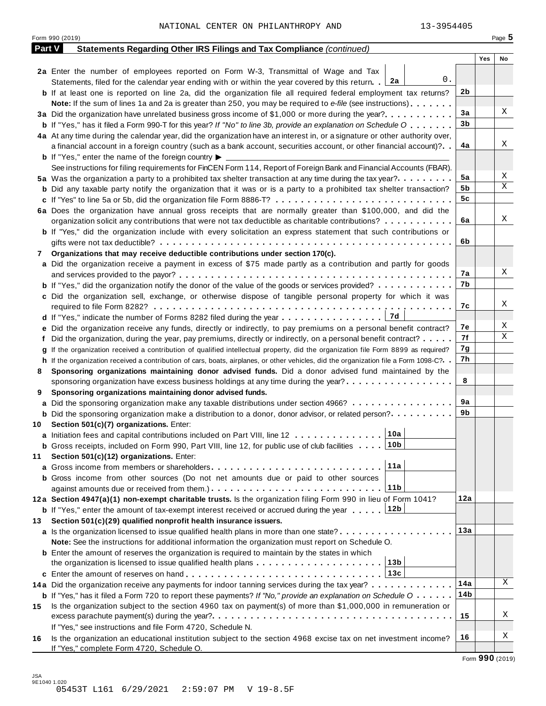| Part V | Form 990 (2019)<br>Statements Regarding Other IRS Filings and Tax Compliance (continued)                                                     |                |     | Page $5$ |
|--------|----------------------------------------------------------------------------------------------------------------------------------------------|----------------|-----|----------|
|        |                                                                                                                                              |                |     |          |
|        |                                                                                                                                              |                |     |          |
|        |                                                                                                                                              |                | Yes | No       |
|        | 2a Enter the number of employees reported on Form W-3, Transmittal of Wage and Tax                                                           |                |     |          |
|        | 0.<br>Statements, filed for the calendar year ending with or within the year covered by this return. 2a                                      |                |     |          |
|        | <b>b</b> If at least one is reported on line 2a, did the organization file all required federal employment tax returns?                      | 2 <sub>b</sub> |     |          |
|        | Note: If the sum of lines 1a and 2a is greater than 250, you may be required to e-file (see instructions)                                    |                |     |          |
|        | 3a Did the organization have unrelated business gross income of \$1,000 or more during the year?                                             | 3a             |     | Χ        |
|        | <b>b</b> If "Yes," has it filed a Form 990-T for this year? If "No" to line 3b, provide an explanation on Schedule O                         | 3b             |     |          |
|        | 4a At any time during the calendar year, did the organization have an interest in, or a signature or other authority over,                   |                |     |          |
|        | a financial account in a foreign country (such as a bank account, securities account, or other financial account)?                           | 4a             |     | Χ        |
|        | <b>b</b> If "Yes," enter the name of the foreign country $\blacktriangleright$                                                               |                |     |          |
|        | See instructions for filing requirements for FinCEN Form 114, Report of Foreign Bank and Financial Accounts (FBAR).                          |                |     |          |
|        | 5a Was the organization a party to a prohibited tax shelter transaction at any time during the tax year?                                     | 5a             |     | Χ        |
|        |                                                                                                                                              | 5b             |     | X        |
|        | <b>b</b> Did any taxable party notify the organization that it was or is a party to a prohibited tax shelter transaction?                    | 5c             |     |          |
|        |                                                                                                                                              |                |     |          |
|        | 6a Does the organization have annual gross receipts that are normally greater than \$100,000, and did the                                    |                |     |          |
|        | organization solicit any contributions that were not tax deductible as charitable contributions?                                             | 6a             |     | Χ        |
|        | <b>b</b> If "Yes," did the organization include with every solicitation an express statement that such contributions or                      |                |     |          |
|        |                                                                                                                                              | 6b             |     |          |
| 7      | Organizations that may receive deductible contributions under section 170(c).                                                                |                |     |          |
|        | a Did the organization receive a payment in excess of \$75 made partly as a contribution and partly for goods                                |                |     |          |
|        |                                                                                                                                              | 7а             |     | Χ        |
|        | <b>b</b> If "Yes," did the organization notify the donor of the value of the goods or services provided?                                     | 7b             |     |          |
|        | c Did the organization sell, exchange, or otherwise dispose of tangible personal property for which it was                                   |                |     |          |
|        |                                                                                                                                              | 7c             |     | Χ        |
|        |                                                                                                                                              |                |     |          |
|        | e Did the organization receive any funds, directly or indirectly, to pay premiums on a personal benefit contract?                            | 7е             |     | Χ        |
|        | f Did the organization, during the year, pay premiums, directly or indirectly, on a personal benefit contract?                               | 7f             |     | Χ        |
|        |                                                                                                                                              | 7g             |     |          |
|        | If the organization received a contribution of qualified intellectual property, did the organization file Form 8899 as required?             | 7h             |     |          |
|        | h If the organization received a contribution of cars, boats, airplanes, or other vehicles, did the organization file a Form 1098-C?. .      |                |     |          |
| 8      | Sponsoring organizations maintaining donor advised funds. Did a donor advised fund maintained by the                                         |                |     |          |
|        | sponsoring organization have excess business holdings at any time during the year?                                                           | 8              |     |          |
| 9      | Sponsoring organizations maintaining donor advised funds.                                                                                    |                |     |          |
|        | a Did the sponsoring organization make any taxable distributions under section 4966?                                                         | 9a             |     |          |
|        | <b>b</b> Did the sponsoring organization make a distribution to a donor, donor advisor, or related person?                                   | 9b             |     |          |
| 10     | Section 501(c)(7) organizations. Enter:                                                                                                      |                |     |          |
|        | 10a<br>a Initiation fees and capital contributions included on Part VIII, line 12                                                            |                |     |          |
|        | <b>b</b> Gross receipts, included on Form 990, Part VIII, line 12, for public use of club facilities $\ldots$ 10b                            |                |     |          |
| 11     | Section 501(c)(12) organizations. Enter:                                                                                                     |                |     |          |
|        | 11a                                                                                                                                          |                |     |          |
|        | <b>b</b> Gross income from other sources (Do not net amounts due or paid to other sources                                                    |                |     |          |
|        | 11b                                                                                                                                          |                |     |          |
|        | 12a Section 4947(a)(1) non-exempt charitable trusts. Is the organization filing Form 990 in lieu of Form 1041?                               | 12a            |     |          |
|        | <b>b</b> If "Yes," enter the amount of tax-exempt interest received or accrued during the year  [12b                                         |                |     |          |
|        |                                                                                                                                              |                |     |          |
| 13     | Section 501(c)(29) qualified nonprofit health insurance issuers.                                                                             | 13a            |     |          |
|        | a Is the organization licensed to issue qualified health plans in more than one state?                                                       |                |     |          |
|        | Note: See the instructions for additional information the organization must report on Schedule O.                                            |                |     |          |
|        | <b>b</b> Enter the amount of reserves the organization is required to maintain by the states in which                                        |                |     |          |
|        | 13b<br>the organization is licensed to issue qualified health plans                                                                          |                |     |          |
|        | 13с                                                                                                                                          |                |     |          |
|        | 14a Did the organization receive any payments for indoor tanning services during the tax year?                                               | 14a            |     | Χ        |
|        | <b>b</b> If "Yes," has it filed a Form 720 to report these payments? If "No," provide an explanation on Schedule $0 \cdot \cdot \cdot \cdot$ | 14b            |     |          |
| 15     | Is the organization subject to the section 4960 tax on payment(s) of more than \$1,000,000 in remuneration or                                |                |     |          |
|        |                                                                                                                                              | 15             |     | Χ        |
|        | If "Yes," see instructions and file Form 4720, Schedule N.                                                                                   |                |     |          |
|        |                                                                                                                                              |                |     |          |
| 16     | Is the organization an educational institution subject to the section 4968 excise tax on net investment income?                              | 16             |     | Χ        |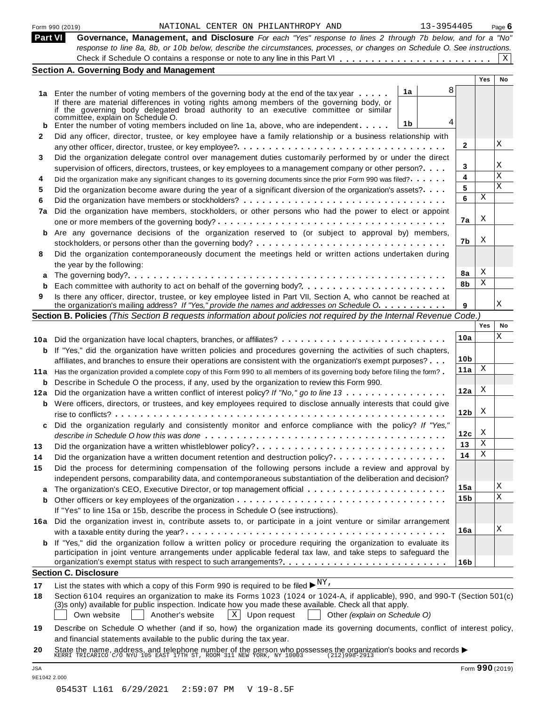| <b>Part VI</b> | Governance, Management, and Disclosure For each "Yes" response to lines 2 through 7b below, and for a "No"                                                                                                                               |                 |     |    |
|----------------|------------------------------------------------------------------------------------------------------------------------------------------------------------------------------------------------------------------------------------------|-----------------|-----|----|
|                | response to line 8a, 8b, or 10b below, describe the circumstances, processes, or changes on Schedule O. See instructions.                                                                                                                |                 |     |    |
|                |                                                                                                                                                                                                                                          |                 |     | X  |
|                | <b>Section A. Governing Body and Management</b>                                                                                                                                                                                          |                 |     |    |
|                |                                                                                                                                                                                                                                          |                 | Yes | No |
|                | 8<br>1a                                                                                                                                                                                                                                  |                 |     |    |
|                | 1a Enter the number of voting members of the governing body at the end of the tax year<br>If there are material differences in voting rights among members of the governing body, or                                                     |                 |     |    |
|                | if the governing body delegated broad authority to an executive committee or similar                                                                                                                                                     |                 |     |    |
|                | committée, explain on Schedule O.<br>4<br>1b<br>Enter the number of voting members included on line 1a, above, who are independent                                                                                                       |                 |     |    |
| b              | Did any officer, director, trustee, or key employee have a family relationship or a business relationship with                                                                                                                           |                 |     |    |
| 2              |                                                                                                                                                                                                                                          | 2               |     | Χ  |
| 3              | Did the organization delegate control over management duties customarily performed by or under the direct                                                                                                                                |                 |     |    |
|                | supervision of officers, directors, trustees, or key employees to a management company or other person?                                                                                                                                  | 3               |     | Χ  |
| 4              | Did the organization make any significant changes to its governing documents since the prior Form 990 was filed?                                                                                                                         | 4               |     | Х  |
| 5              | Did the organization become aware during the year of a significant diversion of the organization's assets?                                                                                                                               | 5               |     | X  |
| 6              |                                                                                                                                                                                                                                          | 6               | X   |    |
| 7a             | Did the organization have members, stockholders, or other persons who had the power to elect or appoint                                                                                                                                  |                 |     |    |
|                |                                                                                                                                                                                                                                          | 7a              | X   |    |
| b              | Are any governance decisions of the organization reserved to (or subject to approval by) members,                                                                                                                                        |                 |     |    |
|                |                                                                                                                                                                                                                                          | 7b              | X   |    |
| 8              | Did the organization contemporaneously document the meetings held or written actions undertaken during                                                                                                                                   |                 |     |    |
|                | the year by the following:                                                                                                                                                                                                               |                 |     |    |
|                |                                                                                                                                                                                                                                          | 8a              | X   |    |
| b              | Each committee with authority to act on behalf of the governing body?                                                                                                                                                                    | 8b              | Χ   |    |
| 9              | Is there any officer, director, trustee, or key employee listed in Part VII, Section A, who cannot be reached at                                                                                                                         |                 |     |    |
|                | the organization's mailing address? If "Yes," provide the names and addresses on Schedule O.                                                                                                                                             | 9               |     | Χ  |
|                | Section B. Policies (This Section B requests information about policies not required by the Internal Revenue Code.)                                                                                                                      |                 |     |    |
|                |                                                                                                                                                                                                                                          |                 | Yes | No |
|                | 10a Did the organization have local chapters, branches, or affiliates?                                                                                                                                                                   | 10a             |     | Χ  |
|                | <b>b</b> If "Yes," did the organization have written policies and procedures governing the activities of such chapters,                                                                                                                  |                 |     |    |
|                | affiliates, and branches to ensure their operations are consistent with the organization's exempt purposes?                                                                                                                              | 10 <sub>b</sub> |     |    |
|                | 11a Has the organization provided a complete copy of this Form 990 to all members of its governing body before filing the form?                                                                                                          | 11a             | X   |    |
|                | <b>b</b> Describe in Schedule O the process, if any, used by the organization to review this Form 990.                                                                                                                                   |                 |     |    |
|                | 12a Did the organization have a written conflict of interest policy? If "No," go to line 13                                                                                                                                              | 12a             | X   |    |
|                | <b>b</b> Were officers, directors, or trustees, and key employees required to disclose annually interests that could give                                                                                                                |                 |     |    |
|                | rise to conflicts?                                                                                                                                                                                                                       | 12 <sub>b</sub> | X   |    |
| c              | Did the organization regularly and consistently monitor and enforce compliance with the policy? If "Yes,"                                                                                                                                |                 |     |    |
|                |                                                                                                                                                                                                                                          | 12с             | X   |    |
| 13             | Did the organization have a written whistleblower policy?                                                                                                                                                                                | 13              | Χ   |    |
| 14             |                                                                                                                                                                                                                                          | 14              | Χ   |    |
| 15             | Did the process for determining compensation of the following persons include a review and approval by                                                                                                                                   |                 |     |    |
|                | independent persons, comparability data, and contemporaneous substantiation of the deliberation and decision?                                                                                                                            |                 |     |    |
|                |                                                                                                                                                                                                                                          | 15a             |     | Χ  |
| b              |                                                                                                                                                                                                                                          | 15b             |     | X  |
|                | If "Yes" to line 15a or 15b, describe the process in Schedule O (see instructions).                                                                                                                                                      |                 |     |    |
| 16a            | Did the organization invest in, contribute assets to, or participate in a joint venture or similar arrangement                                                                                                                           |                 |     |    |
|                |                                                                                                                                                                                                                                          | 16a             |     | Χ  |
| b              | If "Yes," did the organization follow a written policy or procedure requiring the organization to evaluate its                                                                                                                           |                 |     |    |
|                | participation in joint venture arrangements under applicable federal tax law, and take steps to safeguard the<br>organization's exempt status with respect to such arrangements?                                                         |                 |     |    |
|                | <b>Section C. Disclosure</b>                                                                                                                                                                                                             | 16b             |     |    |
|                |                                                                                                                                                                                                                                          |                 |     |    |
| 17             | List the states with which a copy of this Form 990 is required to be filed $\blacktriangleright^{\underline{NY}}$ ,                                                                                                                      |                 |     |    |
| 18             | Section 6104 requires an organization to make its Forms 1023 (1024 or 1024-A, if applicable), 990, and 990-T (Section 501(c)<br>(3)s only) available for public inspection. Indicate how you made these available. Check all that apply. |                 |     |    |
|                | Own website<br>Another's website<br>$X$ Upon request<br>Other (explain on Schedule O)                                                                                                                                                    |                 |     |    |
|                |                                                                                                                                                                                                                                          |                 |     |    |
|                |                                                                                                                                                                                                                                          |                 |     |    |
| 19             | Describe on Schedule O whether (and if so, how) the organization made its governing documents, conflict of interest policy,<br>and financial statements available to the public during the tax year.                                     |                 |     |    |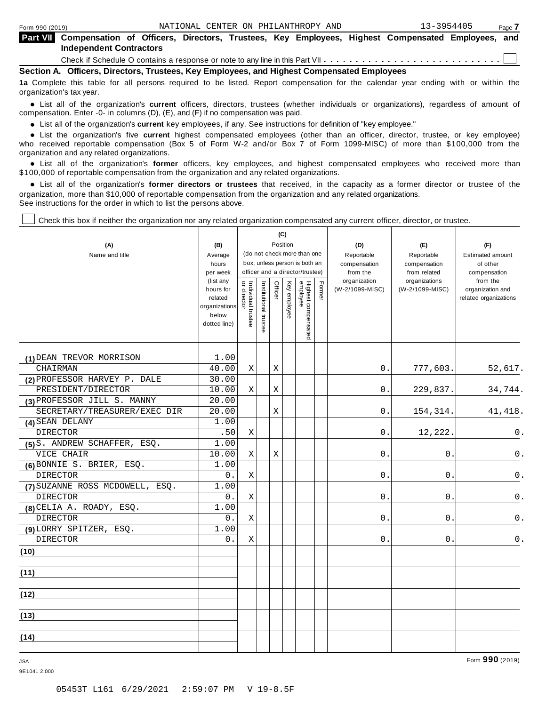| <b>Part VII</b> Compensation of Officers, Directors, Trustees, Key Employees, Highest Compensated Employees, and                  |  |  |  |  |  |  |  |  |  |  |
|-----------------------------------------------------------------------------------------------------------------------------------|--|--|--|--|--|--|--|--|--|--|
| <b>Independent Contractors</b>                                                                                                    |  |  |  |  |  |  |  |  |  |  |
|                                                                                                                                   |  |  |  |  |  |  |  |  |  |  |
| Section A. Officers, Directors, Trustees, Key Employees, and Highest Compensated Employees                                        |  |  |  |  |  |  |  |  |  |  |
| to Complete this table for all persons required to be listed. Pepert compensation for the calendar vear ending with or within the |  |  |  |  |  |  |  |  |  |  |

**1a** Complete this table for all persons required to be listed. Report compensation for the calendar year ending with or within the organization's tax year.

anization's lax year.<br>● List all of the organization's **current** officers, directors, trustees (whether individuals or organizations), regardless of amount of<br>nnensation Enter -0- in columns (D) (E) and (E) if no compensa compensation. Enter -0- in columns (D), (E), and (F) if no compensation was paid.

• List all of the organization's **current** key employees, if any. See instructions for definition of "key employee."<br>● List the experientials five expect highest expressed explores (other than an efficer director of

**Example in the organization's current** key employees, if any. See instructions for definition of key employee.<br>• List the organization's five **current** highest compensated employees (other than an officer, director, trust who received reportable compensation (Box 5 of Form W-2 and/or Box 7 of Form 1099-MISC) of more than \$100,000 from the

organization and any related organizations.<br>• List all of the organization's **former** officers, key employees, and highest compensated employees who received more than<br>\$1.00.000 of reportable componention from the erganiza \$100,000 of reportable compensation from the organization and any related organizations.

% List all of the organization's **former directors or trustees** that received, in the capacity as a former director or trustee of the organization, more than \$10,000 of reportable compensation from the organization and any related organizations. See instructions for the order in which to list the persons above.

 $\mathbf{C}$ 

┱

Check this box if neither the organization nor any related organization compensated any current officer, director, or trustee.

| (A)<br>Name and title           | (B)<br>Average<br>hours<br>per week<br>(list any<br>hours for<br>related<br>organizations<br>below<br>dotted line) | Individual trustee<br>  or director | Institutional trustee | Officer | (C)<br>Position<br>Key employee | (do not check more than one<br>box, unless person is both an<br>officer and a director/trustee)<br>Highest compensated<br>employee | Fomer | (D)<br>Reportable<br>compensation<br>from the<br>organization<br>(W-2/1099-MISC) | (E)<br>Reportable<br>compensation<br>from related<br>organizations<br>(W-2/1099-MISC) | (F)<br><b>Estimated amount</b><br>of other<br>compensation<br>from the<br>organization and<br>related organizations |
|---------------------------------|--------------------------------------------------------------------------------------------------------------------|-------------------------------------|-----------------------|---------|---------------------------------|------------------------------------------------------------------------------------------------------------------------------------|-------|----------------------------------------------------------------------------------|---------------------------------------------------------------------------------------|---------------------------------------------------------------------------------------------------------------------|
| (1) DEAN TREVOR MORRISON        | 1.00                                                                                                               |                                     |                       |         |                                 |                                                                                                                                    |       |                                                                                  |                                                                                       |                                                                                                                     |
| CHAIRMAN                        | 40.00                                                                                                              | X                                   |                       | Χ       |                                 |                                                                                                                                    |       | 0.                                                                               | 777,603.                                                                              | 52,617.                                                                                                             |
| (2) PROFESSOR HARVEY P. DALE    | 30.00                                                                                                              |                                     |                       |         |                                 |                                                                                                                                    |       |                                                                                  |                                                                                       |                                                                                                                     |
| PRESIDENT/DIRECTOR              | 10.00                                                                                                              | X                                   |                       | Χ       |                                 |                                                                                                                                    |       | 0                                                                                | 229,837.                                                                              | 34,744.                                                                                                             |
| (3) PROFESSOR JILL S. MANNY     | 20.00                                                                                                              |                                     |                       |         |                                 |                                                                                                                                    |       |                                                                                  |                                                                                       |                                                                                                                     |
| SECRETARY/TREASURER/EXEC DIR    | 20.00                                                                                                              |                                     |                       | X       |                                 |                                                                                                                                    |       | 0.                                                                               | 154, 314.                                                                             | 41, 418.                                                                                                            |
| (4) SEAN DELANY                 | 1.00                                                                                                               |                                     |                       |         |                                 |                                                                                                                                    |       |                                                                                  |                                                                                       |                                                                                                                     |
| <b>DIRECTOR</b>                 | .50                                                                                                                | X                                   |                       |         |                                 |                                                                                                                                    |       | 0.                                                                               | 12,222                                                                                | 0.                                                                                                                  |
| (5) S. ANDREW SCHAFFER, ESQ.    | 1.00                                                                                                               |                                     |                       |         |                                 |                                                                                                                                    |       |                                                                                  |                                                                                       |                                                                                                                     |
| VICE CHAIR                      | 10.00                                                                                                              | $\mathbf X$                         |                       | Χ       |                                 |                                                                                                                                    |       | 0                                                                                | 0                                                                                     | 0.                                                                                                                  |
| (6) BONNIE S. BRIER, ESQ.       | 1.00                                                                                                               |                                     |                       |         |                                 |                                                                                                                                    |       |                                                                                  |                                                                                       |                                                                                                                     |
| <b>DIRECTOR</b>                 | 0.                                                                                                                 | X                                   |                       |         |                                 |                                                                                                                                    |       | 0                                                                                | $\mathbf 0$ .                                                                         | $0$ .                                                                                                               |
| (7) SUZANNE ROSS MCDOWELL, ESQ. | 1.00                                                                                                               |                                     |                       |         |                                 |                                                                                                                                    |       |                                                                                  |                                                                                       |                                                                                                                     |
| <b>DIRECTOR</b>                 | 0.                                                                                                                 | X                                   |                       |         |                                 |                                                                                                                                    |       | 0                                                                                | 0                                                                                     | 0.                                                                                                                  |
| (8) CELIA A. ROADY, ESQ.        | 1.00                                                                                                               |                                     |                       |         |                                 |                                                                                                                                    |       |                                                                                  |                                                                                       |                                                                                                                     |
| <b>DIRECTOR</b>                 | 0.                                                                                                                 | $\mathbf X$                         |                       |         |                                 |                                                                                                                                    |       | $\mathbf 0$                                                                      | 0                                                                                     | $0$ .                                                                                                               |
| (9) LORRY SPITZER, ESQ.         | 1.00                                                                                                               |                                     |                       |         |                                 |                                                                                                                                    |       |                                                                                  |                                                                                       |                                                                                                                     |
| <b>DIRECTOR</b>                 | 0.                                                                                                                 | X                                   |                       |         |                                 |                                                                                                                                    |       | 0.                                                                               | 0.                                                                                    | $0$ .                                                                                                               |
| (10)                            |                                                                                                                    |                                     |                       |         |                                 |                                                                                                                                    |       |                                                                                  |                                                                                       |                                                                                                                     |
| (11)                            |                                                                                                                    |                                     |                       |         |                                 |                                                                                                                                    |       |                                                                                  |                                                                                       |                                                                                                                     |
| (12)                            |                                                                                                                    |                                     |                       |         |                                 |                                                                                                                                    |       |                                                                                  |                                                                                       |                                                                                                                     |
| (13)                            |                                                                                                                    |                                     |                       |         |                                 |                                                                                                                                    |       |                                                                                  |                                                                                       |                                                                                                                     |
| (14)                            |                                                                                                                    |                                     |                       |         |                                 |                                                                                                                                    |       |                                                                                  |                                                                                       |                                                                                                                     |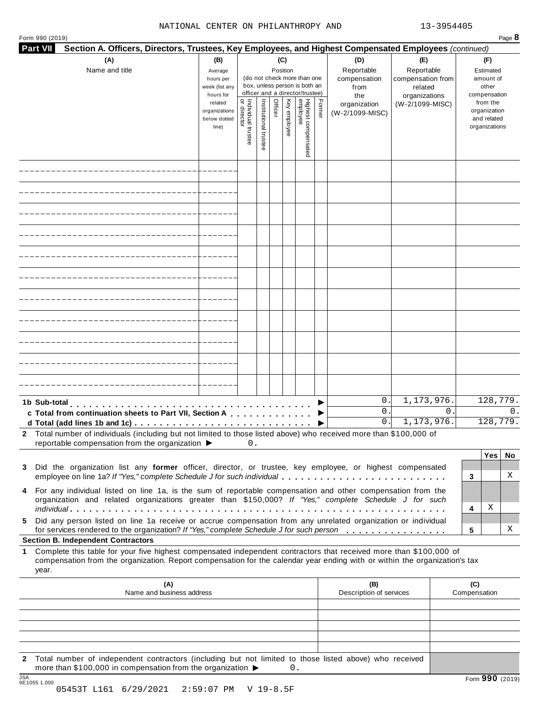#### NATIONAL CENTER ON PHILANTHROPY AND 13-3954405

| (A)<br>(C)<br>(B)<br>(D)<br>Reportable<br>Name and title<br>Position<br>Average<br>(do not check more than one<br>compensation<br>hours per<br>box, unless person is both an<br>week (list any<br>from<br>officer and a director/trustee)<br>hours for<br>the<br>Individual trustee<br>or director<br>Highest compensated<br>employee<br>Institutional trustee<br>Key employee<br>Former<br>Officer<br>related<br>organization<br>organizations<br>(W-2/1099-MISC)<br>below dotted<br>line)<br>0.<br>1b Sub-total<br>0.<br>c Total from continuation sheets to Part VII, Section A Contact Lines and Total and Total and Total and Total A<br>0.<br>2 Total number of individuals (including but not limited to those listed above) who received more than \$100,000 of<br>reportable compensation from the organization ▶<br>0.<br>Did the organization list any former officer, director, or trustee, key employee, or highest compensated<br>3<br>employee on line 1a? If "Yes," complete Schedule J for such individual<br>4 For any individual listed on line 1a, is the sum of reportable compensation and other compensation from the<br>organization and related organizations greater than \$150,000? If "Yes," complete Schedule J for such<br>Did any person listed on line 1a receive or accrue compensation from any unrelated organization or individual<br>5.<br>for services rendered to the organization? If "Yes," complete Schedule J for such person<br><b>Section B. Independent Contractors</b><br>Complete this table for your five highest compensated independent contractors that received more than \$100,000 of<br>1<br>compensation from the organization. Report compensation for the calendar year ending with or within the organization's tax<br>year.<br>(A)<br>(B)<br>Description of services<br>Name and business address | Section A. Officers, Directors, Trustees, Key Employees, and Highest Compensated Employees (continued) |                                                          |
|---------------------------------------------------------------------------------------------------------------------------------------------------------------------------------------------------------------------------------------------------------------------------------------------------------------------------------------------------------------------------------------------------------------------------------------------------------------------------------------------------------------------------------------------------------------------------------------------------------------------------------------------------------------------------------------------------------------------------------------------------------------------------------------------------------------------------------------------------------------------------------------------------------------------------------------------------------------------------------------------------------------------------------------------------------------------------------------------------------------------------------------------------------------------------------------------------------------------------------------------------------------------------------------------------------------------------------------------------------------------------------------------------------------------------------------------------------------------------------------------------------------------------------------------------------------------------------------------------------------------------------------------------------------------------------------------------------------------------------------------------------------------------------------------------------------------------------------------------------------|--------------------------------------------------------------------------------------------------------|----------------------------------------------------------|
|                                                                                                                                                                                                                                                                                                                                                                                                                                                                                                                                                                                                                                                                                                                                                                                                                                                                                                                                                                                                                                                                                                                                                                                                                                                                                                                                                                                                                                                                                                                                                                                                                                                                                                                                                                                                                                                               | (E)<br>Reportable<br>compensation from<br>related<br>organizations                                     | (F)<br>Estimated<br>amount of<br>other<br>compensation   |
|                                                                                                                                                                                                                                                                                                                                                                                                                                                                                                                                                                                                                                                                                                                                                                                                                                                                                                                                                                                                                                                                                                                                                                                                                                                                                                                                                                                                                                                                                                                                                                                                                                                                                                                                                                                                                                                               | (W-2/1099-MISC)                                                                                        | from the<br>organization<br>and related<br>organizations |
|                                                                                                                                                                                                                                                                                                                                                                                                                                                                                                                                                                                                                                                                                                                                                                                                                                                                                                                                                                                                                                                                                                                                                                                                                                                                                                                                                                                                                                                                                                                                                                                                                                                                                                                                                                                                                                                               |                                                                                                        |                                                          |
|                                                                                                                                                                                                                                                                                                                                                                                                                                                                                                                                                                                                                                                                                                                                                                                                                                                                                                                                                                                                                                                                                                                                                                                                                                                                                                                                                                                                                                                                                                                                                                                                                                                                                                                                                                                                                                                               |                                                                                                        |                                                          |
|                                                                                                                                                                                                                                                                                                                                                                                                                                                                                                                                                                                                                                                                                                                                                                                                                                                                                                                                                                                                                                                                                                                                                                                                                                                                                                                                                                                                                                                                                                                                                                                                                                                                                                                                                                                                                                                               |                                                                                                        |                                                          |
|                                                                                                                                                                                                                                                                                                                                                                                                                                                                                                                                                                                                                                                                                                                                                                                                                                                                                                                                                                                                                                                                                                                                                                                                                                                                                                                                                                                                                                                                                                                                                                                                                                                                                                                                                                                                                                                               |                                                                                                        |                                                          |
|                                                                                                                                                                                                                                                                                                                                                                                                                                                                                                                                                                                                                                                                                                                                                                                                                                                                                                                                                                                                                                                                                                                                                                                                                                                                                                                                                                                                                                                                                                                                                                                                                                                                                                                                                                                                                                                               |                                                                                                        |                                                          |
|                                                                                                                                                                                                                                                                                                                                                                                                                                                                                                                                                                                                                                                                                                                                                                                                                                                                                                                                                                                                                                                                                                                                                                                                                                                                                                                                                                                                                                                                                                                                                                                                                                                                                                                                                                                                                                                               |                                                                                                        |                                                          |
|                                                                                                                                                                                                                                                                                                                                                                                                                                                                                                                                                                                                                                                                                                                                                                                                                                                                                                                                                                                                                                                                                                                                                                                                                                                                                                                                                                                                                                                                                                                                                                                                                                                                                                                                                                                                                                                               |                                                                                                        |                                                          |
|                                                                                                                                                                                                                                                                                                                                                                                                                                                                                                                                                                                                                                                                                                                                                                                                                                                                                                                                                                                                                                                                                                                                                                                                                                                                                                                                                                                                                                                                                                                                                                                                                                                                                                                                                                                                                                                               |                                                                                                        |                                                          |
|                                                                                                                                                                                                                                                                                                                                                                                                                                                                                                                                                                                                                                                                                                                                                                                                                                                                                                                                                                                                                                                                                                                                                                                                                                                                                                                                                                                                                                                                                                                                                                                                                                                                                                                                                                                                                                                               |                                                                                                        |                                                          |
|                                                                                                                                                                                                                                                                                                                                                                                                                                                                                                                                                                                                                                                                                                                                                                                                                                                                                                                                                                                                                                                                                                                                                                                                                                                                                                                                                                                                                                                                                                                                                                                                                                                                                                                                                                                                                                                               |                                                                                                        |                                                          |
|                                                                                                                                                                                                                                                                                                                                                                                                                                                                                                                                                                                                                                                                                                                                                                                                                                                                                                                                                                                                                                                                                                                                                                                                                                                                                                                                                                                                                                                                                                                                                                                                                                                                                                                                                                                                                                                               |                                                                                                        |                                                          |
|                                                                                                                                                                                                                                                                                                                                                                                                                                                                                                                                                                                                                                                                                                                                                                                                                                                                                                                                                                                                                                                                                                                                                                                                                                                                                                                                                                                                                                                                                                                                                                                                                                                                                                                                                                                                                                                               | 1,173,976.<br>$\Omega$ .<br>1,173,976.                                                                 | 128,779.<br>$\Omega$ .<br>128,779.                       |
|                                                                                                                                                                                                                                                                                                                                                                                                                                                                                                                                                                                                                                                                                                                                                                                                                                                                                                                                                                                                                                                                                                                                                                                                                                                                                                                                                                                                                                                                                                                                                                                                                                                                                                                                                                                                                                                               |                                                                                                        |                                                          |
|                                                                                                                                                                                                                                                                                                                                                                                                                                                                                                                                                                                                                                                                                                                                                                                                                                                                                                                                                                                                                                                                                                                                                                                                                                                                                                                                                                                                                                                                                                                                                                                                                                                                                                                                                                                                                                                               |                                                                                                        | Yes<br>No.<br>Χ<br>3                                     |
|                                                                                                                                                                                                                                                                                                                                                                                                                                                                                                                                                                                                                                                                                                                                                                                                                                                                                                                                                                                                                                                                                                                                                                                                                                                                                                                                                                                                                                                                                                                                                                                                                                                                                                                                                                                                                                                               |                                                                                                        | Χ<br>4                                                   |
|                                                                                                                                                                                                                                                                                                                                                                                                                                                                                                                                                                                                                                                                                                                                                                                                                                                                                                                                                                                                                                                                                                                                                                                                                                                                                                                                                                                                                                                                                                                                                                                                                                                                                                                                                                                                                                                               |                                                                                                        | Χ<br>5                                                   |
|                                                                                                                                                                                                                                                                                                                                                                                                                                                                                                                                                                                                                                                                                                                                                                                                                                                                                                                                                                                                                                                                                                                                                                                                                                                                                                                                                                                                                                                                                                                                                                                                                                                                                                                                                                                                                                                               |                                                                                                        |                                                          |
|                                                                                                                                                                                                                                                                                                                                                                                                                                                                                                                                                                                                                                                                                                                                                                                                                                                                                                                                                                                                                                                                                                                                                                                                                                                                                                                                                                                                                                                                                                                                                                                                                                                                                                                                                                                                                                                               |                                                                                                        |                                                          |
|                                                                                                                                                                                                                                                                                                                                                                                                                                                                                                                                                                                                                                                                                                                                                                                                                                                                                                                                                                                                                                                                                                                                                                                                                                                                                                                                                                                                                                                                                                                                                                                                                                                                                                                                                                                                                                                               |                                                                                                        | (C)<br>Compensation                                      |
|                                                                                                                                                                                                                                                                                                                                                                                                                                                                                                                                                                                                                                                                                                                                                                                                                                                                                                                                                                                                                                                                                                                                                                                                                                                                                                                                                                                                                                                                                                                                                                                                                                                                                                                                                                                                                                                               |                                                                                                        |                                                          |
| Total number of independent contractors (including but not limited to those listed above) who received                                                                                                                                                                                                                                                                                                                                                                                                                                                                                                                                                                                                                                                                                                                                                                                                                                                                                                                                                                                                                                                                                                                                                                                                                                                                                                                                                                                                                                                                                                                                                                                                                                                                                                                                                        |                                                                                                        |                                                          |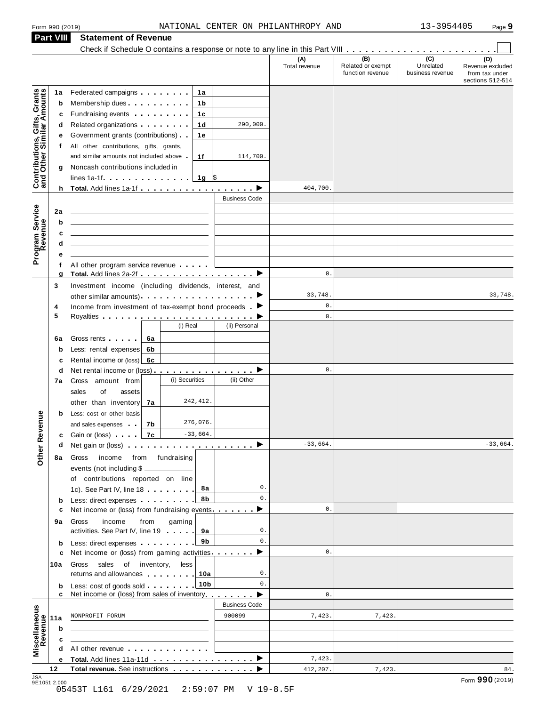|                                                           | Form 990 (2019) |                                                                                                                                                                                                                                                              |                      | NATIONAL CENTER ON PHILANTHROPY AND |                                              | 13-3954405                                        | Page 9                                                        |
|-----------------------------------------------------------|-----------------|--------------------------------------------------------------------------------------------------------------------------------------------------------------------------------------------------------------------------------------------------------------|----------------------|-------------------------------------|----------------------------------------------|---------------------------------------------------|---------------------------------------------------------------|
|                                                           | Part VIII       | <b>Statement of Revenue</b>                                                                                                                                                                                                                                  |                      |                                     |                                              |                                                   |                                                               |
|                                                           |                 |                                                                                                                                                                                                                                                              |                      |                                     |                                              |                                                   |                                                               |
|                                                           |                 |                                                                                                                                                                                                                                                              |                      | (A)<br>Total revenue                | (B)<br>Related or exempt<br>function revenue | $\overline{(c)}$<br>Unrelated<br>business revenue | (D)<br>Revenue excluded<br>from tax under<br>sections 512-514 |
|                                                           | 1a              | Federated campaigns <b>Federated</b><br>1a                                                                                                                                                                                                                   |                      |                                     |                                              |                                                   |                                                               |
|                                                           | b               | Membership dues<br>1b                                                                                                                                                                                                                                        |                      |                                     |                                              |                                                   |                                                               |
| Contributions, Gifts, Grants<br>and Other Similar Amounts | с               | Fundraising events <b>Fundraising</b><br>1c                                                                                                                                                                                                                  |                      |                                     |                                              |                                                   |                                                               |
|                                                           | d               | 1 <sub>d</sub><br>Related organizations <b>contains</b>                                                                                                                                                                                                      | 290,000.             |                                     |                                              |                                                   |                                                               |
|                                                           | е               | Government grants (contributions)<br>1e                                                                                                                                                                                                                      |                      |                                     |                                              |                                                   |                                                               |
|                                                           | f               | All other contributions, gifts, grants,                                                                                                                                                                                                                      |                      |                                     |                                              |                                                   |                                                               |
|                                                           |                 | and similar amounts not included above<br>1f                                                                                                                                                                                                                 | 114,700.             |                                     |                                              |                                                   |                                                               |
|                                                           | g               | Noncash contributions included in<br>lines 1a-1f. $\ldots$   1g   \$                                                                                                                                                                                         |                      |                                     |                                              |                                                   |                                                               |
| Program Service                                           |                 |                                                                                                                                                                                                                                                              |                      | 404,700.                            |                                              |                                                   |                                                               |
|                                                           |                 |                                                                                                                                                                                                                                                              | <b>Business Code</b> |                                     |                                              |                                                   |                                                               |
|                                                           | 2a              |                                                                                                                                                                                                                                                              |                      |                                     |                                              |                                                   |                                                               |
|                                                           | b               |                                                                                                                                                                                                                                                              |                      |                                     |                                              |                                                   |                                                               |
|                                                           | c               | <u> 1989 - John Stein, amerikansk politiker (</u>                                                                                                                                                                                                            |                      |                                     |                                              |                                                   |                                                               |
|                                                           | d               | <u> 1989 - John Stein, Amerikaansk politiker (</u>                                                                                                                                                                                                           |                      |                                     |                                              |                                                   |                                                               |
|                                                           | е               |                                                                                                                                                                                                                                                              |                      |                                     |                                              |                                                   |                                                               |
|                                                           | f<br>g          | All other program service revenue<br>Total. Add lines 2a-2f ▶                                                                                                                                                                                                |                      | 0.                                  |                                              |                                                   |                                                               |
|                                                           | 3               | Investment income (including dividends, interest, and                                                                                                                                                                                                        |                      |                                     |                                              |                                                   |                                                               |
|                                                           |                 |                                                                                                                                                                                                                                                              |                      | 33,748.                             |                                              |                                                   | 33,748.                                                       |
|                                                           | 4               | Income from investment of tax-exempt bond proceeds $\blacktriangleright$                                                                                                                                                                                     |                      | 0.                                  |                                              |                                                   |                                                               |
|                                                           | 5               | (i) Real                                                                                                                                                                                                                                                     |                      | $\mathbf{0}$ .                      |                                              |                                                   |                                                               |
|                                                           |                 |                                                                                                                                                                                                                                                              | (ii) Personal        |                                     |                                              |                                                   |                                                               |
|                                                           | 6a<br>b         | Gross rents<br>6а<br>Less: rental expenses<br>6b                                                                                                                                                                                                             |                      |                                     |                                              |                                                   |                                                               |
|                                                           | c               | Rental income or (loss)<br>6с                                                                                                                                                                                                                                |                      |                                     |                                              |                                                   |                                                               |
|                                                           | d               | Net rental income or (loss) $\ldots$ , $\ldots$ , $\ldots$ , $\blacktriangleright$                                                                                                                                                                           |                      | 0.                                  |                                              |                                                   |                                                               |
|                                                           | 7a              | (i) Securities<br>Gross amount from                                                                                                                                                                                                                          | (ii) Other           |                                     |                                              |                                                   |                                                               |
|                                                           |                 | sales<br>of<br>assets                                                                                                                                                                                                                                        |                      |                                     |                                              |                                                   |                                                               |
|                                                           |                 | 242, 412.<br>other than inventory<br>7а                                                                                                                                                                                                                      |                      |                                     |                                              |                                                   |                                                               |
|                                                           | b               | Less: cost or other basis<br>276,076.<br>and sales expenses<br>7b                                                                                                                                                                                            |                      |                                     |                                              |                                                   |                                                               |
|                                                           | c               | $-33,664.$<br>7с<br>Gain or (loss) [1999]                                                                                                                                                                                                                    |                      |                                     |                                              |                                                   |                                                               |
|                                                           | d               | Net gain or (loss) $\cdots$ $\cdots$ $\cdots$ $\cdots$ $\cdots$ $\cdots$ $\cdots$                                                                                                                                                                            |                      | $-33,664.$                          |                                              |                                                   | $-33,664.$                                                    |
|                                                           | 8а              | Gross<br>income from fundraising                                                                                                                                                                                                                             |                      |                                     |                                              |                                                   |                                                               |
|                                                           |                 | events (not including \$                                                                                                                                                                                                                                     |                      |                                     |                                              |                                                   |                                                               |
|                                                           |                 | of contributions reported on line                                                                                                                                                                                                                            |                      |                                     |                                              |                                                   |                                                               |
|                                                           |                 | 1c). See Part IV, line 18<br>8а<br>8b                                                                                                                                                                                                                        | 0.<br>0.             |                                     |                                              |                                                   |                                                               |
| Other Revenue                                             | b<br>c          | Less: direct expenses<br>Net income or (loss) from fundraising events ▶                                                                                                                                                                                      |                      | 0.                                  |                                              |                                                   |                                                               |
|                                                           | 9а              | Gross<br>income<br>from<br>gaming                                                                                                                                                                                                                            |                      |                                     |                                              |                                                   |                                                               |
|                                                           |                 | activities. See Part IV, line 19<br>9а                                                                                                                                                                                                                       | 0.                   |                                     |                                              |                                                   |                                                               |
|                                                           | b               | 9b<br>Less: direct expenses                                                                                                                                                                                                                                  | 0.                   |                                     |                                              |                                                   |                                                               |
|                                                           | c               | Net income or (loss) from gaming activities. $\blacksquare$                                                                                                                                                                                                  |                      | 0.                                  |                                              |                                                   |                                                               |
|                                                           | 10a             | sales<br>of inventory,<br>Gross<br>less                                                                                                                                                                                                                      | 0.                   |                                     |                                              |                                                   |                                                               |
|                                                           |                 | returns and allowances [1,1,1,1,1,1]<br>10a<br>10 <sub>b</sub>                                                                                                                                                                                               | 0.                   |                                     |                                              |                                                   |                                                               |
|                                                           | b<br>c          | Less: cost of goods sold<br>Net income or (loss) from sales of inventory                                                                                                                                                                                     |                      | 0.                                  |                                              |                                                   |                                                               |
|                                                           |                 |                                                                                                                                                                                                                                                              | <b>Business Code</b> |                                     |                                              |                                                   |                                                               |
| Miscellaneous<br>Revenue                                  | 11a             | NONPROFIT FORUM                                                                                                                                                                                                                                              | 900099               | 7,423.                              | 7,423.                                       |                                                   |                                                               |
|                                                           | b               |                                                                                                                                                                                                                                                              |                      |                                     |                                              |                                                   |                                                               |
|                                                           | с               |                                                                                                                                                                                                                                                              |                      |                                     |                                              |                                                   |                                                               |
|                                                           | d               | All other revenue experience and the set of the set of the set of the set of the set of the set of the set of the set of the set of the set of the set of the set of the set of the set of the set of the set of the set of th<br>Total. Add lines 11a-11d ▶ |                      | 7,423.                              |                                              |                                                   |                                                               |
|                                                           | е<br>12         | Total revenue. See instructions                                                                                                                                                                                                                              |                      | 412,207.                            | 7,423.                                       |                                                   | 84.                                                           |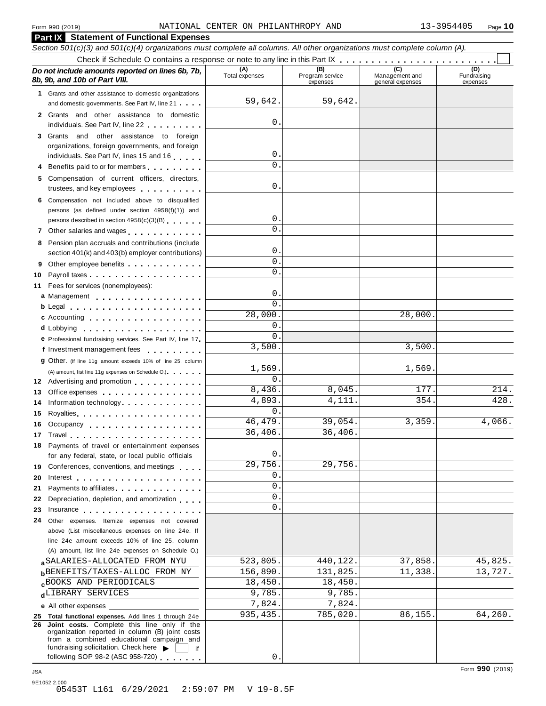| Form 990 (2019)                                                                                                                                                                                                                     | NATIONAL CENTER ON PHILANTHROPY AND |                                    |                                           | 13-3954405<br>Page 10   |
|-------------------------------------------------------------------------------------------------------------------------------------------------------------------------------------------------------------------------------------|-------------------------------------|------------------------------------|-------------------------------------------|-------------------------|
| <b>Part IX</b> Statement of Functional Expenses                                                                                                                                                                                     |                                     |                                    |                                           |                         |
| Section 501(c)(3) and 501(c)(4) organizations must complete all columns. All other organizations must complete column (A).                                                                                                          |                                     |                                    |                                           |                         |
|                                                                                                                                                                                                                                     |                                     |                                    |                                           | (D)                     |
| Do not include amounts reported on lines 6b, 7b,<br>8b, 9b, and 10b of Part VIII.                                                                                                                                                   | (A)<br>Total expenses               | (B)<br>Program service<br>expenses | (C)<br>Management and<br>general expenses | Fundraising<br>expenses |
| 1 Grants and other assistance to domestic organizations                                                                                                                                                                             |                                     |                                    |                                           |                         |
| and domestic governments. See Part IV, line 21                                                                                                                                                                                      | 59,642.                             | 59,642.                            |                                           |                         |
| 2 Grants and other assistance to domestic                                                                                                                                                                                           |                                     |                                    |                                           |                         |
| individuals. See Part IV, line 22                                                                                                                                                                                                   | $\mathbf{0}$                        |                                    |                                           |                         |
| 3 Grants and other assistance to foreign                                                                                                                                                                                            |                                     |                                    |                                           |                         |
| organizations, foreign governments, and foreign                                                                                                                                                                                     |                                     |                                    |                                           |                         |
| individuals. See Part IV, lines 15 and 16                                                                                                                                                                                           | 0<br>$\Omega$                       |                                    |                                           |                         |
| Benefits paid to or for members<br>4                                                                                                                                                                                                |                                     |                                    |                                           |                         |
| Compensation of current officers, directors,<br>5.                                                                                                                                                                                  | 0                                   |                                    |                                           |                         |
| trustees, and key employees                                                                                                                                                                                                         |                                     |                                    |                                           |                         |
| Compensation not included above to disqualified<br>6                                                                                                                                                                                |                                     |                                    |                                           |                         |
| persons (as defined under section 4958(f)(1)) and<br>persons described in section 4958(c)(3)(B)                                                                                                                                     | 0                                   |                                    |                                           |                         |
| Other salaries and wages<br>7                                                                                                                                                                                                       | $\Omega$                            |                                    |                                           |                         |
| Pension plan accruals and contributions (include<br>8                                                                                                                                                                               |                                     |                                    |                                           |                         |
| section 401(k) and 403(b) employer contributions)                                                                                                                                                                                   | 0                                   |                                    |                                           |                         |
| 9                                                                                                                                                                                                                                   | $\mathbf 0$                         |                                    |                                           |                         |
| 10                                                                                                                                                                                                                                  | $\Omega$                            |                                    |                                           |                         |
| Fees for services (nonemployees):<br>11                                                                                                                                                                                             |                                     |                                    |                                           |                         |
| a Management                                                                                                                                                                                                                        | 0                                   |                                    |                                           |                         |
| b Legal experience in the set of the set of the set of the set of the set of the set of the set of the set of the set of the set of the set of the set of the set of the set of the set of the set of the set of the set of th      | $\Omega$                            |                                    |                                           |                         |
| c Accounting                                                                                                                                                                                                                        | 28,000                              |                                    | 28,000.                                   |                         |
| d Lobbying                                                                                                                                                                                                                          | 0<br>$\Omega$                       |                                    |                                           |                         |
| e Professional fundraising services. See Part IV, line 17                                                                                                                                                                           | 3,500                               |                                    | 3,500.                                    |                         |
| f Investment management fees                                                                                                                                                                                                        |                                     |                                    |                                           |                         |
| 9 Other. (If line 11g amount exceeds 10% of line 25, column                                                                                                                                                                         | 1,569.                              |                                    | 1,569.                                    |                         |
| (A) amount, list line 11g expenses on Schedule O.) expenses                                                                                                                                                                         | 0                                   |                                    |                                           |                         |
| 12 Advertising and promotion                                                                                                                                                                                                        | 8,436.                              | 8,045.                             | 177.                                      | 214.                    |
| 13 Office expenses<br>Information technology.                                                                                                                                                                                       | 4,893                               | 4,111.                             | 354.                                      | 428.                    |
| 15                                                                                                                                                                                                                                  | $\Omega$                            |                                    |                                           |                         |
| Occupancy<br>16                                                                                                                                                                                                                     | 46, 479.                            | 39,054.                            | 3,359.                                    | 4,066.                  |
| 17                                                                                                                                                                                                                                  | 36,406.                             | 36,406.                            |                                           |                         |
| Payments of travel or entertainment expenses<br>18                                                                                                                                                                                  |                                     |                                    |                                           |                         |
| for any federal, state, or local public officials                                                                                                                                                                                   | 0                                   |                                    |                                           |                         |
| Conferences, conventions, and meetings<br>19                                                                                                                                                                                        | 29,756.                             | 29,756.                            |                                           |                         |
| 20<br>Interest $\ldots \ldots \ldots \ldots \ldots \ldots$                                                                                                                                                                          | 0                                   |                                    |                                           |                         |
| Payments to affiliates entertainment of the state of the state of the state of the state of the state of the state of the state of the state of the state of the state of the state of the state of the state of the state of<br>21 | 0                                   |                                    |                                           |                         |
| Depreciation, depletion, and amortization<br>22                                                                                                                                                                                     | $\mathbf 0$                         |                                    |                                           |                         |
| 23<br>Insurance                                                                                                                                                                                                                     | $\Omega$                            |                                    |                                           |                         |
| Other expenses. Itemize expenses not covered<br>24                                                                                                                                                                                  |                                     |                                    |                                           |                         |
| above (List miscellaneous expenses on line 24e. If                                                                                                                                                                                  |                                     |                                    |                                           |                         |
| line 24e amount exceeds 10% of line 25, column<br>(A) amount, list line 24e expenses on Schedule O.)                                                                                                                                |                                     |                                    |                                           |                         |
| SALARIES-ALLOCATED FROM NYU                                                                                                                                                                                                         | 523,805.                            | 440,122.                           | 37,858.                                   | 45,825.                 |
| <b>BENEFITS/TAXES-ALLOC FROM NY</b>                                                                                                                                                                                                 | 156,890.                            | 131,825.                           | 11,338.                                   | 13,727.                 |
| <b>CBOOKS AND PERIODICALS</b>                                                                                                                                                                                                       | 18,450.                             | 18,450.                            |                                           |                         |
| dLIBRARY SERVICES                                                                                                                                                                                                                   | 9,785.                              | 9,785.                             |                                           |                         |
| e All other expenses                                                                                                                                                                                                                | 7,824.                              | 7,824.                             |                                           |                         |
| 25 Total functional expenses. Add lines 1 through 24e                                                                                                                                                                               | 935, 435.                           | 785,020.                           | 86,155.                                   | 64,260.                 |
| 26 Joint costs. Complete this line only if the                                                                                                                                                                                      |                                     |                                    |                                           |                         |
| organization reported in column (B) joint costs<br>from a combined educational campaign and                                                                                                                                         |                                     |                                    |                                           |                         |
| fundraising solicitation. Check here<br>if                                                                                                                                                                                          |                                     |                                    |                                           |                         |
| following SOP 98-2 (ASC 958-720)                                                                                                                                                                                                    | 0                                   |                                    |                                           |                         |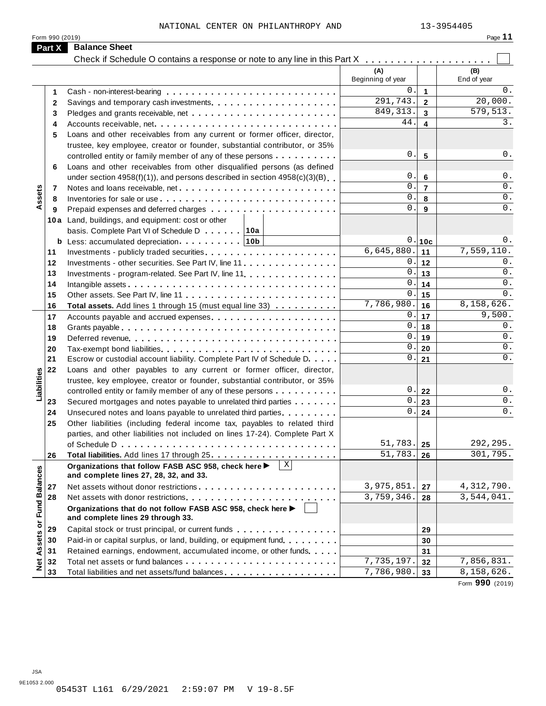Form 990 (2019)

| <br>п<br>и |  |
|------------|--|
|------------|--|

|                             | Part X   | <b>Balance Sheet</b>                                                                                                           |                          |                |                                     |
|-----------------------------|----------|--------------------------------------------------------------------------------------------------------------------------------|--------------------------|----------------|-------------------------------------|
|                             |          | Check if Schedule O contains a response or note to any line in this Part X                                                     |                          |                |                                     |
|                             |          |                                                                                                                                | (A)<br>Beginning of year |                | (B)<br>End of year                  |
|                             | 1        |                                                                                                                                | 0.                       | 1              | 0.                                  |
|                             | 2        |                                                                                                                                | 291,743.                 | $\mathbf{2}$   | 20,000.                             |
|                             | 3        |                                                                                                                                | 849, 313.                | 3              | 579, 513.                           |
|                             | 4        | Accounts receivable, net                                                                                                       | 44.                      | 4              | 3.                                  |
|                             | 5        | Loans and other receivables from any current or former officer, director,                                                      |                          |                |                                     |
|                             |          | trustee, key employee, creator or founder, substantial contributor, or 35%                                                     |                          |                |                                     |
|                             |          | controlled entity or family member of any of these persons                                                                     | Ο.                       | 5              | 0.                                  |
|                             | 6        | Loans and other receivables from other disqualified persons (as defined                                                        |                          |                |                                     |
|                             |          | under section $4958(f)(1)$ , and persons described in section $4958(c)(3)(B)$                                                  | 0.                       | 6              | $0$ .                               |
| Assets                      | 7        |                                                                                                                                | 0.<br>0.                 | $\overline{7}$ | $0$ .<br>$0$ .                      |
|                             | 8        |                                                                                                                                | 0.                       | 8              | 0.                                  |
|                             | 9        |                                                                                                                                |                          | 9              |                                     |
|                             |          | 10a Land, buildings, and equipment: cost or other                                                                              |                          |                |                                     |
|                             |          | basis. Complete Part VI of Schedule D 10a                                                                                      | 0.                       | 10c            | 0.                                  |
|                             | 11       |                                                                                                                                | 6,645,880.               | 11             | 7,559,110.                          |
|                             | 12       | Investments - other securities. See Part IV, line 11                                                                           | 0.                       | 12             | 0.                                  |
|                             | 13       | Investments - program-related. See Part IV, line 11.                                                                           | 0.                       | 13             | $0$ .                               |
|                             | 14       |                                                                                                                                | 0.                       | 14             | 0.                                  |
|                             | 15       |                                                                                                                                | 0.                       | 15             | $0$ .                               |
|                             | 16       | Total assets. Add lines 1 through 15 (must equal line 33)                                                                      | 7,786,980.               | 16             | 8,158,626.                          |
|                             | 17       |                                                                                                                                | 0.                       | 17             | 9,500.                              |
|                             | 18       |                                                                                                                                | 0.                       | 18             | 0.                                  |
|                             | 19       |                                                                                                                                | 0.                       | 19             | $0$ .                               |
|                             | 20       |                                                                                                                                | 0.                       | 20             | 0.                                  |
|                             | 21       | Escrow or custodial account liability. Complete Part IV of Schedule D.                                                         | 0.                       | 21             | 0.                                  |
| Liabilities                 | 22       | Loans and other payables to any current or former officer, director,                                                           |                          |                |                                     |
|                             |          | trustee, key employee, creator or founder, substantial contributor, or 35%                                                     | 0.                       |                | 0.                                  |
|                             |          | controlled entity or family member of any of these persons                                                                     | 0.                       | 22             | $\overline{0}$ .                    |
|                             | 23<br>24 | Secured mortgages and notes payable to unrelated third parties<br>Unsecured notes and loans payable to unrelated third parties | 0.                       | 23<br>24       | $0$ .                               |
|                             | 25       | Other liabilities (including federal income tax, payables to related third                                                     |                          |                |                                     |
|                             |          | parties, and other liabilities not included on lines 17-24). Complete Part X                                                   |                          |                |                                     |
|                             |          |                                                                                                                                | 51,783.                  | 25             | 292,295.                            |
|                             | 26       |                                                                                                                                | 51,783.                  | 26             | 301,795.                            |
|                             |          | $\mathbf{X}$<br>Organizations that follow FASB ASC 958, check here ▶<br>and complete lines 27, 28, 32, and 33.                 |                          |                |                                     |
|                             | 27       |                                                                                                                                | 3,975,851.               | 27             | 4,312,790.                          |
|                             | 28       |                                                                                                                                | 3,759,346.               | 28             | $\overline{3}$ , 544, 041.          |
| Net Assets or Fund Balances |          | Organizations that do not follow FASB ASC 958, check here ▶<br>and complete lines 29 through 33.                               |                          |                |                                     |
|                             | 29       | Capital stock or trust principal, or current funds                                                                             |                          | 29             |                                     |
|                             | 30       | Paid-in or capital surplus, or land, building, or equipment fund.                                                              |                          | 30             |                                     |
|                             | 31       | Retained earnings, endowment, accumulated income, or other funds                                                               |                          | 31             |                                     |
|                             | 32       |                                                                                                                                | 7,735,197.               | 32             | 7,856,831.                          |
|                             | 33       | Total liabilities and net assets/fund balances                                                                                 | 7,786,980.               | 33             | 8,158,626.<br>$0.00 \times 10^{-1}$ |

Form **990** (2019)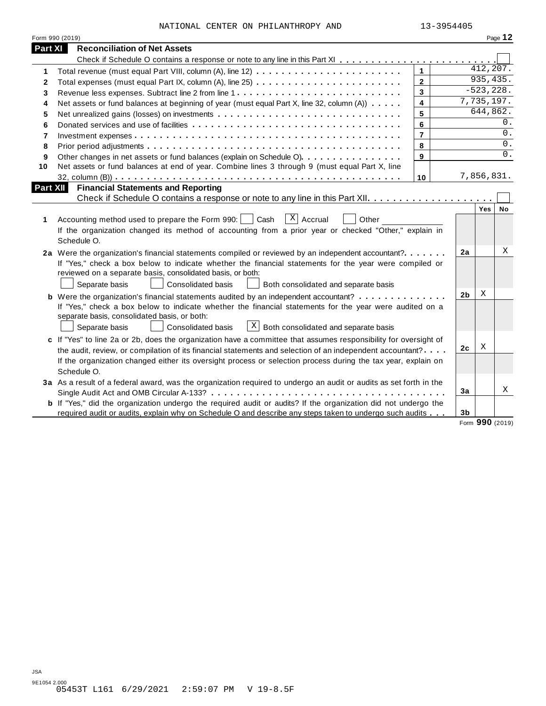|                          | NATIONAL CENTER ON PHILANTHROPY AND                                                                                                                                                                                              | 13-3954405              |                |              |           |
|--------------------------|----------------------------------------------------------------------------------------------------------------------------------------------------------------------------------------------------------------------------------|-------------------------|----------------|--------------|-----------|
|                          | Form 990 (2019)                                                                                                                                                                                                                  |                         |                |              | Page 12   |
| <b>Part XI</b>           | <b>Reconciliation of Net Assets</b>                                                                                                                                                                                              |                         |                |              |           |
|                          |                                                                                                                                                                                                                                  |                         |                |              |           |
| 1                        |                                                                                                                                                                                                                                  | $\mathbf{1}$            |                | 412,207.     |           |
| 2                        |                                                                                                                                                                                                                                  | $\overline{2}$          |                | 935,435.     |           |
| 3                        | Revenue less expenses. Subtract line 2 from line 1                                                                                                                                                                               | $\mathbf{3}$            |                | $-523, 228.$ |           |
| 4                        | Net assets or fund balances at beginning of year (must equal Part X, line 32, column (A))                                                                                                                                        | $\overline{\mathbf{4}}$ |                | 7,735,197.   |           |
| 5                        |                                                                                                                                                                                                                                  | 5                       |                | 644,862.     |           |
| 6                        |                                                                                                                                                                                                                                  | 6                       |                |              | 0.        |
| $\overline{\phantom{a}}$ |                                                                                                                                                                                                                                  | $\overline{7}$          |                |              | $0$ .     |
| 8                        |                                                                                                                                                                                                                                  | 8                       |                |              | 0.        |
| 9                        | Other changes in net assets or fund balances (explain on Schedule O)                                                                                                                                                             | 9                       |                |              | 0.        |
| 10                       | Net assets or fund balances at end of year. Combine lines 3 through 9 (must equal Part X, line                                                                                                                                   |                         |                |              |           |
|                          |                                                                                                                                                                                                                                  | 10                      |                | 7,856,831.   |           |
|                          | <b>Part XII</b><br><b>Financial Statements and Reporting</b>                                                                                                                                                                     |                         |                |              |           |
|                          |                                                                                                                                                                                                                                  |                         |                |              |           |
|                          |                                                                                                                                                                                                                                  |                         |                | Yes          | <b>No</b> |
| 1                        | $\vert X \vert$<br>Accrual<br>Accounting method used to prepare the Form 990:<br>Cash<br>Other                                                                                                                                   |                         |                |              |           |
|                          | If the organization changed its method of accounting from a prior year or checked "Other," explain in                                                                                                                            |                         |                |              |           |
|                          | Schedule O.                                                                                                                                                                                                                      |                         |                |              |           |
|                          | 2a Were the organization's financial statements compiled or reviewed by an independent accountant?                                                                                                                               |                         | 2a             |              | Χ         |
|                          | If "Yes," check a box below to indicate whether the financial statements for the year were compiled or                                                                                                                           |                         |                |              |           |
|                          | reviewed on a separate basis, consolidated basis, or both:                                                                                                                                                                       |                         |                |              |           |
|                          |                                                                                                                                                                                                                                  |                         |                |              |           |
|                          | Separate basis<br>Consolidated basis<br>Both consolidated and separate basis                                                                                                                                                     |                         |                |              |           |
|                          | <b>b</b> Were the organization's financial statements audited by an independent accountant?                                                                                                                                      |                         | 2 <sub>b</sub> | X            |           |
|                          | If "Yes," check a box below to indicate whether the financial statements for the year were audited on a                                                                                                                          |                         |                |              |           |
|                          | separate basis, consolidated basis, or both:                                                                                                                                                                                     |                         |                |              |           |
|                          | $\lfloor x \rfloor$ Both consolidated and separate basis<br>Consolidated basis<br>Separate basis                                                                                                                                 |                         |                |              |           |
|                          | c If "Yes" to line 2a or 2b, does the organization have a committee that assumes responsibility for oversight of                                                                                                                 |                         |                |              |           |
|                          | the audit, review, or compilation of its financial statements and selection of an independent accountant?                                                                                                                        |                         | 2 <sub>c</sub> | Χ            |           |
|                          | If the organization changed either its oversight process or selection process during the tax year, explain on                                                                                                                    |                         |                |              |           |
|                          | Schedule O.                                                                                                                                                                                                                      |                         |                |              |           |
|                          | 3a As a result of a federal award, was the organization required to undergo an audit or audits as set forth in the                                                                                                               |                         |                |              |           |
|                          |                                                                                                                                                                                                                                  |                         | 3a             |              |           |
|                          | <b>b</b> If "Yes," did the organization undergo the required audit or audits? If the organization did not undergo the<br>required audit or audits, explain why on Schedule O and describe any steps taken to undergo such audits |                         | 3 <sub>b</sub> |              | X         |

 $\overline{\phantom{a}}$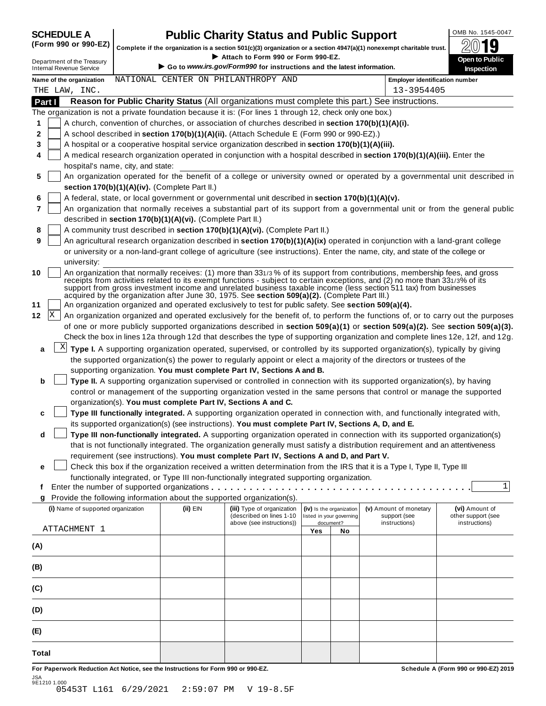# SCHEDULE A **Public Charity Status and Public Support** (Form 990 or 990-EZ) complete if the organization is a section 501(c)(3) organization or a section 4947(a)(1) nonexempt charitable trust.

(Form 990 or 990-EZ)  $\begin{bmatrix} 1 & 0 & 0 \\ 0 & 1 & 0 \end{bmatrix}$  Complete if the organization is a section 501(c)(3) organization  $\mathbf{S}$  and  $\mathbf{S}$  are  $\mathbf{S}$  and  $\mathbf{S}$  are  $\mathbf{S}$  and  $\mathbf{S}$  are  $\mathbf{S}$  and  $\mathbf{S}$  are I section 501(c)(3) organization or a section 494<br>► Attach to Form 990 or Form 990-EZ.<br>I Revi<sup>ff</sup>orm 000 for instanctions and the late

|              | Department of the Treasury<br><b>Internal Revenue Service</b>                                                                         |                                                                                                                                                                                                                                                          |                                                            | Attach to Form 990 or Form 990-EZ.<br>Go to www.irs.gov/Form990 for instructions and the latest information. |     |                          |                                                                                                                                                                                                                                                                                                                                                                                 | Open to Public<br><b>Inspection</b>                                                                                          |  |  |  |  |
|--------------|---------------------------------------------------------------------------------------------------------------------------------------|----------------------------------------------------------------------------------------------------------------------------------------------------------------------------------------------------------------------------------------------------------|------------------------------------------------------------|--------------------------------------------------------------------------------------------------------------|-----|--------------------------|---------------------------------------------------------------------------------------------------------------------------------------------------------------------------------------------------------------------------------------------------------------------------------------------------------------------------------------------------------------------------------|------------------------------------------------------------------------------------------------------------------------------|--|--|--|--|
|              | Name of the organization                                                                                                              |                                                                                                                                                                                                                                                          |                                                            | NATIONAL CENTER ON PHILANTHROPY AND                                                                          |     |                          | <b>Employer identification number</b>                                                                                                                                                                                                                                                                                                                                           |                                                                                                                              |  |  |  |  |
|              | THE LAW, INC.                                                                                                                         |                                                                                                                                                                                                                                                          |                                                            |                                                                                                              |     |                          | 13-3954405                                                                                                                                                                                                                                                                                                                                                                      |                                                                                                                              |  |  |  |  |
| Part I       |                                                                                                                                       |                                                                                                                                                                                                                                                          |                                                            |                                                                                                              |     |                          | Reason for Public Charity Status (All organizations must complete this part.) See instructions.                                                                                                                                                                                                                                                                                 |                                                                                                                              |  |  |  |  |
|              |                                                                                                                                       |                                                                                                                                                                                                                                                          |                                                            | The organization is not a private foundation because it is: (For lines 1 through 12, check only one box.)    |     |                          |                                                                                                                                                                                                                                                                                                                                                                                 |                                                                                                                              |  |  |  |  |
| 1            |                                                                                                                                       |                                                                                                                                                                                                                                                          |                                                            | A church, convention of churches, or association of churches described in section 170(b)(1)(A)(i).           |     |                          |                                                                                                                                                                                                                                                                                                                                                                                 |                                                                                                                              |  |  |  |  |
| 2            |                                                                                                                                       |                                                                                                                                                                                                                                                          |                                                            | A school described in section 170(b)(1)(A)(ii). (Attach Schedule E (Form 990 or 990-EZ).)                    |     |                          |                                                                                                                                                                                                                                                                                                                                                                                 |                                                                                                                              |  |  |  |  |
| 3            |                                                                                                                                       |                                                                                                                                                                                                                                                          |                                                            | A hospital or a cooperative hospital service organization described in section 170(b)(1)(A)(iii).            |     |                          |                                                                                                                                                                                                                                                                                                                                                                                 |                                                                                                                              |  |  |  |  |
| 4            |                                                                                                                                       |                                                                                                                                                                                                                                                          |                                                            |                                                                                                              |     |                          | A medical research organization operated in conjunction with a hospital described in section 170(b)(1)(A)(iii). Enter the                                                                                                                                                                                                                                                       |                                                                                                                              |  |  |  |  |
|              | hospital's name, city, and state:                                                                                                     |                                                                                                                                                                                                                                                          |                                                            |                                                                                                              |     |                          |                                                                                                                                                                                                                                                                                                                                                                                 |                                                                                                                              |  |  |  |  |
| 5            |                                                                                                                                       |                                                                                                                                                                                                                                                          |                                                            |                                                                                                              |     |                          |                                                                                                                                                                                                                                                                                                                                                                                 | An organization operated for the benefit of a college or university owned or operated by a governmental unit described in    |  |  |  |  |
|              |                                                                                                                                       |                                                                                                                                                                                                                                                          | section 170(b)(1)(A)(iv). (Complete Part II.)              |                                                                                                              |     |                          |                                                                                                                                                                                                                                                                                                                                                                                 |                                                                                                                              |  |  |  |  |
| 6            |                                                                                                                                       |                                                                                                                                                                                                                                                          |                                                            | A federal, state, or local government or governmental unit described in section 170(b)(1)(A)(v).             |     |                          |                                                                                                                                                                                                                                                                                                                                                                                 |                                                                                                                              |  |  |  |  |
| 7            |                                                                                                                                       |                                                                                                                                                                                                                                                          |                                                            |                                                                                                              |     |                          |                                                                                                                                                                                                                                                                                                                                                                                 | An organization that normally receives a substantial part of its support from a governmental unit or from the general public |  |  |  |  |
|              |                                                                                                                                       |                                                                                                                                                                                                                                                          | described in section 170(b)(1)(A)(vi). (Complete Part II.) |                                                                                                              |     |                          |                                                                                                                                                                                                                                                                                                                                                                                 |                                                                                                                              |  |  |  |  |
| 8            |                                                                                                                                       |                                                                                                                                                                                                                                                          |                                                            | A community trust described in section 170(b)(1)(A)(vi). (Complete Part II.)                                 |     |                          |                                                                                                                                                                                                                                                                                                                                                                                 |                                                                                                                              |  |  |  |  |
| 9            |                                                                                                                                       |                                                                                                                                                                                                                                                          |                                                            |                                                                                                              |     |                          | An agricultural research organization described in section 170(b)(1)(A)(ix) operated in conjunction with a land-grant college                                                                                                                                                                                                                                                   |                                                                                                                              |  |  |  |  |
|              |                                                                                                                                       |                                                                                                                                                                                                                                                          |                                                            |                                                                                                              |     |                          | or university or a non-land-grant college of agriculture (see instructions). Enter the name, city, and state of the college or                                                                                                                                                                                                                                                  |                                                                                                                              |  |  |  |  |
|              | university:                                                                                                                           |                                                                                                                                                                                                                                                          |                                                            |                                                                                                              |     |                          |                                                                                                                                                                                                                                                                                                                                                                                 |                                                                                                                              |  |  |  |  |
| 10           |                                                                                                                                       |                                                                                                                                                                                                                                                          |                                                            | acquired by the organization after June 30, 1975. See section 509(a)(2). (Complete Part III.)                |     |                          | An organization that normally receives: (1) more than 331/3% of its support from contributions, membership fees, and gross<br>receipts from activities related to its exempt functions - subject to certain exceptions, and (2) no more than 331/3% of its<br>support from gross investment income and unrelated business taxable income (less section 511 tax) from businesses |                                                                                                                              |  |  |  |  |
| 11           |                                                                                                                                       |                                                                                                                                                                                                                                                          |                                                            | An organization organized and operated exclusively to test for public safety. See section 509(a)(4).         |     |                          |                                                                                                                                                                                                                                                                                                                                                                                 |                                                                                                                              |  |  |  |  |
| 12           | X<br>An organization organized and operated exclusively for the benefit of, to perform the functions of, or to carry out the purposes |                                                                                                                                                                                                                                                          |                                                            |                                                                                                              |     |                          |                                                                                                                                                                                                                                                                                                                                                                                 |                                                                                                                              |  |  |  |  |
|              | of one or more publicly supported organizations described in section 509(a)(1) or section 509(a)(2). See section 509(a)(3).           |                                                                                                                                                                                                                                                          |                                                            |                                                                                                              |     |                          |                                                                                                                                                                                                                                                                                                                                                                                 |                                                                                                                              |  |  |  |  |
|              |                                                                                                                                       | Check the box in lines 12a through 12d that describes the type of supporting organization and complete lines 12e, 12f, and 12g.                                                                                                                          |                                                            |                                                                                                              |     |                          |                                                                                                                                                                                                                                                                                                                                                                                 |                                                                                                                              |  |  |  |  |
| a            |                                                                                                                                       | Χ<br>Type I. A supporting organization operated, supervised, or controlled by its supported organization(s), typically by giving<br>the supported organization(s) the power to regularly appoint or elect a majority of the directors or trustees of the |                                                            |                                                                                                              |     |                          |                                                                                                                                                                                                                                                                                                                                                                                 |                                                                                                                              |  |  |  |  |
|              |                                                                                                                                       |                                                                                                                                                                                                                                                          |                                                            |                                                                                                              |     |                          |                                                                                                                                                                                                                                                                                                                                                                                 |                                                                                                                              |  |  |  |  |
|              |                                                                                                                                       | supporting organization. You must complete Part IV, Sections A and B.<br>Type II. A supporting organization supervised or controlled in connection with its supported organization(s), by having                                                         |                                                            |                                                                                                              |     |                          |                                                                                                                                                                                                                                                                                                                                                                                 |                                                                                                                              |  |  |  |  |
| b            |                                                                                                                                       |                                                                                                                                                                                                                                                          |                                                            |                                                                                                              |     |                          |                                                                                                                                                                                                                                                                                                                                                                                 |                                                                                                                              |  |  |  |  |
|              |                                                                                                                                       |                                                                                                                                                                                                                                                          |                                                            |                                                                                                              |     |                          | control or management of the supporting organization vested in the same persons that control or manage the supported                                                                                                                                                                                                                                                            |                                                                                                                              |  |  |  |  |
|              |                                                                                                                                       |                                                                                                                                                                                                                                                          |                                                            | organization(s). You must complete Part IV, Sections A and C.                                                |     |                          |                                                                                                                                                                                                                                                                                                                                                                                 |                                                                                                                              |  |  |  |  |
| c            |                                                                                                                                       |                                                                                                                                                                                                                                                          |                                                            |                                                                                                              |     |                          | Type III functionally integrated. A supporting organization operated in connection with, and functionally integrated with,                                                                                                                                                                                                                                                      |                                                                                                                              |  |  |  |  |
|              |                                                                                                                                       |                                                                                                                                                                                                                                                          |                                                            | its supported organization(s) (see instructions). You must complete Part IV, Sections A, D, and E.           |     |                          | Type III non-functionally integrated. A supporting organization operated in connection with its supported organization(s)                                                                                                                                                                                                                                                       |                                                                                                                              |  |  |  |  |
| d            |                                                                                                                                       |                                                                                                                                                                                                                                                          |                                                            |                                                                                                              |     |                          | that is not functionally integrated. The organization generally must satisfy a distribution requirement and an attentiveness                                                                                                                                                                                                                                                    |                                                                                                                              |  |  |  |  |
|              |                                                                                                                                       |                                                                                                                                                                                                                                                          |                                                            | requirement (see instructions). You must complete Part IV, Sections A and D, and Part V.                     |     |                          |                                                                                                                                                                                                                                                                                                                                                                                 |                                                                                                                              |  |  |  |  |
| е            |                                                                                                                                       |                                                                                                                                                                                                                                                          |                                                            |                                                                                                              |     |                          | Check this box if the organization received a written determination from the IRS that it is a Type I, Type II, Type III                                                                                                                                                                                                                                                         |                                                                                                                              |  |  |  |  |
|              |                                                                                                                                       |                                                                                                                                                                                                                                                          |                                                            | functionally integrated, or Type III non-functionally integrated supporting organization.                    |     |                          |                                                                                                                                                                                                                                                                                                                                                                                 |                                                                                                                              |  |  |  |  |
|              |                                                                                                                                       |                                                                                                                                                                                                                                                          |                                                            |                                                                                                              |     |                          |                                                                                                                                                                                                                                                                                                                                                                                 | 1                                                                                                                            |  |  |  |  |
| g            |                                                                                                                                       |                                                                                                                                                                                                                                                          |                                                            | Provide the following information about the supported organization(s).                                       |     |                          |                                                                                                                                                                                                                                                                                                                                                                                 |                                                                                                                              |  |  |  |  |
|              | (i) Name of supported organization                                                                                                    |                                                                                                                                                                                                                                                          | (ii) EIN                                                   | (iii) Type of organization                                                                                   |     | (iv) Is the organization | (v) Amount of monetary                                                                                                                                                                                                                                                                                                                                                          | (vi) Amount of                                                                                                               |  |  |  |  |
|              |                                                                                                                                       |                                                                                                                                                                                                                                                          |                                                            | (described on lines 1-10                                                                                     |     | listed in your governing | support (see                                                                                                                                                                                                                                                                                                                                                                    | other support (see                                                                                                           |  |  |  |  |
|              | ATTACHMENT 1                                                                                                                          |                                                                                                                                                                                                                                                          |                                                            | above (see instructions))                                                                                    | Yes | document?<br>No          | instructions)                                                                                                                                                                                                                                                                                                                                                                   | instructions)                                                                                                                |  |  |  |  |
|              |                                                                                                                                       |                                                                                                                                                                                                                                                          |                                                            |                                                                                                              |     |                          |                                                                                                                                                                                                                                                                                                                                                                                 |                                                                                                                              |  |  |  |  |
| (A)          |                                                                                                                                       |                                                                                                                                                                                                                                                          |                                                            |                                                                                                              |     |                          |                                                                                                                                                                                                                                                                                                                                                                                 |                                                                                                                              |  |  |  |  |
|              |                                                                                                                                       |                                                                                                                                                                                                                                                          |                                                            |                                                                                                              |     |                          |                                                                                                                                                                                                                                                                                                                                                                                 |                                                                                                                              |  |  |  |  |
| (B)          |                                                                                                                                       |                                                                                                                                                                                                                                                          |                                                            |                                                                                                              |     |                          |                                                                                                                                                                                                                                                                                                                                                                                 |                                                                                                                              |  |  |  |  |
|              |                                                                                                                                       |                                                                                                                                                                                                                                                          |                                                            |                                                                                                              |     |                          |                                                                                                                                                                                                                                                                                                                                                                                 |                                                                                                                              |  |  |  |  |
| (C)          |                                                                                                                                       |                                                                                                                                                                                                                                                          |                                                            |                                                                                                              |     |                          |                                                                                                                                                                                                                                                                                                                                                                                 |                                                                                                                              |  |  |  |  |
|              |                                                                                                                                       |                                                                                                                                                                                                                                                          |                                                            |                                                                                                              |     |                          |                                                                                                                                                                                                                                                                                                                                                                                 |                                                                                                                              |  |  |  |  |
| (D)          |                                                                                                                                       |                                                                                                                                                                                                                                                          |                                                            |                                                                                                              |     |                          |                                                                                                                                                                                                                                                                                                                                                                                 |                                                                                                                              |  |  |  |  |
|              |                                                                                                                                       |                                                                                                                                                                                                                                                          |                                                            |                                                                                                              |     |                          |                                                                                                                                                                                                                                                                                                                                                                                 |                                                                                                                              |  |  |  |  |
| (E)          |                                                                                                                                       |                                                                                                                                                                                                                                                          |                                                            |                                                                                                              |     |                          |                                                                                                                                                                                                                                                                                                                                                                                 |                                                                                                                              |  |  |  |  |
|              |                                                                                                                                       |                                                                                                                                                                                                                                                          |                                                            |                                                                                                              |     |                          |                                                                                                                                                                                                                                                                                                                                                                                 |                                                                                                                              |  |  |  |  |
| <b>Total</b> |                                                                                                                                       |                                                                                                                                                                                                                                                          |                                                            |                                                                                                              |     |                          |                                                                                                                                                                                                                                                                                                                                                                                 |                                                                                                                              |  |  |  |  |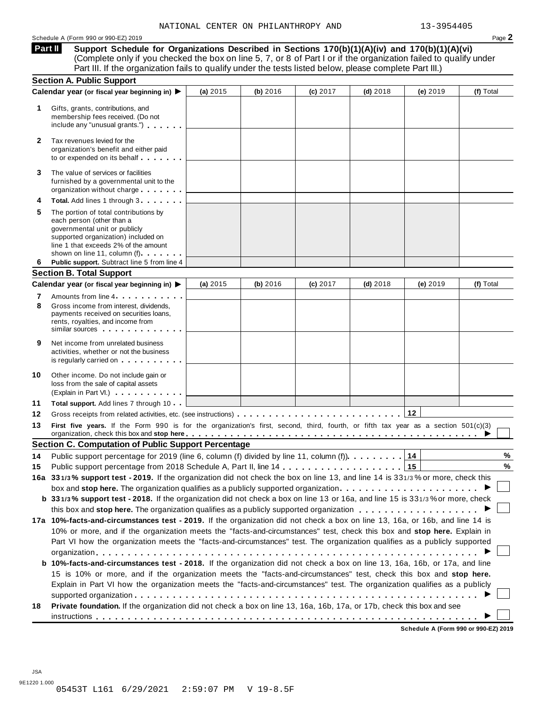#### Schedule <sup>A</sup> (Form <sup>990</sup> or 990-EZ) <sup>2019</sup> Page **2**

**Support Schedule for Organizations Described in Sections 170(b)(1)(A)(iv) and 170(b)(1)(A)(vi)** Complete only if you checked the box on line 5, 7, or 8 of Part I or if the organization failed to qualify under Part III. If the organization fails to qualify under the tests listed below, please complete Part III.) **Part II**

|        | <b>Section A. Public Support</b>                                                                                                                                                                                                                                                                                                                                     |          |          |          |            |          |           |
|--------|----------------------------------------------------------------------------------------------------------------------------------------------------------------------------------------------------------------------------------------------------------------------------------------------------------------------------------------------------------------------|----------|----------|----------|------------|----------|-----------|
|        | Calendar year (or fiscal year beginning in) ▶                                                                                                                                                                                                                                                                                                                        | (a) 2015 | (b) 2016 | (c) 2017 | $(d)$ 2018 | (e) 2019 | (f) Total |
| 1      | Gifts, grants, contributions, and<br>membership fees received. (Do not<br>include any "unusual grants.")                                                                                                                                                                                                                                                             |          |          |          |            |          |           |
| 2      | Tax revenues levied for the<br>organization's benefit and either paid<br>to or expended on its behalf                                                                                                                                                                                                                                                                |          |          |          |            |          |           |
| 3      | The value of services or facilities<br>furnished by a governmental unit to the<br>organization without charge                                                                                                                                                                                                                                                        |          |          |          |            |          |           |
|        | Total. Add lines 1 through 3                                                                                                                                                                                                                                                                                                                                         |          |          |          |            |          |           |
| 5      | The portion of total contributions by<br>each person (other than a<br>governmental unit or publicly<br>supported organization) included on<br>line 1 that exceeds 2% of the amount<br>shown on line 11, column (f)                                                                                                                                                   |          |          |          |            |          |           |
| 6      | Public support. Subtract line 5 from line 4                                                                                                                                                                                                                                                                                                                          |          |          |          |            |          |           |
|        | <b>Section B. Total Support</b>                                                                                                                                                                                                                                                                                                                                      |          |          |          |            |          |           |
|        | Calendar year (or fiscal year beginning in) ▶                                                                                                                                                                                                                                                                                                                        | (a) 2015 | (b) 2016 | (c) 2017 | $(d)$ 2018 | (e) 2019 | (f) Total |
| 7<br>8 | Amounts from line 4 <b>Amounts</b> from line 4<br>Gross income from interest, dividends,<br>payments received on securities loans,<br>rents, royalties, and income from<br>similar sources experiences                                                                                                                                                               |          |          |          |            |          |           |
| 9      | Net income from unrelated business<br>activities, whether or not the business<br>is regularly carried on the control of the set of the set of the set of the set of the set of the set of the s                                                                                                                                                                      |          |          |          |            |          |           |
| 10     | Other income. Do not include gain or<br>loss from the sale of capital assets<br>(Explain in Part VI.)                                                                                                                                                                                                                                                                |          |          |          |            |          |           |
| 11     | Total support. Add lines 7 through 10                                                                                                                                                                                                                                                                                                                                |          |          |          |            |          |           |
| 12     |                                                                                                                                                                                                                                                                                                                                                                      |          |          |          |            |          |           |
| 13     | First five years. If the Form 990 is for the organization's first, second, third, fourth, or fifth tax year as a section 501(c)(3)<br>organization, check this box and stop here entitled and state in the set of the set of the set of the set of the set of the set of the set of the set of the set of the set of the set of the set of the set of the set of the |          |          |          |            |          |           |
|        | <b>Section C. Computation of Public Support Percentage</b>                                                                                                                                                                                                                                                                                                           |          |          |          |            |          |           |
| 14     | Public support percentage for 2019 (line 6, column (f) divided by line 11, column (f)).                                                                                                                                                                                                                                                                              |          |          |          |            | 14       | %         |
| 15     |                                                                                                                                                                                                                                                                                                                                                                      |          |          |          |            | 15       | $\%$      |
|        | 16a 331/3% support test - 2019. If the organization did not check the box on line 13, and line 14 is 331/3% or more, check this                                                                                                                                                                                                                                      |          |          |          |            |          |           |
|        |                                                                                                                                                                                                                                                                                                                                                                      |          |          |          |            |          |           |
|        | b 331/3% support test - 2018. If the organization did not check a box on line 13 or 16a, and line 15 is 331/3% or more, check                                                                                                                                                                                                                                        |          |          |          |            |          |           |
|        |                                                                                                                                                                                                                                                                                                                                                                      |          |          |          |            |          |           |
|        | 17a 10%-facts-and-circumstances test - 2019. If the organization did not check a box on line 13, 16a, or 16b, and line 14 is                                                                                                                                                                                                                                         |          |          |          |            |          |           |
|        | 10% or more, and if the organization meets the "facts-and-circumstances" test, check this box and stop here. Explain in                                                                                                                                                                                                                                              |          |          |          |            |          |           |
|        | Part VI how the organization meets the "facts-and-circumstances" test. The organization qualifies as a publicly supported                                                                                                                                                                                                                                            |          |          |          |            |          |           |
|        |                                                                                                                                                                                                                                                                                                                                                                      |          |          |          |            |          |           |
|        | b 10%-facts-and-circumstances test - 2018. If the organization did not check a box on line 13, 16a, 16b, or 17a, and line                                                                                                                                                                                                                                            |          |          |          |            |          |           |
|        | 15 is 10% or more, and if the organization meets the "facts-and-circumstances" test, check this box and stop here.                                                                                                                                                                                                                                                   |          |          |          |            |          |           |
|        |                                                                                                                                                                                                                                                                                                                                                                      |          |          |          |            |          |           |
|        | Explain in Part VI how the organization meets the "facts-and-circumstances" test. The organization qualifies as a publicly                                                                                                                                                                                                                                           |          |          |          |            |          |           |
| 18     | Private foundation. If the organization did not check a box on line 13, 16a, 16b, 17a, or 17b, check this box and see                                                                                                                                                                                                                                                |          |          |          |            |          |           |

**Schedule A (Form 990 or 990-EZ) 2019**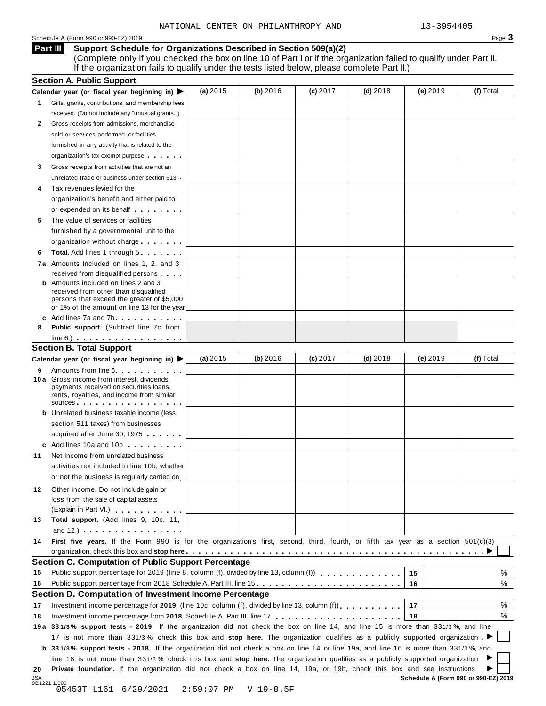#### Schedule <sup>A</sup> (Form <sup>990</sup> or 990-EZ) <sup>2019</sup> Page **3**

**Support Schedule for Organizations Described in Section 509(a)(2) Part III**

(Complete only if you checked the box on line 10 of Part I or if the organization failed to qualify under Part II. If the organization fails to qualify under the tests listed below, please complete Part II.)

|     | <b>Section A. Public Support</b>                                                                                                                                                                                              |              |             |          |            |                                      |           |
|-----|-------------------------------------------------------------------------------------------------------------------------------------------------------------------------------------------------------------------------------|--------------|-------------|----------|------------|--------------------------------------|-----------|
|     | Calendar year (or fiscal year beginning in)                                                                                                                                                                                   | (a) 2015     | (b) $2016$  | (c) 2017 | $(d)$ 2018 | (e) $2019$                           | (f) Total |
| 1.  | Gifts, grants, contributions, and membership fees                                                                                                                                                                             |              |             |          |            |                                      |           |
|     | received. (Do not include any "unusual grants.")                                                                                                                                                                              |              |             |          |            |                                      |           |
| 2   | Gross receipts from admissions, merchandise                                                                                                                                                                                   |              |             |          |            |                                      |           |
|     | sold or services performed, or facilities                                                                                                                                                                                     |              |             |          |            |                                      |           |
|     | furnished in any activity that is related to the                                                                                                                                                                              |              |             |          |            |                                      |           |
|     | organization's tax-exempt purpose                                                                                                                                                                                             |              |             |          |            |                                      |           |
| 3   | Gross receipts from activities that are not an                                                                                                                                                                                |              |             |          |            |                                      |           |
|     | unrelated trade or business under section 513                                                                                                                                                                                 |              |             |          |            |                                      |           |
|     | Tax revenues levied for the                                                                                                                                                                                                   |              |             |          |            |                                      |           |
|     | organization's benefit and either paid to                                                                                                                                                                                     |              |             |          |            |                                      |           |
|     | or expended on its behalf                                                                                                                                                                                                     |              |             |          |            |                                      |           |
| 5   | The value of services or facilities                                                                                                                                                                                           |              |             |          |            |                                      |           |
|     | furnished by a governmental unit to the                                                                                                                                                                                       |              |             |          |            |                                      |           |
|     | organization without charge                                                                                                                                                                                                   |              |             |          |            |                                      |           |
| 6   | <b>Total.</b> Add lines 1 through 5                                                                                                                                                                                           |              |             |          |            |                                      |           |
|     |                                                                                                                                                                                                                               |              |             |          |            |                                      |           |
|     | <b>7a</b> Amounts included on lines 1, 2, and 3<br>received from disqualified persons                                                                                                                                         |              |             |          |            |                                      |           |
|     | <b>b</b> Amounts included on lines 2 and 3                                                                                                                                                                                    |              |             |          |            |                                      |           |
|     | received from other than disqualified                                                                                                                                                                                         |              |             |          |            |                                      |           |
|     | persons that exceed the greater of \$5,000                                                                                                                                                                                    |              |             |          |            |                                      |           |
|     | or 1% of the amount on line 13 for the year                                                                                                                                                                                   |              |             |          |            |                                      |           |
|     | c Add lines 7a and 7b contact the state of the state of the state of the state of the state of the state of the state of the state of the state of the state of the state of the state of the state of the state of the state |              |             |          |            |                                      |           |
| 8   | Public support. (Subtract line 7c from                                                                                                                                                                                        |              |             |          |            |                                      |           |
|     | $line 6.)$                                                                                                                                                                                                                    |              |             |          |            |                                      |           |
|     | <b>Section B. Total Support</b>                                                                                                                                                                                               |              |             |          |            |                                      |           |
|     | Calendar year (or fiscal year beginning in)                                                                                                                                                                                   | (a) 2015     | (b) 2016    | (c) 2017 | $(d)$ 2018 | $(e)$ 2019                           | (f) Total |
| 9   | Amounts from line 6<br>10 a Gross income from interest, dividends,                                                                                                                                                            |              |             |          |            |                                      |           |
|     | payments received on securities loans,                                                                                                                                                                                        |              |             |          |            |                                      |           |
|     | rents, royalties, and income from similar                                                                                                                                                                                     |              |             |          |            |                                      |           |
|     | sources                                                                                                                                                                                                                       |              |             |          |            |                                      |           |
|     | <b>b</b> Unrelated business taxable income (less                                                                                                                                                                              |              |             |          |            |                                      |           |
|     | section 511 taxes) from businesses                                                                                                                                                                                            |              |             |          |            |                                      |           |
|     | acquired after June 30, 1975                                                                                                                                                                                                  |              |             |          |            |                                      |           |
|     | c Add lines 10a and 10b                                                                                                                                                                                                       |              |             |          |            |                                      |           |
| 11  | Net income from unrelated business                                                                                                                                                                                            |              |             |          |            |                                      |           |
|     | activities not included in line 10b, whether                                                                                                                                                                                  |              |             |          |            |                                      |           |
|     | or not the business is regularly carried on                                                                                                                                                                                   |              |             |          |            |                                      |           |
| 12  | Other income. Do not include gain or                                                                                                                                                                                          |              |             |          |            |                                      |           |
|     | loss from the sale of capital assets                                                                                                                                                                                          |              |             |          |            |                                      |           |
|     | (Explain in Part VI.) Canada and The Part 1.                                                                                                                                                                                  |              |             |          |            |                                      |           |
| 13  | Total support. (Add lines 9, 10c, 11,                                                                                                                                                                                         |              |             |          |            |                                      |           |
|     | and $12.$ ) $\cdots$ $\cdots$ $\cdots$ $\cdots$ $\cdots$ $\cdots$                                                                                                                                                             |              |             |          |            |                                      |           |
| 14  | First five years. If the Form 990 is for the organization's first, second, third, fourth, or fifth tax year as a section 501(c)(3)                                                                                            |              |             |          |            |                                      |           |
|     |                                                                                                                                                                                                                               |              |             |          |            |                                      |           |
|     | Section C. Computation of Public Support Percentage                                                                                                                                                                           |              |             |          |            |                                      |           |
| 15  | Public support percentage for 2019 (line 8, column (f), divided by line 13, column (f) [1] [1] [1] Public support percentage for 2019 (line 8, column (f), divided by line 13, column (f)                                     |              |             |          |            | 15                                   | %         |
| 16  | Public support percentage from 2018 Schedule A, Part III, line 15.                                                                                                                                                            |              |             |          |            | 16                                   | %         |
|     | Section D. Computation of Investment Income Percentage                                                                                                                                                                        |              |             |          |            |                                      |           |
| 17  | Investment income percentage for 2019 (line 10c, column (f), divided by line 13, column (f)).                                                                                                                                 |              |             |          |            | 17                                   | %         |
| 18  |                                                                                                                                                                                                                               |              |             |          |            | 18                                   | %         |
|     | 19a 331/3% support tests - 2019. If the organization did not check the box on line 14, and line 15 is more than 331/3%, and line                                                                                              |              |             |          |            |                                      |           |
|     | 17 is not more than 331/3%, check this box and stop here. The organization qualifies as a publicly supported organization.                                                                                                    |              |             |          |            |                                      |           |
|     |                                                                                                                                                                                                                               |              |             |          |            |                                      |           |
|     | b 331/3% support tests - 2018. If the organization did not check a box on line 14 or line 19a, and line 16 is more than 331/3%, and                                                                                           |              |             |          |            |                                      |           |
|     | line 18 is not more than 331/3%, check this box and stop here. The organization qualifies as a publicly supported organization                                                                                                |              |             |          |            |                                      |           |
| 20  | Private foundation. If the organization did not check a box on line 14, 19a, or 19b, check this box and see instructions                                                                                                      |              |             |          |            |                                      |           |
| JSA | 9E1221 1.000<br>05453T L161 6/29/2021                                                                                                                                                                                         | $2:59:07$ PM | $V$ 19-8.5F |          |            | Schedule A (Form 990 or 990-EZ) 2019 |           |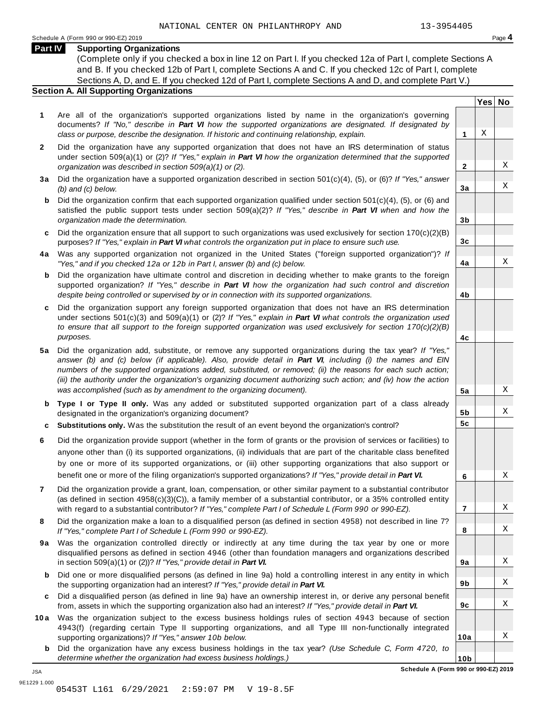#### **Part IV Supporting Organizations**

(Complete only if you checked a box in line 12 on Part I. If you checked 12a of Part I, complete Sections A and B. If you checked 12b of Part I, complete Sections A and C. If you checked 12c of Part I, complete Sections A, D, and E. If you checked 12d of Part I, complete Sections A and D, and complete Part V.)

### **Section A. All Supporting Organizations**

- **1** Are all of the organization's supported organizations listed by name in the organization's governing documents? *If "No," describe in Part VI how the supported organizations are designated. If designated by class or purpose, describe the designation. If historic and continuing relationship, explain.* **1**
- **2** Did the organization have any supported organization that does not have an IRS determination of status under section 509(a)(1) or (2)? *If"Yes," explain in Part VI how the organization determined that the supported organization was described in section 509(a)(1) or (2).*
- **3 a** Did the organization have a supported organization described in section 501(c)(4), (5), or (6)? *If "Yes," answer (b) and (c) below.*
- **b** Did the organization confirm that each supported organization qualified under section 501(c)(4), (5), or (6) and | satisfied the public support tests under section 509(a)(2)? *If "Yes," describe in Part VI when and how the organization made the determination.*
- **c** Did the organization ensure that all support to such organizations was used exclusively for section 170(c)(2)(B) purposes? *If"Yes," explain in Part VI what controls the organization put in place to ensure such use.*
- **4 a** Was any supported organization not organized in the United States ("foreign supported organization")? *If "Yes," and if you checked 12a or 12b in Part I, answer (b) and (c) below.*
- **b** Did the organization have ultimate control and discretion in deciding whether to make grants to the foreign | supported organization? *If "Yes," describe in Part VI how the organization had such control and discretion despite being controlled or supervised by or in connection with its supported organizations.*
- **c** Did the organization support any foreign supported organization that does not have an IRS determination | under sections 501(c)(3) and 509(a)(1) or (2)? *If "Yes," explain in Part VI what controls the organization used to ensure that all support to the foreign supported organization was used exclusively for section 170(c)(2)(B) purposes.*
- **5 a** Did the organization add, substitute, or remove any supported organizations during the tax year? *If "Yes,"* answer (b) and (c) below (if applicable). Also, provide detail in Part VI, including (i) the names and EIN *numbers of the supported organizations added, substituted, or removed; (ii) the reasons for each such action;* (iii) the authority under the organization's organizing document authorizing such action; and (iv) how the action *was accomplished (such as by amendment to the organizing document).*
- **b Type I or Type II only.** Was any added or substituted supported organization part of a class already designated in the organization's organizing document?
- **c Substitutions only.** Was the substitution the result of an event beyond the organization's control?
- **6** Did the organization provide support (whether in the form of grants or the provision of services or facilities) to anyone other than (i) its supported organizations, (ii) individuals that are part of the charitable class benefited by one or more of its supported organizations, or (iii) other supporting organizations that also support or benefit one or more of the filing organization's supported organizations? *If"Yes," provide detail in Part VI.*
- **7** Did the organization provide a grant, loan, compensation, or other similar payment to a substantial contributor (as defined in section 4958(c)(3)(C)), a family member of a substantial contributor, or a 35% controlled entity with regard to a substantial contributor? *If"Yes," complete Part I of Schedule L (Form 990 or 990-EZ).*
- **8** Did the organization make a loan to a disqualified person (as defined in section 4958) not described in line 7? *If "Yes," complete Part I of Schedule L (Form 990 or 990-EZ).*
- **9a** Was the organization controlled directly or indirectly at any time during the tax year by one or more | disqualified persons as defined in section 4946 (other than foundation managers and organizations described in section 509(a)(1) or (2))? *If"Yes," provide detail in Part VI.*
- **b** Did one or more disqualified persons (as defined in line 9a) hold a controlling interest in any entity in which | the supporting organization had an interest? *If"Yes," provide detail in Part VI.*
- **c** Did a disqualified person (as defined in line 9a) have an ownership interest in, or derive any personal benefit from, assets in which the supporting organization also had an interest? *If"Yes," provide detail in Part VI.*
- **10a** Was the organization subject to the excess business holdings rules of section 4943 because of section | 4943(f) (regarding certain Type II supporting organizations, and all Type III non-functionally integrated supporting organizations)? *If"Yes," answer 10b below.*
	- **b** Did the organization have any excess business holdings in the tax year? *(Use Schedule C, Form 4720, to determine whether the organization had excess business holdings.)*

**Yes No**

X

X

X

X

X

X

X

X

X

X

X

X

X

**2**

**3a**

**3b**

**3c**

**4a**

**4b**

**4c**

**5a**

**5b 5c**

**6**

**7**

**8**

**9a**

**9b**

**9c**

**10a**

JSA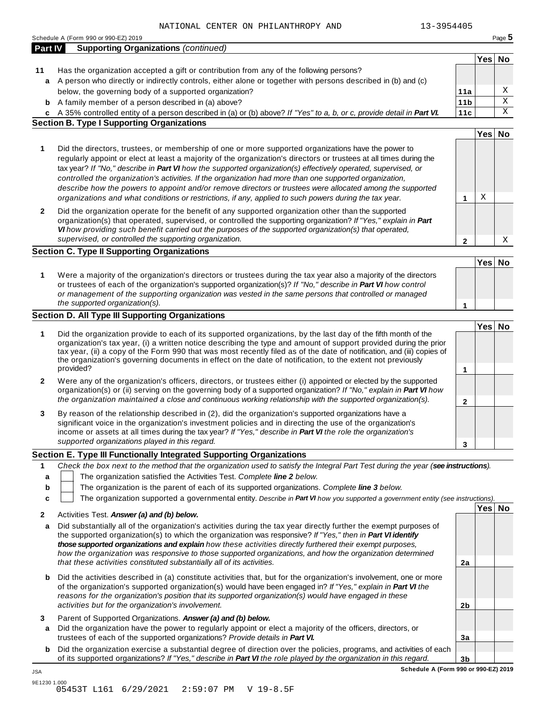|         | Schedule A (Form 990 or 990-EZ) 2019                                                                                                                                                                                                        |                 |        | Page 5      |
|---------|---------------------------------------------------------------------------------------------------------------------------------------------------------------------------------------------------------------------------------------------|-----------------|--------|-------------|
| Part IV | <b>Supporting Organizations (continued)</b>                                                                                                                                                                                                 |                 |        |             |
|         |                                                                                                                                                                                                                                             |                 | Yes No |             |
| 11      | Has the organization accepted a gift or contribution from any of the following persons?<br>a A person who directly or indirectly controls, either alone or together with persons described in (b) and (c)                                   |                 |        |             |
|         | below, the governing body of a supported organization?                                                                                                                                                                                      | 11a             |        | X           |
|         | <b>b</b> A family member of a person described in (a) above?                                                                                                                                                                                | 11 <sub>b</sub> |        | $\mathbf X$ |
| C       | A 35% controlled entity of a person described in (a) or (b) above? If "Yes" to a, b, or c, provide detail in Part VI.                                                                                                                       | 11c             |        | X           |
|         | <b>Section B. Type I Supporting Organizations</b>                                                                                                                                                                                           |                 |        |             |
|         |                                                                                                                                                                                                                                             |                 | Yes No |             |
| 1       | Did the directors, trustees, or membership of one or more supported organizations have the power to                                                                                                                                         |                 |        |             |
|         | regularly appoint or elect at least a majority of the organization's directors or trustees at all times during the                                                                                                                          |                 |        |             |
|         | tax year? If "No," describe in Part VI how the supported organization(s) effectively operated, supervised, or                                                                                                                               |                 |        |             |
|         | controlled the organization's activities. If the organization had more than one supported organization,                                                                                                                                     |                 |        |             |
|         | describe how the powers to appoint and/or remove directors or trustees were allocated among the supported                                                                                                                                   |                 |        |             |
|         | organizations and what conditions or restrictions, if any, applied to such powers during the tax year.                                                                                                                                      | 1               | Χ      |             |
| 2       | Did the organization operate for the benefit of any supported organization other than the supported                                                                                                                                         |                 |        |             |
|         | organization(s) that operated, supervised, or controlled the supporting organization? If "Yes," explain in Part<br>VI how providing such benefit carried out the purposes of the supported organization(s) that operated,                   |                 |        |             |
|         | supervised, or controlled the supporting organization.                                                                                                                                                                                      | $\mathbf{2}$    |        | Χ           |
|         | <b>Section C. Type II Supporting Organizations</b>                                                                                                                                                                                          |                 |        |             |
|         |                                                                                                                                                                                                                                             |                 | Yes No |             |
|         |                                                                                                                                                                                                                                             |                 |        |             |
| 1       | Were a majority of the organization's directors or trustees during the tax year also a majority of the directors<br>or trustees of each of the organization's supported organization(s)? If "No," describe in Part VI how control           |                 |        |             |
|         | or management of the supporting organization was vested in the same persons that controlled or managed                                                                                                                                      |                 |        |             |
|         | the supported organization(s).                                                                                                                                                                                                              | 1               |        |             |
|         | <b>Section D. All Type III Supporting Organizations</b>                                                                                                                                                                                     |                 |        |             |
|         |                                                                                                                                                                                                                                             |                 | Yes No |             |
| 1       | Did the organization provide to each of its supported organizations, by the last day of the fifth month of the                                                                                                                              |                 |        |             |
|         | organization's tax year, (i) a written notice describing the type and amount of support provided during the prior<br>tax year, (ii) a copy of the Form 990 that was most recently filed as of the date of notification, and (iii) copies of |                 |        |             |
|         | the organization's governing documents in effect on the date of notification, to the extent not previously                                                                                                                                  |                 |        |             |
|         | provided?                                                                                                                                                                                                                                   | 1               |        |             |
| 2       | Were any of the organization's officers, directors, or trustees either (i) appointed or elected by the supported                                                                                                                            |                 |        |             |
|         | organization(s) or (ii) serving on the governing body of a supported organization? If "No," explain in Part VI how                                                                                                                          |                 |        |             |
|         | the organization maintained a close and continuous working relationship with the supported organization(s).                                                                                                                                 | 2               |        |             |
| 3       | By reason of the relationship described in (2), did the organization's supported organizations have a                                                                                                                                       |                 |        |             |
|         | significant voice in the organization's investment policies and in directing the use of the organization's                                                                                                                                  |                 |        |             |
|         | income or assets at all times during the tax year? If "Yes," describe in Part VI the role the organization's<br>supported organizations played in this regard.                                                                              |                 |        |             |
|         |                                                                                                                                                                                                                                             | 3               |        |             |
|         | Section E. Type III Functionally Integrated Supporting Organizations                                                                                                                                                                        |                 |        |             |
| 1       | Check the box next to the method that the organization used to satisfy the Integral Part Test during the year (see instructions).                                                                                                           |                 |        |             |
| a       | The organization satisfied the Activities Test. Complete line 2 below.                                                                                                                                                                      |                 |        |             |
| b<br>C  | The organization is the parent of each of its supported organizations. Complete line 3 below.<br>The organization supported a governmental entity. Describe in Part VI how you supported a government entity (see instructions).            |                 |        |             |
|         |                                                                                                                                                                                                                                             |                 | Yes No |             |
| 2       | Activities Test. Answer (a) and (b) below.                                                                                                                                                                                                  |                 |        |             |
| a       | Did substantially all of the organization's activities during the tax year directly further the exempt purposes of                                                                                                                          |                 |        |             |
|         | the supported organization(s) to which the organization was responsive? If "Yes," then in Part VI identify                                                                                                                                  |                 |        |             |
|         | those supported organizations and explain how these activities directly furthered their exempt purposes,<br>how the organization was responsive to those supported organizations, and how the organization determined                       |                 |        |             |
|         | that these activities constituted substantially all of its activities.                                                                                                                                                                      | 2a              |        |             |
|         |                                                                                                                                                                                                                                             |                 |        |             |
|         | Did the activities described in (a) constitute activities that, but for the organization's involvement, one or more<br>of the organization's supported organization(s) would have been engaged in? If "Yes," explain in Part VI the         |                 |        |             |
| b       |                                                                                                                                                                                                                                             |                 |        |             |
|         |                                                                                                                                                                                                                                             |                 |        |             |
|         | reasons for the organization's position that its supported organization(s) would have engaged in these<br>activities but for the organization's involvement.                                                                                | 2 <sub>b</sub>  |        |             |
|         |                                                                                                                                                                                                                                             |                 |        |             |
| 3<br>a  | Parent of Supported Organizations. Answer (a) and (b) below.                                                                                                                                                                                |                 |        |             |
|         | Did the organization have the power to regularly appoint or elect a majority of the officers, directors, or<br>trustees of each of the supported organizations? Provide details in Part VI.                                                 | 3a              |        |             |
| b       | Did the organization exercise a substantial degree of direction over the policies, programs, and activities of each                                                                                                                         |                 |        |             |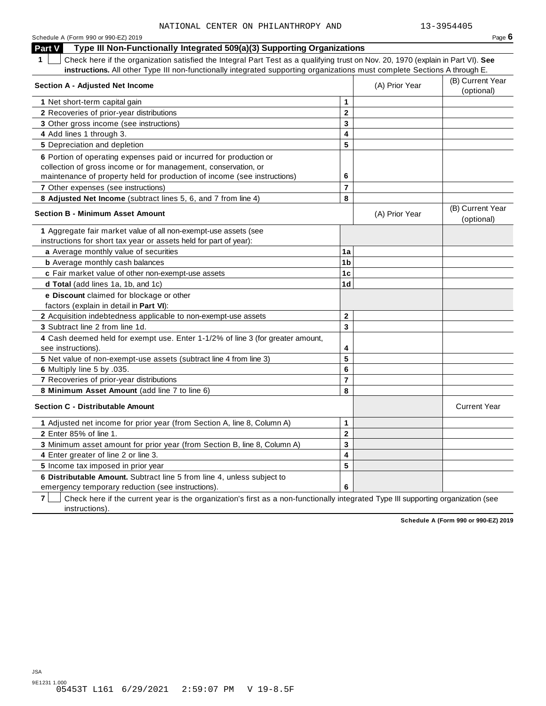**Part V** Type III Non-Functionally Integrated 509(a)(3) Supporting Organizations

**1** Check here if the organization satisfied the Integral Part Test as a qualifying trust on Nov. 20, 1970 (explain in Part VI). **See instructions.** All other Type III non-functionally integrated supporting organizations must complete Sections A through E.

| 1<br>Check here if the organization satisfied the Integral Part Test as a qualifying trust on Nov. 20, 1970 (explain in Part VI). See<br>instructions. All other Type III non-functionally integrated supporting organizations must complete Sections A through E. |                         |                |                                |
|--------------------------------------------------------------------------------------------------------------------------------------------------------------------------------------------------------------------------------------------------------------------|-------------------------|----------------|--------------------------------|
| Section A - Adjusted Net Income                                                                                                                                                                                                                                    |                         | (A) Prior Year | (B) Current Year<br>(optional) |
| 1 Net short-term capital gain                                                                                                                                                                                                                                      | 1                       |                |                                |
| 2 Recoveries of prior-year distributions                                                                                                                                                                                                                           | $\overline{2}$          |                |                                |
| 3 Other gross income (see instructions)                                                                                                                                                                                                                            | 3                       |                |                                |
| 4 Add lines 1 through 3.                                                                                                                                                                                                                                           | $\overline{\mathbf{4}}$ |                |                                |
| 5 Depreciation and depletion                                                                                                                                                                                                                                       | 5                       |                |                                |
| 6 Portion of operating expenses paid or incurred for production or                                                                                                                                                                                                 |                         |                |                                |
| collection of gross income or for management, conservation, or                                                                                                                                                                                                     |                         |                |                                |
| maintenance of property held for production of income (see instructions)                                                                                                                                                                                           | 6                       |                |                                |
| 7 Other expenses (see instructions)                                                                                                                                                                                                                                | $\overline{7}$          |                |                                |
| 8 Adjusted Net Income (subtract lines 5, 6, and 7 from line 4)                                                                                                                                                                                                     | 8                       |                |                                |
| <b>Section B - Minimum Asset Amount</b>                                                                                                                                                                                                                            |                         | (A) Prior Year | (B) Current Year<br>(optional) |
| 1 Aggregate fair market value of all non-exempt-use assets (see                                                                                                                                                                                                    |                         |                |                                |
| instructions for short tax year or assets held for part of year):                                                                                                                                                                                                  |                         |                |                                |
| a Average monthly value of securities                                                                                                                                                                                                                              | 1a                      |                |                                |
| <b>b</b> Average monthly cash balances                                                                                                                                                                                                                             | 1b                      |                |                                |
| c Fair market value of other non-exempt-use assets                                                                                                                                                                                                                 | 1 <sub>c</sub>          |                |                                |
| d Total (add lines 1a, 1b, and 1c)                                                                                                                                                                                                                                 | 1 <sub>d</sub>          |                |                                |
| e Discount claimed for blockage or other<br>factors (explain in detail in Part VI):                                                                                                                                                                                |                         |                |                                |
| 2 Acquisition indebtedness applicable to non-exempt-use assets                                                                                                                                                                                                     | $\mathbf 2$             |                |                                |
| 3 Subtract line 2 from line 1d.                                                                                                                                                                                                                                    | 3                       |                |                                |
| 4 Cash deemed held for exempt use. Enter 1-1/2% of line 3 (for greater amount,<br>see instructions).                                                                                                                                                               | 4                       |                |                                |
| 5 Net value of non-exempt-use assets (subtract line 4 from line 3)                                                                                                                                                                                                 | 5                       |                |                                |
| 6 Multiply line 5 by .035.                                                                                                                                                                                                                                         | 6                       |                |                                |
| 7 Recoveries of prior-year distributions                                                                                                                                                                                                                           | $\overline{7}$          |                |                                |
| 8 Minimum Asset Amount (add line 7 to line 6)                                                                                                                                                                                                                      | 8                       |                |                                |
| <b>Section C - Distributable Amount</b>                                                                                                                                                                                                                            |                         |                | <b>Current Year</b>            |
| 1 Adjusted net income for prior year (from Section A, line 8, Column A)                                                                                                                                                                                            | 1                       |                |                                |
| 2 Enter 85% of line 1.                                                                                                                                                                                                                                             | $\overline{\mathbf{2}}$ |                |                                |
| 3 Minimum asset amount for prior year (from Section B, line 8, Column A)                                                                                                                                                                                           | 3                       |                |                                |
| 4 Enter greater of line 2 or line 3.                                                                                                                                                                                                                               | $\overline{\mathbf{4}}$ |                |                                |
| 5 Income tax imposed in prior year                                                                                                                                                                                                                                 | 5                       |                |                                |
| 6 Distributable Amount. Subtract line 5 from line 4, unless subject to                                                                                                                                                                                             |                         |                |                                |
| emergency temporary reduction (see instructions).                                                                                                                                                                                                                  | 6                       |                |                                |

**7** Check here if the current year is the organization's first as a non-functionally integrated Type III supporting organization (see instructions).

**Schedule A (Form 990 or 990-EZ) 2019**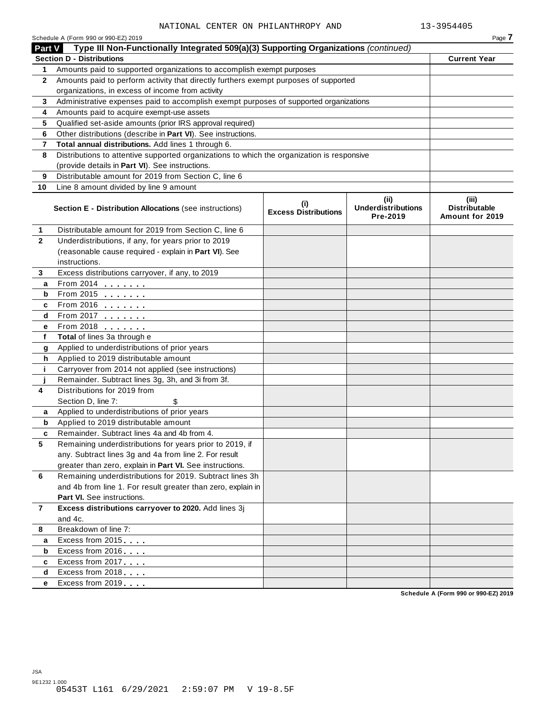|              | Schedule A (Form 990 or 990-EZ) 2019                                                       |                                    |                                               | Page 7                                           |
|--------------|--------------------------------------------------------------------------------------------|------------------------------------|-----------------------------------------------|--------------------------------------------------|
| Part V       | Type III Non-Functionally Integrated 509(a)(3) Supporting Organizations (continued)        |                                    |                                               |                                                  |
|              | <b>Section D - Distributions</b>                                                           |                                    |                                               | <b>Current Year</b>                              |
| 1            | Amounts paid to supported organizations to accomplish exempt purposes                      |                                    |                                               |                                                  |
| $\mathbf{2}$ | Amounts paid to perform activity that directly furthers exempt purposes of supported       |                                    |                                               |                                                  |
|              | organizations, in excess of income from activity                                           |                                    |                                               |                                                  |
| 3            | Administrative expenses paid to accomplish exempt purposes of supported organizations      |                                    |                                               |                                                  |
| 4            | Amounts paid to acquire exempt-use assets                                                  |                                    |                                               |                                                  |
| 5            | Qualified set-aside amounts (prior IRS approval required)                                  |                                    |                                               |                                                  |
| 6            | Other distributions (describe in Part VI). See instructions.                               |                                    |                                               |                                                  |
| 7            | Total annual distributions. Add lines 1 through 6.                                         |                                    |                                               |                                                  |
| 8            | Distributions to attentive supported organizations to which the organization is responsive |                                    |                                               |                                                  |
|              | (provide details in Part VI). See instructions.                                            |                                    |                                               |                                                  |
| 9            | Distributable amount for 2019 from Section C, line 6                                       |                                    |                                               |                                                  |
| 10           | Line 8 amount divided by line 9 amount                                                     |                                    |                                               |                                                  |
|              | <b>Section E - Distribution Allocations (see instructions)</b>                             | (i)<br><b>Excess Distributions</b> | (ii)<br><b>Underdistributions</b><br>Pre-2019 | (iii)<br><b>Distributable</b><br>Amount for 2019 |
| 1            | Distributable amount for 2019 from Section C, line 6                                       |                                    |                                               |                                                  |
| $\mathbf{2}$ | Underdistributions, if any, for years prior to 2019                                        |                                    |                                               |                                                  |
|              | (reasonable cause required - explain in Part VI). See                                      |                                    |                                               |                                                  |
|              | instructions.                                                                              |                                    |                                               |                                                  |
| 3            | Excess distributions carryover, if any, to 2019                                            |                                    |                                               |                                                  |
| a            | $From 2014$                                                                                |                                    |                                               |                                                  |
| b            | $\overline{From 2015}$ $\overline{100}$                                                    |                                    |                                               |                                                  |
| c            | From 2016 $\frac{2016}{200}$                                                               |                                    |                                               |                                                  |
| d            | From 2017 $\qquad \qquad \qquad$                                                           |                                    |                                               |                                                  |
| е            | From 2018                                                                                  |                                    |                                               |                                                  |
| f            | Total of lines 3a through e                                                                |                                    |                                               |                                                  |
| g            | Applied to underdistributions of prior years                                               |                                    |                                               |                                                  |
| h            | Applied to 2019 distributable amount                                                       |                                    |                                               |                                                  |
| j.           | Carryover from 2014 not applied (see instructions)                                         |                                    |                                               |                                                  |
|              | Remainder. Subtract lines 3g, 3h, and 3i from 3f.                                          |                                    |                                               |                                                  |
| 4            | Distributions for 2019 from                                                                |                                    |                                               |                                                  |
|              | Section D, line 7:<br>\$                                                                   |                                    |                                               |                                                  |
| a            | Applied to underdistributions of prior years                                               |                                    |                                               |                                                  |
| b            | Applied to 2019 distributable amount                                                       |                                    |                                               |                                                  |
|              | Remainder. Subtract lines 4a and 4b from 4.                                                |                                    |                                               |                                                  |
| 5            | Remaining underdistributions for years prior to 2019, if                                   |                                    |                                               |                                                  |
|              | any. Subtract lines 3g and 4a from line 2. For result                                      |                                    |                                               |                                                  |
|              | greater than zero, explain in Part VI. See instructions.                                   |                                    |                                               |                                                  |
| 6            | Remaining underdistributions for 2019. Subtract lines 3h                                   |                                    |                                               |                                                  |
|              | and 4b from line 1. For result greater than zero, explain in                               |                                    |                                               |                                                  |
|              | Part VI. See instructions.                                                                 |                                    |                                               |                                                  |
| $\mathbf{7}$ | Excess distributions carryover to 2020. Add lines 3j                                       |                                    |                                               |                                                  |
|              | and 4c.                                                                                    |                                    |                                               |                                                  |
| 8            | Breakdown of line 7:                                                                       |                                    |                                               |                                                  |
| a            | Excess from 2015                                                                           |                                    |                                               |                                                  |
| b            | Excess from 2016                                                                           |                                    |                                               |                                                  |
| c            | Excess from 2017                                                                           |                                    |                                               |                                                  |
| d            | Excess from 2018                                                                           |                                    |                                               |                                                  |
| е            | Excess from 2019                                                                           |                                    |                                               |                                                  |
|              |                                                                                            |                                    |                                               | Schedule A (Form 990 or 990-EZ) 2019             |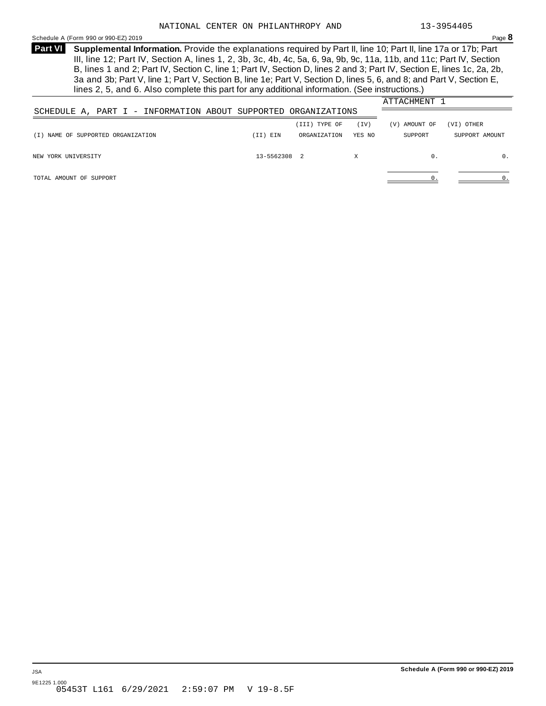#### <span id="page-21-0"></span>Schedule A (Form 990 or 990-EZ) 2019 Page **8**

**Supplemental Information.** Provide the explanations required by Part II, line 10; Part II, line 17a or 17b; Part **Part VI**  III, line 12; Part IV, Section A, lines 1, 2, 3b, 3c, 4b, 4c, 5a, 6, 9a, 9b, 9c, 11a, 11b, and 11c; Part IV, Section B, lines 1 and 2; Part IV, Section C, line 1; Part IV, Section D, lines 2 and 3; Part IV, Section E, lines 1c, 2a, 2b, 3a and 3b; Part V, line 1; Part V, Section B, line 1e; Part V, Section D, lines 5, 6, and 8; and Part V, Section E, lines 2, 5, and 6. Also complete this part for any additional information. (See instructions.)

|                                                                |              |               |        | ATTACHMENT 1  |                |
|----------------------------------------------------------------|--------------|---------------|--------|---------------|----------------|
| SCHEDULE A, PART I - INFORMATION ABOUT SUPPORTED ORGANIZATIONS |              |               |        |               |                |
|                                                                |              | (III) TYPE OF | (TV)   | (V) AMOUNT OF | (VI) OTHER     |
| (I) NAME OF SUPPORTED ORGANIZATION                             | (II) EIN     | ORGANIZATION  | YES NO | SUPPORT       | SUPPORT AMOUNT |
| NEW YORK UNIVERSITY                                            | 13-5562308 2 |               | X      | 0.            | 0.             |
| TOTAL AMOUNT OF SUPPORT                                        |              |               |        |               | 0.             |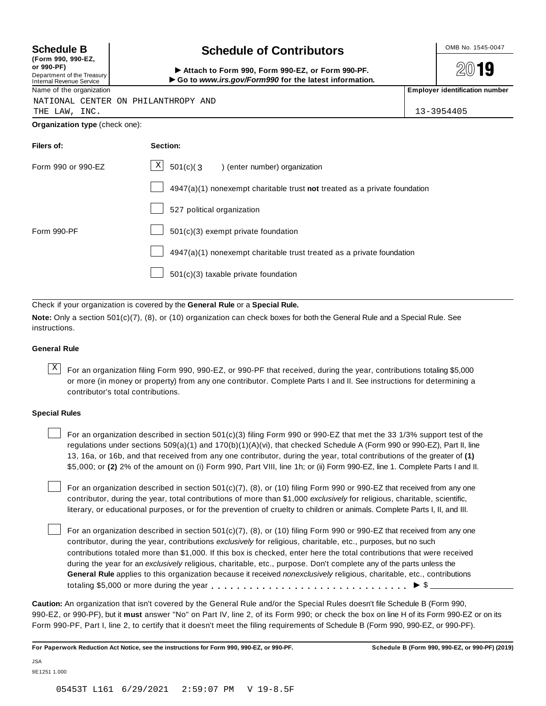| (Form 990, 990-EZ,              |  |
|---------------------------------|--|
| or 990-PF)                      |  |
| Department of the Treasury      |  |
| <b>Internal Revenue Service</b> |  |

## Schedule B **Schedule of Contributors**

Attach to Form 990, Form 990-EZ, or Form 990-PF. I**Go to** *www.irs.gov/Form990* **for the latest information.**

2019

Name of the organization **Employer identification number Employer identification number** NATIONAL CENTER ON PHILANTHROPY AND

THE LAW, INC. 13-3954405

**Organization type** (check one):

| Filers of:         | Section:                                                                  |
|--------------------|---------------------------------------------------------------------------|
| Form 990 or 990-EZ | $\mathbf{X}$<br>$501(c)(3)$ (enter number) organization                   |
|                    | 4947(a)(1) nonexempt charitable trust not treated as a private foundation |
|                    | 527 political organization                                                |
| Form 990-PF        | 501(c)(3) exempt private foundation                                       |
|                    | 4947(a)(1) nonexempt charitable trust treated as a private foundation     |
|                    | 501(c)(3) taxable private foundation                                      |

Check if your organization is covered by the **General Rule** or a **Special Rule.**

**Note:** Only a section 501(c)(7), (8), or (10) organization can check boxes for both the General Rule and a Special Rule. See instructions.

### **General Rule**

 $\overline{X}$  For an organization filing Form 990, 990-EZ, or 990-PF that received, during the year, contributions totaling \$5,000 or more (in money or property) from any one contributor. Complete Parts I and II. See instructions for determining a contributor's total contributions.

#### **Special Rules**

For an organization described in section 501(c)(3) filing Form 990 or 990-EZ that met the 33 1/3% support test of the regulations under sections 509(a)(1) and 170(b)(1)(A)(vi), that checked Schedule A (Form 990 or 990-EZ), Part II, line 13, 16a, or 16b, and that received from any one contributor, during the year, total contributions of the greater of **(1)** \$5,000; or **(2)** 2% of the amount on (i) Form 990, Part VIII, line 1h; or (ii) Form 990-EZ, line 1. Complete Parts I and II.

For an organization described in section 501(c)(7), (8), or (10) filing Form 990 or 990-EZ that received from any one contributor, during the year, total contributions of more than \$1,000 *exclusively* for religious, charitable, scientific, literary, or educational purposes, or for the prevention of cruelty to children or animals. Complete Parts I, II, and III.

For an organization described in section 501(c)(7), (8), or (10) filing Form 990 or 990-EZ that received from any one contributor, during the year, contributions *exclusively* for religious, charitable, etc., purposes, but no such contributions totaled more than \$1,000. If this box is checked, enter here the total contributions that were received during the year for an *exclusively* religious, charitable, etc., purpose. Don't complete any of the parts unless the **General Rule** applies to this organization because it received *nonexclusively* religious, charitable, etc., contributions totaling \$5,000 or more during the year m m m m m m m m m m m m m m m m m m m m m m m m m m m m m m m <sup>I</sup> \$

**Caution:** An organization that isn't covered by the General Rule and/or the Special Rules doesn't file Schedule B (Form 990, 990-EZ, or 990-PF), but it **must** answer "No" on Part IV, line 2, of its Form 990; or check the box on line H of its Form 990-EZ or on its Form 990-PF, Part I, line 2, to certify that it doesn't meet the filing requirements of Schedule B (Form 990, 990-EZ, or 990-PF).

**For Paperwork Reduction Act Notice, see the instructions for Form 990, 990-EZ, or 990-PF. Schedule B (Form 990, 990-EZ, or 990-PF) (2019)**

JSA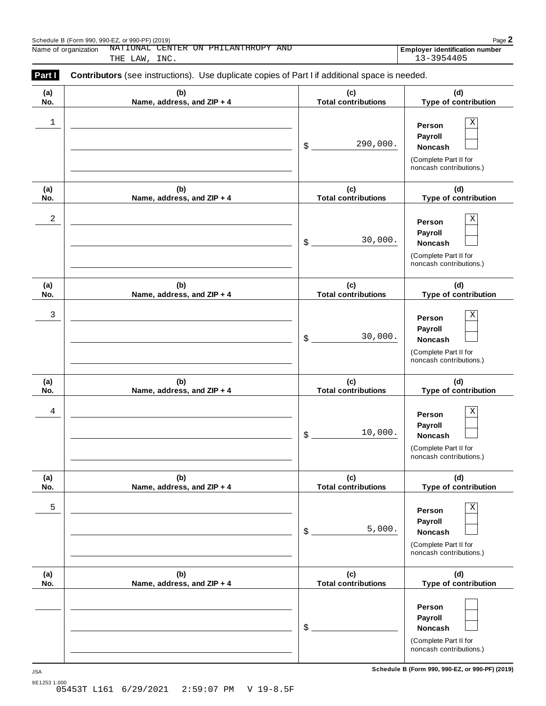|              | NATIONAL CENTER ON PHILANTHROPY AND<br>Name of organization<br>INC.<br>THE LAW,                |                                      | Employer identification number<br>13-3954405                                                 |
|--------------|------------------------------------------------------------------------------------------------|--------------------------------------|----------------------------------------------------------------------------------------------|
| Part I       | Contributors (see instructions). Use duplicate copies of Part I if additional space is needed. |                                      |                                                                                              |
| (a)<br>No.   | (b)<br>Name, address, and ZIP + 4                                                              | (c)<br><b>Total contributions</b>    | (d)<br>Type of contribution                                                                  |
| $\mathbf{1}$ |                                                                                                | 290,000.<br>\$                       | Χ<br>Person<br>Payroll<br>Noncash<br>(Complete Part II for<br>noncash contributions.)        |
| (a)<br>No.   | (b)<br>Name, address, and ZIP + 4                                                              | (c)<br><b>Total contributions</b>    | (d)<br>Type of contribution                                                                  |
| 2            |                                                                                                | 30,000.<br>$\boldsymbol{\mathsf{S}}$ | Χ<br>Person<br>Payroll<br><b>Noncash</b><br>(Complete Part II for<br>noncash contributions.) |
| (a)<br>No.   | (b)<br>Name, address, and ZIP + 4                                                              | (c)<br><b>Total contributions</b>    | (d)<br>Type of contribution                                                                  |
| 3            |                                                                                                | 30,000.<br>$\boldsymbol{\mathsf{S}}$ | Χ<br>Person<br>Payroll<br><b>Noncash</b><br>(Complete Part II for<br>noncash contributions.) |
| (a)<br>No.   | (b)<br>Name, address, and ZIP + 4                                                              | (c)<br><b>Total contributions</b>    | (d)<br>Type of contribution                                                                  |
| 4            |                                                                                                | 10,000.<br>\$                        | Χ<br>Person<br>Payroll<br><b>Noncash</b><br>(Complete Part II for<br>noncash contributions.) |
| (a)<br>No.   | (b)<br>Name, address, and ZIP + 4                                                              | (c)<br><b>Total contributions</b>    | (d)<br>Type of contribution                                                                  |
| 5            |                                                                                                | 5,000.<br>\$                         | Χ<br>Person<br>Payroll<br>Noncash<br>(Complete Part II for<br>noncash contributions.)        |
| (a)<br>No.   | (b)<br>Name, address, and ZIP + 4                                                              | (c)<br><b>Total contributions</b>    | (d)<br>Type of contribution                                                                  |
|              |                                                                                                | \$                                   | Person<br>Payroll<br>Noncash<br>(Complete Part II for<br>noncash contributions.)             |

**Schedule B (Form 990, 990-EZ, or 990-PF) (2019)** JSA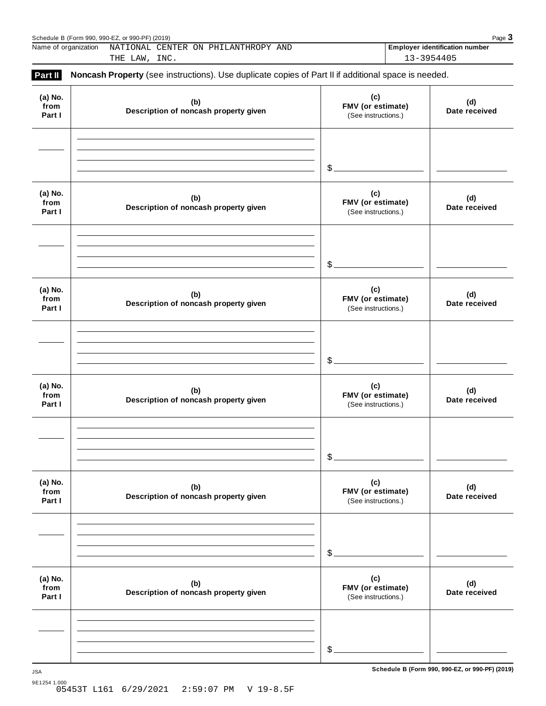|                           | Name of organization<br>NATIONAL CENTER ON PHILANTHROPY AND<br>THE LAW, INC.                        |                                                 | <b>Employer identification number</b><br>13-3954405 |
|---------------------------|-----------------------------------------------------------------------------------------------------|-------------------------------------------------|-----------------------------------------------------|
| Part II                   | Noncash Property (see instructions). Use duplicate copies of Part II if additional space is needed. |                                                 |                                                     |
| (a) No.<br>from<br>Part I | (b)<br>Description of noncash property given                                                        | (c)<br>FMV (or estimate)<br>(See instructions.) | (d)<br>Date received                                |
|                           |                                                                                                     | $\mathcal{S}$ .                                 |                                                     |
| (a) No.<br>from<br>Part I | (b)<br>Description of noncash property given                                                        | (c)<br>FMV (or estimate)<br>(See instructions.) | (d)<br>Date received                                |
|                           |                                                                                                     | \$.                                             |                                                     |
| (a) No.<br>from<br>Part I | (b)<br>Description of noncash property given                                                        | (c)<br>FMV (or estimate)<br>(See instructions.) | (d)<br>Date received                                |
|                           |                                                                                                     | \$                                              |                                                     |
| (a) No.<br>from<br>Part I | (b)<br>Description of noncash property given                                                        | (c)<br>FMV (or estimate)<br>(See instructions.) | (d)<br>Date received                                |
|                           |                                                                                                     | \$.                                             |                                                     |
| (a) No.<br>from<br>Part I | (b)<br>Description of noncash property given                                                        | (c)<br>FMV (or estimate)<br>(See instructions.) | (d)<br>Date received                                |
|                           |                                                                                                     | \$.                                             |                                                     |
| (a) No.<br>from<br>Part I | (b)<br>Description of noncash property given                                                        | (c)<br>FMV (or estimate)<br>(See instructions.) | (d)<br>Date received                                |
|                           |                                                                                                     |                                                 |                                                     |
|                           |                                                                                                     | $\frac{1}{2}$                                   |                                                     |

**Schedule B (Form 990, 990-EZ, or 990-PF) (2019)** JSA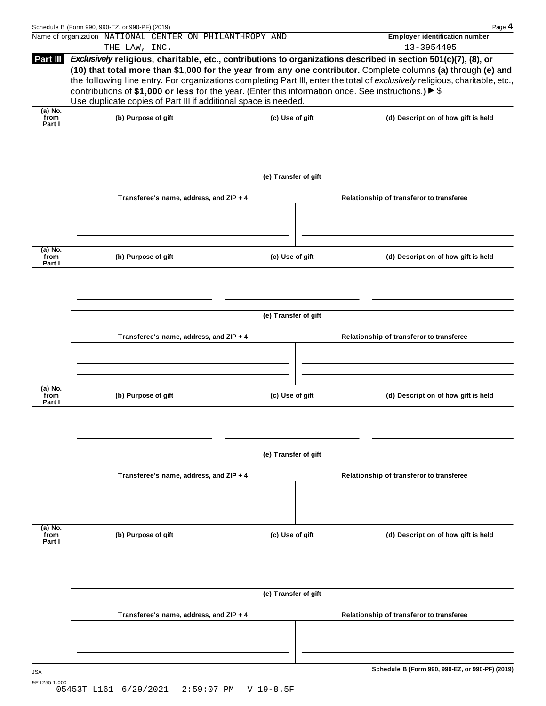|                           | Schedule B (Form 990, 990-EZ, or 990-PF) (2019)<br>Name of organization NATIONAL CENTER ON PHILANTHROPY AND                                                                                                                                                                                                                                                                                                                                                                                                                                                     |                      |  | Page 4<br><b>Employer identification number</b> |
|---------------------------|-----------------------------------------------------------------------------------------------------------------------------------------------------------------------------------------------------------------------------------------------------------------------------------------------------------------------------------------------------------------------------------------------------------------------------------------------------------------------------------------------------------------------------------------------------------------|----------------------|--|-------------------------------------------------|
|                           | THE LAW, INC.                                                                                                                                                                                                                                                                                                                                                                                                                                                                                                                                                   |                      |  | 13-3954405                                      |
| Part III                  | Exclusively religious, charitable, etc., contributions to organizations described in section 501(c)(7), (8), or<br>(10) that total more than \$1,000 for the year from any one contributor. Complete columns (a) through (e) and<br>the following line entry. For organizations completing Part III, enter the total of exclusively religious, charitable, etc.,<br>contributions of \$1,000 or less for the year. (Enter this information once. See instructions.) $\blacktriangleright$ \$<br>Use duplicate copies of Part III if additional space is needed. |                      |  |                                                 |
| $(a)$ No.<br>from         |                                                                                                                                                                                                                                                                                                                                                                                                                                                                                                                                                                 |                      |  |                                                 |
| Part I                    | (b) Purpose of gift                                                                                                                                                                                                                                                                                                                                                                                                                                                                                                                                             | (c) Use of gift      |  | (d) Description of how gift is held             |
|                           |                                                                                                                                                                                                                                                                                                                                                                                                                                                                                                                                                                 | (e) Transfer of gift |  |                                                 |
|                           | Transferee's name, address, and ZIP + 4                                                                                                                                                                                                                                                                                                                                                                                                                                                                                                                         |                      |  | Relationship of transferor to transferee        |
|                           |                                                                                                                                                                                                                                                                                                                                                                                                                                                                                                                                                                 |                      |  |                                                 |
| (a) No.<br>from<br>Part I | (b) Purpose of gift                                                                                                                                                                                                                                                                                                                                                                                                                                                                                                                                             | (c) Use of gift      |  | (d) Description of how gift is held             |
|                           |                                                                                                                                                                                                                                                                                                                                                                                                                                                                                                                                                                 | (e) Transfer of gift |  |                                                 |
|                           | Transferee's name, address, and ZIP + 4                                                                                                                                                                                                                                                                                                                                                                                                                                                                                                                         |                      |  | Relationship of transferor to transferee        |
|                           |                                                                                                                                                                                                                                                                                                                                                                                                                                                                                                                                                                 |                      |  |                                                 |
| (a) No.<br>from<br>Part I | (b) Purpose of gift                                                                                                                                                                                                                                                                                                                                                                                                                                                                                                                                             | (c) Use of gift      |  | (d) Description of how gift is held             |
|                           |                                                                                                                                                                                                                                                                                                                                                                                                                                                                                                                                                                 | (e) Transfer of gift |  |                                                 |
|                           | Transferee's name, address, and ZIP + 4                                                                                                                                                                                                                                                                                                                                                                                                                                                                                                                         |                      |  | Relationship of transferor to transferee        |
|                           |                                                                                                                                                                                                                                                                                                                                                                                                                                                                                                                                                                 |                      |  |                                                 |
| (a) No.<br>from<br>Part I | (b) Purpose of gift                                                                                                                                                                                                                                                                                                                                                                                                                                                                                                                                             | (c) Use of gift      |  | (d) Description of how gift is held             |
|                           |                                                                                                                                                                                                                                                                                                                                                                                                                                                                                                                                                                 |                      |  |                                                 |
|                           |                                                                                                                                                                                                                                                                                                                                                                                                                                                                                                                                                                 | (e) Transfer of gift |  |                                                 |
|                           | Transferee's name, address, and ZIP + 4                                                                                                                                                                                                                                                                                                                                                                                                                                                                                                                         |                      |  | Relationship of transferor to transferee        |
|                           |                                                                                                                                                                                                                                                                                                                                                                                                                                                                                                                                                                 |                      |  |                                                 |
| <b>JSA</b>                |                                                                                                                                                                                                                                                                                                                                                                                                                                                                                                                                                                 |                      |  | Schedule B (Form 990, 990-EZ, or 990-PF) (2019) |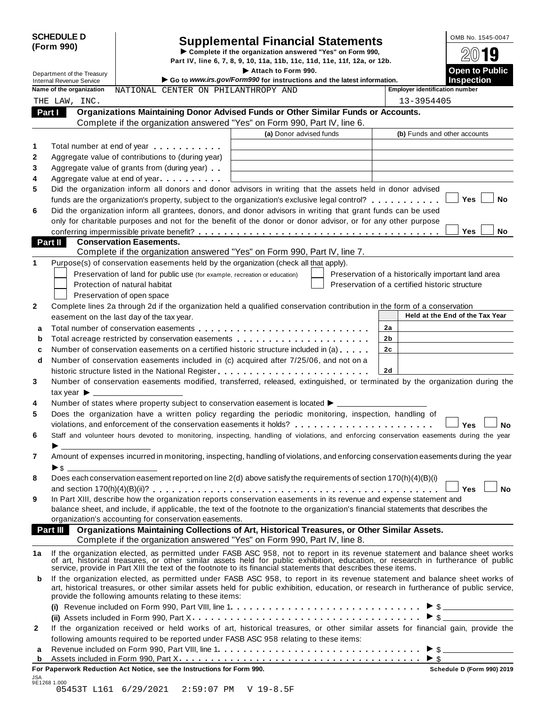|            | <b>SCHEDULE D</b> |  |
|------------|-------------------|--|
| (Form 990) |                   |  |

# **Supplemental Financial Statements** <br> **Complete if the organization answered "Yes" on Form 990,**  $\frac{\text{OMB No. 1545-0047}}{\text{OM}}$

Part IV, line 6, 7, 8, 9, 10, 11a, 11b, 11c, 11d, 11e, 11f, 12a, or 12b.

Part IV, line 6, 7, 8, 9, 10, 11a, 11b, 11c, 11d, 11e, 11f, 12a, or 12b.<br>
Department of the Treasury<br> **Co to Hanny irs 201/Form000 for instructions and the Intervations** Internal Revenue Service I **Go to** *www.irs.gov/Form990* **for instructions and the latest information. Inspection Name of the organization** MATIONAL CENTER ON PHILANTHROPY AND **Final Propertial Employer identification number Organizations Maintaining Donor Advised Funds or Other Similar Funds or Accounts.** Complete if the organization answered "Yes" on Form 990, Part IV, line 6.  **Part I (a)** Donor advised funds **(b)** Funds and other accounts **1 2 3 4 5 6** Total number at end of year Aggregate value of contributions to (during year) Aggregate value of grants from (during year) Aggregate value at end of year CENTER ON PH<br> **Intaining Donor Adamization answere**<br> **CENTER ON PH**<br> **CENTER ON PH**<br> **CONORM** Adere<br>ere<br>ar) Did the organization inform all donors and donor advisors in writing that the assets held in donor advised funds are the organization's property, subject to the organization's exclusive legal control? Fotal number at end of year.<br>Aggregate value of contributions to (during year)<br>Aggregate value of grants from (during year)<br>Did the organization inform all donors and donor advisors in writing that the assets held in donor Did the organization inform all grantees, donors, and donor advisors in writing that grant funds can be used only for charitable purposes and not for the benefit of the donor or donor advisor, or for any other purpose Aggregate value of grants from (during year)<br>
Did the organization inform all donors and donor advisors in writing that the assets held in donor advised<br>
funds are the organization's property, subject to the organization's **Conservation Easements.** Complete if the organization answered "Yes" on Form 990, Part IV, line 7.  **Part II 1** Purpose(s) of conservation easements held by the organization (check all that apply). Preservation of land for public use (for example, recreation or education) Protection of natural habitat Preservation of open space Preservation of a historically important land area Preservation of a certified historic structure **2** Complete lines 2a through 2d if the organization held a qualified conservation contribution in the form of a conservation easement on the last day of the tax year. **Held at the End of the Tax Year Held at the End of the Tax Year 2a 2b 2c 2d a** Total number of conservation easements **b** Total acreage restricted by conservation easements **c** Number of conservation easements on a certified historic structure included in (a) **d** Number of conservation easements included in (c) acquired after 7/25/06, and not on a m m m m m m m m m m m m m m m m m m m m m m m m m m m m m m m m m m m m m m m m m m m m m m m m m m m m m Number of conservation easements included in (c) acquired after 7/25/06, and not on a Following the structure list day of the tax year.<br> **a** Total number of conservation easements<br> **b** Total acreage restricted by conservation easements<br> **c** Number of conservation easements on a certified historic structure **4 5 6 7 8 9** Number of conservation easements modified, transferred, released, extinguished, or terminated by the organization during the tax vear  $\blacktriangleright$ Number of states where property subject to conservation easement is located  $\blacktriangleright$ . Does the organization have a written policy regarding the periodic monitoring, inspection, handling of Number of conservation easements included in (c) acquired arter 7/25/06, and not on a<br>historic structure listed in the National Register<br>Number of conservation easements modified, transferred, released, extinguished, or te Staff and volunteer hours devoted to monitoring, inspecting, handling of violations, and enforcing conservation easements during the year<br>  $\blacktriangleright$ Amount of expenses incurred in monitoring, inspecting, handling of violations, and enforcing conservation easements during the year  $\triangleright$  s Does each conservation easement reported on line 2(d) above satisfy the requirements of section 170(h)(4)(B)(i) and section 170(h)(4)(B)(ii)?<br>
and section 170(h)(4)(B)(ii)?<br>
and section 170(h)(4)(B)(iii)?<br>
and section 170(h)(4)(B)(iii)?<br>
and section 170(h)(4)(B)(iii)?<br>
and section 170(h)(4)(B)(iii)?<br>
and section 170(h)(4)(B)(iii)?<br> In Part XIII, describe how the organization reports conservation easements in its revenue and expense statement and balance sheet, and include, if applicable, the text of the footnote to the organization's financial statements that describes the organization's accounting for conservation easements. **Organizations Maintaining Collections of Art, Historical Treasures, or Other Similar Assets.** Complete if the organization answered "Yes" on Form 990, Part IV, line 8.  **Part III**  1a If the organization elected, as permitted under FASB ASC 958, not to report in its revenue statement and balance sheet works<br>of art, historical treasures, or other similar assets held for public exhibition, education, o service, provide in Part XIII the text of the footnote to its financial statements that describes these items. **b** If the organization elected, as permitted under FASB ASC 958, to report in its revenue statement and balance sheet works of art, historical treasures, or other similar assets held for public exhibition, education, or research in furtherance of public service, provide the following amounts relating to these items: **(i)** I Revenue included on Form 990, Part VIII, line 1 **(ii)** Assets included in Form 990, Part X SB ASC 958, not to report in its revenue statement and balas held for public exhibition, education, or research in further to its financial statements that describes these items.<br>ASB ASC 958, to report in its revenue stat m m m m m m m m m m m m m m m m m m m m m m m m m m m m m m m m m m m m <sup>I</sup> \$ **2** If the organization received or held works of art, historical treasures, or other similar assets for financial gain, provide the following amounts required to be reported under FASB ASC 958 relating to these items: **<sup>a</sup>** Revenue included on Form 990, Part VIII, line 1 I Assets included in Form 990, Part X held for public exhibition, education, or research in furtherance of<br>  $\frac{1}{2}$ <br>  $\frac{1}{2}$ <br>  $\frac{1}{2}$ <br>  $\frac{1}{2}$ <br>  $\frac{1}{2}$ <br>  $\frac{1}{2}$ <br>  $\frac{1}{2}$ <br>  $\frac{1}{2}$ <br>  $\frac{1}{2}$ <br>  $\frac{1}{2}$ <br>  $\frac{1}{2}$ <br>  $\frac{1}{2}$ <br>  $\frac{1}{2}$ <br>  $\frac{1}{2}$ **<sup>b</sup>** m m m m m m m m m m m m m m m m m m m m m m m m m m m m m m m m m m m m m m <sup>I</sup> \$ THE LAW, INC. 13-3954405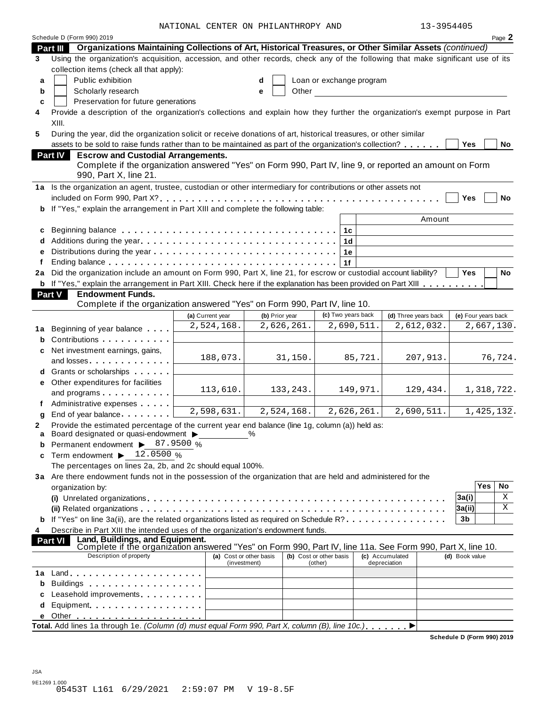| 3-3954405 |  |
|-----------|--|
|-----------|--|

|                        |                                                                                                                                                                                                                                    | NATIONAL CENTER ON PHILANTHROPY AND |                |                                    |              |                      | 13-3954405          |         |
|------------------------|------------------------------------------------------------------------------------------------------------------------------------------------------------------------------------------------------------------------------------|-------------------------------------|----------------|------------------------------------|--------------|----------------------|---------------------|---------|
|                        | Schedule D (Form 990) 2019                                                                                                                                                                                                         |                                     |                |                                    |              |                      |                     | Page 2  |
|                        | Part III Organizations Maintaining Collections of Art, Historical Treasures, or Other Similar Assets (continued)                                                                                                                   |                                     |                |                                    |              |                      |                     |         |
| 3                      | Using the organization's acquisition, accession, and other records, check any of the following that make significant use of its                                                                                                    |                                     |                |                                    |              |                      |                     |         |
|                        | collection items (check all that apply):                                                                                                                                                                                           |                                     |                |                                    |              |                      |                     |         |
| a                      | Public exhibition                                                                                                                                                                                                                  |                                     | d              | Loan or exchange program           |              |                      |                     |         |
| b                      | Scholarly research                                                                                                                                                                                                                 |                                     | Other<br>e     |                                    |              |                      |                     |         |
| C                      | Preservation for future generations                                                                                                                                                                                                |                                     |                |                                    |              |                      |                     |         |
|                        | Provide a description of the organization's collections and explain how they further the organization's exempt purpose in Part                                                                                                     |                                     |                |                                    |              |                      |                     |         |
|                        | XIII.                                                                                                                                                                                                                              |                                     |                |                                    |              |                      |                     |         |
|                        | During the year, did the organization solicit or receive donations of art, historical treasures, or other similar                                                                                                                  |                                     |                |                                    |              |                      |                     |         |
|                        | assets to be sold to raise funds rather than to be maintained as part of the organization's collection?                                                                                                                            |                                     |                |                                    |              |                      | Yes                 | No      |
|                        | <b>Escrow and Custodial Arrangements.</b><br>Part IV                                                                                                                                                                               |                                     |                |                                    |              |                      |                     |         |
|                        | Complete if the organization answered "Yes" on Form 990, Part IV, line 9, or reported an amount on Form<br>990, Part X, line 21.                                                                                                   |                                     |                |                                    |              |                      |                     |         |
|                        | 1a Is the organization an agent, trustee, custodian or other intermediary for contributions or other assets not                                                                                                                    |                                     |                |                                    |              |                      |                     |         |
|                        |                                                                                                                                                                                                                                    |                                     |                |                                    |              |                      | Yes                 | No      |
|                        | b If "Yes," explain the arrangement in Part XIII and complete the following table:                                                                                                                                                 |                                     |                |                                    |              |                      |                     |         |
|                        |                                                                                                                                                                                                                                    |                                     |                |                                    |              | Amount               |                     |         |
| c                      |                                                                                                                                                                                                                                    |                                     |                | 1c                                 |              |                      |                     |         |
|                        |                                                                                                                                                                                                                                    |                                     |                | 1d                                 |              |                      |                     |         |
| е                      |                                                                                                                                                                                                                                    |                                     |                | 1е                                 |              |                      |                     |         |
| f                      |                                                                                                                                                                                                                                    |                                     |                | 1f                                 |              |                      |                     |         |
|                        | 2a Did the organization include an amount on Form 990, Part X, line 21, for escrow or custodial account liability?                                                                                                                 |                                     |                |                                    |              |                      | <b>Yes</b>          | No      |
|                        | b If "Yes," explain the arrangement in Part XIII. Check here if the explanation has been provided on Part XIII                                                                                                                     |                                     |                |                                    |              |                      |                     |         |
|                        | <b>Endowment Funds.</b><br>Part V                                                                                                                                                                                                  |                                     |                |                                    |              |                      |                     |         |
|                        | Complete if the organization answered "Yes" on Form 990, Part IV, line 10.                                                                                                                                                         |                                     |                |                                    |              |                      |                     |         |
|                        |                                                                                                                                                                                                                                    | (a) Current year                    | (b) Prior year | (c) Two years back                 |              | (d) Three years back | (e) Four years back |         |
| 1а                     | Beginning of year balance                                                                                                                                                                                                          | 2,524,168.                          | 2,626,261.     | 2,690,511.                         |              | 2,612,032.           | 2,667,130.          |         |
|                        | Contributions <b>Contributions</b>                                                                                                                                                                                                 |                                     |                |                                    |              |                      |                     |         |
| b                      | c Net investment earnings, gains,                                                                                                                                                                                                  |                                     |                |                                    |              |                      |                     |         |
|                        | and losses                                                                                                                                                                                                                         | 188,073.                            | 31,150.        |                                    | 85,721.      | 207,913.             |                     | 76,724. |
|                        | d Grants or scholarships                                                                                                                                                                                                           |                                     |                |                                    |              |                      |                     |         |
|                        | e Other expenditures for facilities                                                                                                                                                                                                |                                     |                |                                    |              |                      |                     |         |
|                        | and programs                                                                                                                                                                                                                       | 113,610.                            | 133, 243.      |                                    | 149,971.     | 129,434.             | 1,318,722.          |         |
|                        |                                                                                                                                                                                                                                    |                                     |                |                                    |              |                      |                     |         |
|                        | Administrative expenses                                                                                                                                                                                                            | 2,598,631.                          | 2,524,168.     | 2,626,261.                         |              | 2,690,511.           | 1,425,132.          |         |
| g                      | End of year balance expansion of year balance                                                                                                                                                                                      |                                     |                |                                    |              |                      |                     |         |
| a                      | Provide the estimated percentage of the current year end balance (line 1g, column (a)) held as:<br>Board designated or quasi-endowment                                                                                             |                                     |                |                                    |              |                      |                     |         |
| b                      | Permanent endowment > 87.9500 %                                                                                                                                                                                                    |                                     |                |                                    |              |                      |                     |         |
| C                      | Term endowment $\blacktriangleright$ 12.0500 %                                                                                                                                                                                     |                                     |                |                                    |              |                      |                     |         |
|                        | The percentages on lines 2a, 2b, and 2c should equal 100%.                                                                                                                                                                         |                                     |                |                                    |              |                      |                     |         |
|                        | 3a Are there endowment funds not in the possession of the organization that are held and administered for the                                                                                                                      |                                     |                |                                    |              |                      |                     |         |
|                        | organization by:                                                                                                                                                                                                                   |                                     |                |                                    |              |                      | Yes                 | No      |
|                        |                                                                                                                                                                                                                                    |                                     |                |                                    |              |                      | 3a(i)               | Χ       |
|                        |                                                                                                                                                                                                                                    |                                     |                |                                    |              |                      | 3a(ii)              | X       |
|                        | If "Yes" on line 3a(ii), are the related organizations listed as required on Schedule R?                                                                                                                                           |                                     |                |                                    |              |                      | 3 <sub>b</sub>      |         |
|                        | Describe in Part XIII the intended uses of the organization's endowment funds.                                                                                                                                                     |                                     |                |                                    |              |                      |                     |         |
|                        | Land, Buildings, and Equipment.<br><b>Part VI</b>                                                                                                                                                                                  |                                     |                |                                    |              |                      |                     |         |
|                        | Complete if the organization answered "Yes" on Form 990, Part IV, line 11a. See Form 990, Part X, line 10.                                                                                                                         |                                     |                |                                    |              |                      |                     |         |
|                        | Description of property                                                                                                                                                                                                            | (a) Cost or other basis             | (investment)   | (b) Cost or other basis<br>(other) | depreciation | (c) Accumulated      | (d) Book value      |         |
|                        |                                                                                                                                                                                                                                    |                                     |                |                                    |              |                      |                     |         |
|                        | Buildings <b>Example 20</b> and the set of the set of the set of the set of the set of the set of the set of the set of the set of the set of the set of the set of the set of the set of the set of the set of the set of the set |                                     |                |                                    |              |                      |                     |         |
|                        |                                                                                                                                                                                                                                    |                                     |                |                                    |              |                      |                     |         |
|                        |                                                                                                                                                                                                                                    |                                     |                |                                    |              |                      |                     |         |
|                        | Leasehold improvements experiences                                                                                                                                                                                                 |                                     |                |                                    |              |                      |                     |         |
| 1a<br>b<br>c<br>d<br>е | Equipment                                                                                                                                                                                                                          |                                     |                |                                    |              |                      |                     |         |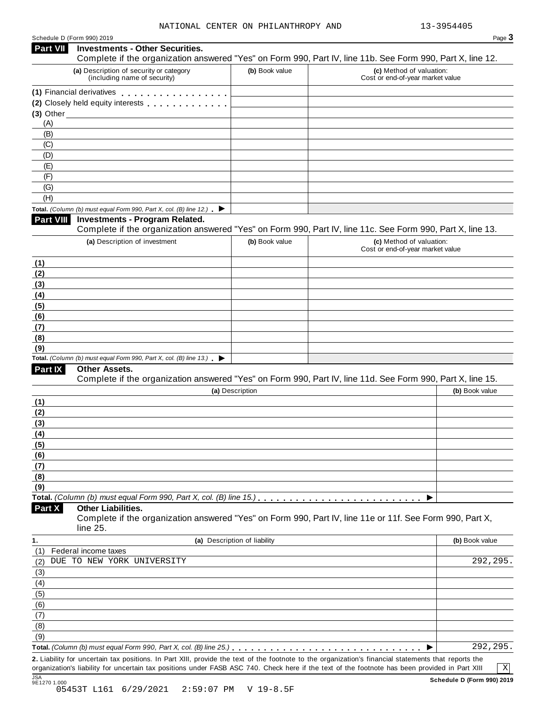| Schedule D (Form 990) 2019 |  |  |
|----------------------------|--|--|

|                                                         | Schedule D (Form 990) 2019                                                               |                              | Page 3                                                                                                     |
|---------------------------------------------------------|------------------------------------------------------------------------------------------|------------------------------|------------------------------------------------------------------------------------------------------------|
| Part VII                                                | <b>Investments - Other Securities.</b>                                                   |                              | Complete if the organization answered "Yes" on Form 990, Part IV, line 11b. See Form 990, Part X, line 12. |
|                                                         | (a) Description of security or category<br>(including name of security)                  | (b) Book value               | (c) Method of valuation:<br>Cost or end-of-year market value                                               |
|                                                         | (1) Financial derivatives                                                                |                              |                                                                                                            |
|                                                         | (2) Closely held equity interests                                                        |                              |                                                                                                            |
|                                                         | $(3)$ Other                                                                              |                              |                                                                                                            |
| (A)                                                     |                                                                                          |                              |                                                                                                            |
| (B)                                                     |                                                                                          |                              |                                                                                                            |
| (C)                                                     |                                                                                          |                              |                                                                                                            |
| (D)                                                     |                                                                                          |                              |                                                                                                            |
| (E)<br>(F)                                              |                                                                                          |                              |                                                                                                            |
| (G)                                                     |                                                                                          |                              |                                                                                                            |
| (H)                                                     |                                                                                          |                              |                                                                                                            |
|                                                         | Total. (Column (b) must equal Form 990, Part X, col. (B) line 12.) $\blacktriangleright$ |                              |                                                                                                            |
| Part VIII                                               | <b>Investments - Program Related.</b>                                                    |                              | Complete if the organization answered "Yes" on Form 990, Part IV, line 11c. See Form 990, Part X, line 13. |
|                                                         | (a) Description of investment                                                            | (b) Book value               | (c) Method of valuation:<br>Cost or end-of-year market value                                               |
| (1)                                                     |                                                                                          |                              |                                                                                                            |
| (2)                                                     |                                                                                          |                              |                                                                                                            |
| (3)                                                     |                                                                                          |                              |                                                                                                            |
| (4)                                                     |                                                                                          |                              |                                                                                                            |
| (5)                                                     |                                                                                          |                              |                                                                                                            |
| (6)                                                     |                                                                                          |                              |                                                                                                            |
| (7)                                                     |                                                                                          |                              |                                                                                                            |
| (8)<br>(9)                                              |                                                                                          |                              |                                                                                                            |
|                                                         | Total. (Column (b) must equal Form 990, Part X, col. (B) line 13.) $\blacktriangleright$ |                              |                                                                                                            |
| Part IX                                                 | Other Assets.                                                                            |                              |                                                                                                            |
|                                                         |                                                                                          |                              | Complete if the organization answered "Yes" on Form 990, Part IV, line 11d. See Form 990, Part X, line 15. |
|                                                         |                                                                                          | (a) Description              | (b) Book value                                                                                             |
| (1)                                                     |                                                                                          |                              |                                                                                                            |
| (2)                                                     |                                                                                          |                              |                                                                                                            |
|                                                         |                                                                                          |                              |                                                                                                            |
|                                                         |                                                                                          |                              |                                                                                                            |
|                                                         |                                                                                          |                              |                                                                                                            |
|                                                         |                                                                                          |                              |                                                                                                            |
|                                                         |                                                                                          |                              |                                                                                                            |
|                                                         |                                                                                          |                              |                                                                                                            |
|                                                         |                                                                                          |                              |                                                                                                            |
|                                                         |                                                                                          |                              |                                                                                                            |
|                                                         |                                                                                          |                              | ▶                                                                                                          |
| (3)<br>(4)<br>(5)<br>(6)<br>(7)<br>(8)<br>(9)<br>Part X | <b>Other Liabilities.</b><br>line 25.                                                    |                              | Complete if the organization answered "Yes" on Form 990, Part IV, line 11e or 11f. See Form 990, Part X,   |
|                                                         |                                                                                          | (a) Description of liability | (b) Book value                                                                                             |
|                                                         | Federal income taxes                                                                     |                              |                                                                                                            |
|                                                         | DUE TO NEW YORK UNIVERSITY                                                               |                              | 292,295                                                                                                    |
|                                                         |                                                                                          |                              |                                                                                                            |
|                                                         |                                                                                          |                              |                                                                                                            |
|                                                         |                                                                                          |                              |                                                                                                            |
|                                                         |                                                                                          |                              |                                                                                                            |
| (1)<br>(2)<br>(3)<br>(4)<br>(5)<br>(6)<br>(7)           |                                                                                          |                              |                                                                                                            |
| (8)                                                     |                                                                                          |                              |                                                                                                            |
| (9)                                                     |                                                                                          |                              | 292,295.                                                                                                   |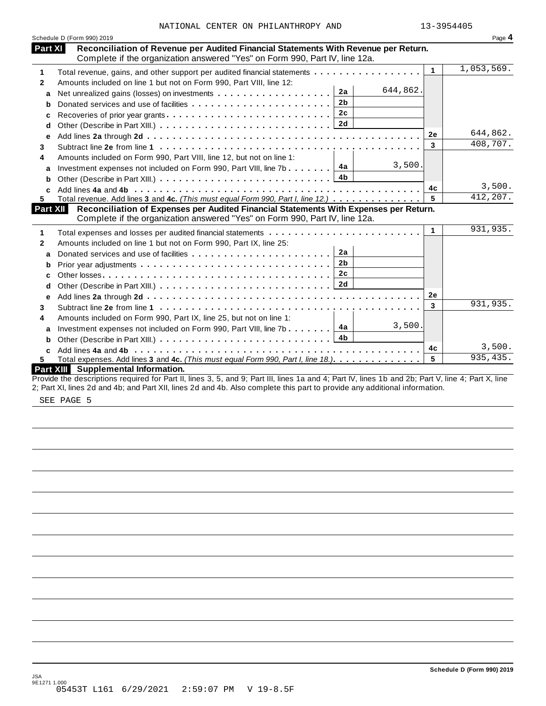|              | Schedule D (Form 990) 2019                                                                                                                                           |              | Page 4     |
|--------------|----------------------------------------------------------------------------------------------------------------------------------------------------------------------|--------------|------------|
| Part XI      | Reconciliation of Revenue per Audited Financial Statements With Revenue per Return.<br>Complete if the organization answered "Yes" on Form 990, Part IV, line 12a.   |              |            |
| 1            | Total revenue, gains, and other support per audited financial statements                                                                                             | $\mathbf{1}$ | 1,053,569. |
| $\mathbf{2}$ | Amounts included on line 1 but not on Form 990, Part VIII, line 12:                                                                                                  |              |            |
| a            | 644,862.<br>2a<br>Net unrealized gains (losses) on investments                                                                                                       |              |            |
| b            | 2 <sub>b</sub><br>Donated services and use of facilities                                                                                                             |              |            |
| c            | 2c<br>Recoveries of prior year grants                                                                                                                                |              |            |
| d            |                                                                                                                                                                      |              |            |
| е            |                                                                                                                                                                      | 2e           | 644,862.   |
| 3            |                                                                                                                                                                      | 3            | 408,707.   |
| 4            | Amounts included on Form 990, Part VIII, line 12, but not on line 1:                                                                                                 |              |            |
| a            | 3,500.<br>4a<br>Investment expenses not included on Form 990, Part VIII, line 7b $\ldots$                                                                            |              |            |
| b            |                                                                                                                                                                      |              |            |
| C.           |                                                                                                                                                                      | 4c           | 3,500.     |
| 5.           | Total revenue. Add lines 3 and 4c. (This must equal Form 990, Part I, line 12.)                                                                                      | 5            | 412,207.   |
| Part XII     | Reconciliation of Expenses per Audited Financial Statements With Expenses per Return.<br>Complete if the organization answered "Yes" on Form 990, Part IV, line 12a. |              |            |
| 1            |                                                                                                                                                                      | $\mathbf{1}$ | 931,935.   |
| $\mathbf{2}$ | Amounts included on line 1 but not on Form 990, Part IX, line 25:                                                                                                    |              |            |
| a            | 2a                                                                                                                                                                   |              |            |
| b            | 2 <sub>b</sub>                                                                                                                                                       |              |            |
| c            | 2 <sub>c</sub>                                                                                                                                                       |              |            |
| d            | 2d                                                                                                                                                                   |              |            |
| е            |                                                                                                                                                                      | 2e           |            |
| 3            |                                                                                                                                                                      | 3            | 931,935.   |
| 4            | Amounts included on Form 990, Part IX, line 25, but not on line 1:                                                                                                   |              |            |
| a            | 3,500.<br>Investment expenses not included on Form 990, Part VIII, line 7b $\boxed{4a}$                                                                              |              |            |
| b            |                                                                                                                                                                      |              |            |
| C.           |                                                                                                                                                                      | 4c           | 3,500.     |
| 5.           | Total expenses. Add lines 3 and 4c. (This must equal Form 990, Part I, line 18.)                                                                                     | 5            | 935,435.   |
|              | Part XIII Supplemental Information.                                                                                                                                  |              |            |
|              | Provide the descriptions required for Part II, lines 3, 5, and 9; Part III, lines 1a and 4; Part IV, lines 1b and 2b; Part V, line 4; Part X, line                   |              |            |

2; Part XI, lines 2d and 4b; and Part XII, lines 2d and 4b. Also complete this part to provide any additional information.

SEE PAGE 5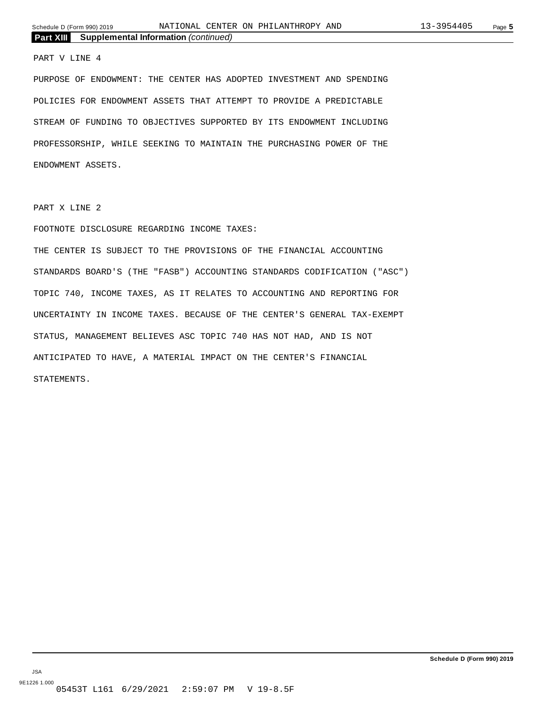#### PART V LINE 4

PURPOSE OF ENDOWMENT: THE CENTER HAS ADOPTED INVESTMENT AND SPENDING POLICIES FOR ENDOWMENT ASSETS THAT ATTEMPT TO PROVIDE A PREDICTABLE STREAM OF FUNDING TO OBJECTIVES SUPPORTED BY ITS ENDOWMENT INCLUDING PROFESSORSHIP, WHILE SEEKING TO MAINTAIN THE PURCHASING POWER OF THE ENDOWMENT ASSETS.

PART X LINE 2

#### FOOTNOTE DISCLOSURE REGARDING INCOME TAXES:

THE CENTER IS SUBJECT TO THE PROVISIONS OF THE FINANCIAL ACCOUNTING STANDARDS BOARD'S (THE "FASB") ACCOUNTING STANDARDS CODIFICATION ("ASC") TOPIC 740, INCOME TAXES, AS IT RELATES TO ACCOUNTING AND REPORTING FOR UNCERTAINTY IN INCOME TAXES. BECAUSE OF THE CENTER'S GENERAL TAX-EXEMPT STATUS, MANAGEMENT BELIEVES ASC TOPIC 740 HAS NOT HAD, AND IS NOT ANTICIPATED TO HAVE, A MATERIAL IMPACT ON THE CENTER'S FINANCIAL STATEMENTS.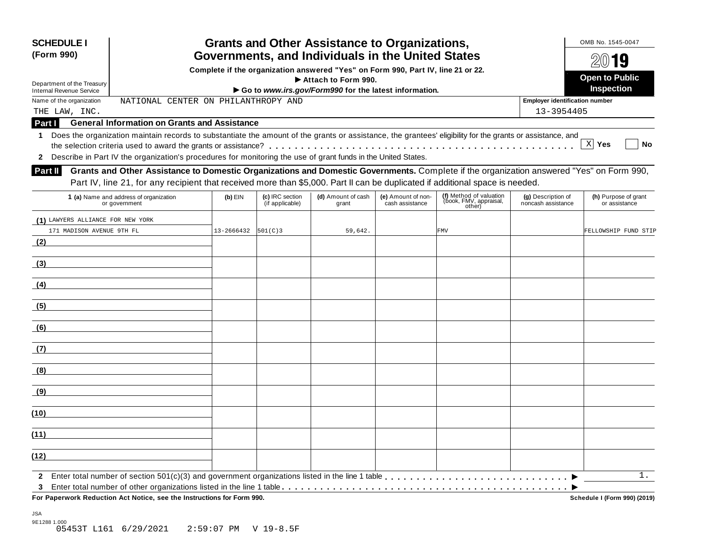| <b>SCHEDULE I</b><br>(Form 990)   |                                                                                                                                                                                                                                                                           |                         |                                    | <b>Grants and Other Assistance to Organizations,</b><br>Governments, and Individuals in the United States |                                       |                                                             |                                          | OMB No. 1545-0047                     |
|-----------------------------------|---------------------------------------------------------------------------------------------------------------------------------------------------------------------------------------------------------------------------------------------------------------------------|-------------------------|------------------------------------|-----------------------------------------------------------------------------------------------------------|---------------------------------------|-------------------------------------------------------------|------------------------------------------|---------------------------------------|
|                                   |                                                                                                                                                                                                                                                                           |                         |                                    | Complete if the organization answered "Yes" on Form 990, Part IV, line 21 or 22.                          |                                       |                                                             |                                          | $20$ 19                               |
| Department of the Treasury        |                                                                                                                                                                                                                                                                           |                         |                                    | Attach to Form 990.                                                                                       |                                       |                                                             |                                          | <b>Open to Public</b>                 |
| <b>Internal Revenue Service</b>   |                                                                                                                                                                                                                                                                           |                         |                                    | Go to www.irs.gov/Form990 for the latest information.                                                     |                                       |                                                             |                                          | Inspection                            |
| Name of the organization          | NATIONAL CENTER ON PHILANTHROPY AND                                                                                                                                                                                                                                       |                         |                                    |                                                                                                           |                                       |                                                             | <b>Employer identification number</b>    |                                       |
| THE LAW, INC.                     |                                                                                                                                                                                                                                                                           |                         |                                    |                                                                                                           |                                       |                                                             | 13-3954405                               |                                       |
| Part I                            | <b>General Information on Grants and Assistance</b>                                                                                                                                                                                                                       |                         |                                    |                                                                                                           |                                       |                                                             |                                          |                                       |
| 1                                 | Does the organization maintain records to substantiate the amount of the grants or assistance, the grantees' eligibility for the grants or assistance, and                                                                                                                |                         |                                    |                                                                                                           |                                       |                                                             |                                          | X <br>Yes<br>No                       |
|                                   | 2 Describe in Part IV the organization's procedures for monitoring the use of grant funds in the United States.                                                                                                                                                           |                         |                                    |                                                                                                           |                                       |                                                             |                                          |                                       |
| Part II                           | Grants and Other Assistance to Domestic Organizations and Domestic Governments. Complete if the organization answered "Yes" on Form 990,<br>Part IV, line 21, for any recipient that received more than \$5,000. Part II can be duplicated if additional space is needed. |                         |                                    |                                                                                                           |                                       |                                                             |                                          |                                       |
|                                   | 1 (a) Name and address of organization<br>or government                                                                                                                                                                                                                   | $(b)$ EIN               | (c) IRC section<br>(if applicable) | (d) Amount of cash<br>grant                                                                               | (e) Amount of non-<br>cash assistance | (f) Method of valuation<br>(book, FMV, appraisal,<br>other) | (g) Description of<br>noncash assistance | (h) Purpose of grant<br>or assistance |
| (1) LAWYERS ALLIANCE FOR NEW YORK |                                                                                                                                                                                                                                                                           |                         |                                    |                                                                                                           |                                       |                                                             |                                          |                                       |
| 171 MADISON AVENUE 9TH FL         |                                                                                                                                                                                                                                                                           | $13 - 2666432$ 501(C) 3 |                                    | 59,642.                                                                                                   |                                       | <b>FMV</b>                                                  |                                          | FELLOWSHIP FUND STIP                  |
| (2)                               |                                                                                                                                                                                                                                                                           |                         |                                    |                                                                                                           |                                       |                                                             |                                          |                                       |
| (3)                               |                                                                                                                                                                                                                                                                           |                         |                                    |                                                                                                           |                                       |                                                             |                                          |                                       |
| (4)                               |                                                                                                                                                                                                                                                                           |                         |                                    |                                                                                                           |                                       |                                                             |                                          |                                       |
| (5)                               |                                                                                                                                                                                                                                                                           |                         |                                    |                                                                                                           |                                       |                                                             |                                          |                                       |
| (6)                               |                                                                                                                                                                                                                                                                           |                         |                                    |                                                                                                           |                                       |                                                             |                                          |                                       |
| (7)                               |                                                                                                                                                                                                                                                                           |                         |                                    |                                                                                                           |                                       |                                                             |                                          |                                       |
| (8)                               |                                                                                                                                                                                                                                                                           |                         |                                    |                                                                                                           |                                       |                                                             |                                          |                                       |
| (9)                               |                                                                                                                                                                                                                                                                           |                         |                                    |                                                                                                           |                                       |                                                             |                                          |                                       |
| (10)                              |                                                                                                                                                                                                                                                                           |                         |                                    |                                                                                                           |                                       |                                                             |                                          |                                       |
| (11)                              |                                                                                                                                                                                                                                                                           |                         |                                    |                                                                                                           |                                       |                                                             |                                          |                                       |
| (12)                              |                                                                                                                                                                                                                                                                           |                         |                                    |                                                                                                           |                                       |                                                             |                                          |                                       |
|                                   |                                                                                                                                                                                                                                                                           |                         |                                    |                                                                                                           |                                       |                                                             |                                          | 1.                                    |
| 3                                 | For Paperwork Reduction Act Notice, see the Instructions for Form 990.                                                                                                                                                                                                    |                         |                                    |                                                                                                           |                                       |                                                             |                                          | Schedule I (Form 990) (2019)          |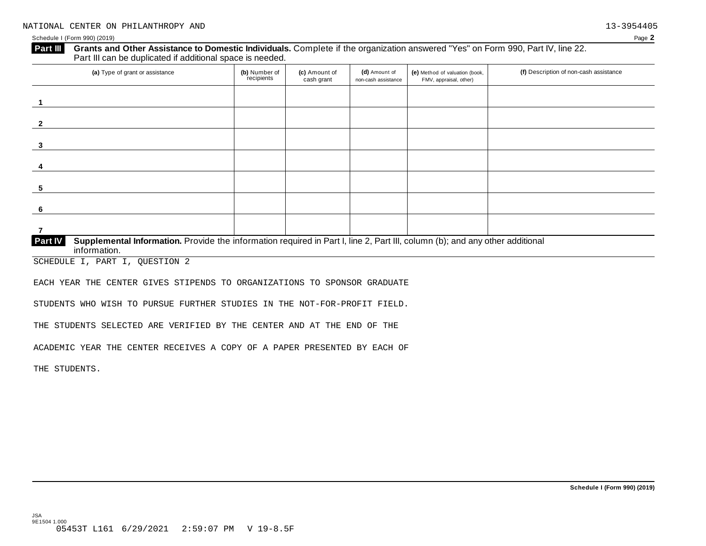#### **Grants and Other Assistance to Domestic Individuals.** Complete if the organization answered "Yes" on Form 990, Part IV, line 22. Part III can be duplicated if additional space is needed. **Part III**

| (a) Type of grant or assistance                                                                                                                         | (b) Number of<br>recipients | (c) Amount of<br>cash grant | (d) Amount of<br>non-cash assistance | (e) Method of valuation (book,<br>FMV, appraisal, other) | (f) Description of non-cash assistance |
|---------------------------------------------------------------------------------------------------------------------------------------------------------|-----------------------------|-----------------------------|--------------------------------------|----------------------------------------------------------|----------------------------------------|
|                                                                                                                                                         |                             |                             |                                      |                                                          |                                        |
| $\overline{2}$                                                                                                                                          |                             |                             |                                      |                                                          |                                        |
| 3                                                                                                                                                       |                             |                             |                                      |                                                          |                                        |
| Δ                                                                                                                                                       |                             |                             |                                      |                                                          |                                        |
| 5                                                                                                                                                       |                             |                             |                                      |                                                          |                                        |
| -6                                                                                                                                                      |                             |                             |                                      |                                                          |                                        |
|                                                                                                                                                         |                             |                             |                                      |                                                          |                                        |
| Supplemental Information. Provide the information required in Part I, line 2, Part III, column (b); and any other additional<br>Part IV<br>information. |                             |                             |                                      |                                                          |                                        |

SCHEDULE I, PART I, QUESTION 2

EACH YEAR THE CENTER GIVES STIPENDS TO ORGANIZATIONS TO SPONSOR GRADUATE

STUDENTS WHO WISH TO PURSUE FURTHER STUDIES IN THE NOT-FOR-PROFIT FIELD.

THE STUDENTS SELECTED ARE VERIFIED BY THE CENTER AND AT THE END OF THE

ACADEMIC YEAR THE CENTER RECEIVES A COPY OF A PAPER PRESENTED BY EACH OF

THE STUDENTS.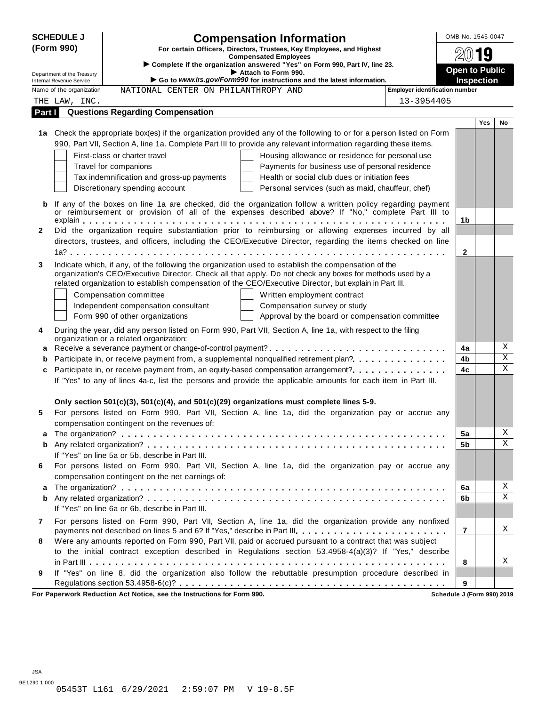|              | <b>SCHEDULE J</b>                                    |                                                                                                  | <b>Compensation Information</b>                                                                                                                                                                                   |                                              | OMB No. 1545-0047     |            |                |
|--------------|------------------------------------------------------|--------------------------------------------------------------------------------------------------|-------------------------------------------------------------------------------------------------------------------------------------------------------------------------------------------------------------------|----------------------------------------------|-----------------------|------------|----------------|
|              | (Form 990)                                           |                                                                                                  | For certain Officers, Directors, Trustees, Key Employees, and Highest                                                                                                                                             |                                              |                       | g          |                |
|              |                                                      |                                                                                                  | <b>Compensated Employees</b><br>Complete if the organization answered "Yes" on Form 990, Part IV, line 23.                                                                                                        |                                              |                       |            |                |
|              | Department of the Treasury                           |                                                                                                  | Attach to Form 990.                                                                                                                                                                                               |                                              | <b>Open to Public</b> |            |                |
|              | Internal Revenue Service<br>Name of the organization |                                                                                                  | Go to www.irs.gov/Form990 for instructions and the latest information.                                                                                                                                            |                                              | <b>Inspection</b>     |            |                |
|              |                                                      | NATIONAL CENTER ON PHILANTHROPY AND                                                              |                                                                                                                                                                                                                   | Employer identification number<br>13-3954405 |                       |            |                |
| Part I       | THE LAW, INC.                                        | <b>Questions Regarding Compensation</b>                                                          |                                                                                                                                                                                                                   |                                              |                       |            |                |
|              |                                                      |                                                                                                  |                                                                                                                                                                                                                   |                                              |                       | <b>Yes</b> | No             |
|              |                                                      |                                                                                                  | 1a Check the appropriate box(es) if the organization provided any of the following to or for a person listed on Form                                                                                              |                                              |                       |            |                |
|              |                                                      |                                                                                                  | 990, Part VII, Section A, line 1a. Complete Part III to provide any relevant information regarding these items.                                                                                                   |                                              |                       |            |                |
|              |                                                      | First-class or charter travel                                                                    | Housing allowance or residence for personal use                                                                                                                                                                   |                                              |                       |            |                |
|              |                                                      | Travel for companions                                                                            | Payments for business use of personal residence                                                                                                                                                                   |                                              |                       |            |                |
|              |                                                      | Tax indemnification and gross-up payments                                                        | Health or social club dues or initiation fees                                                                                                                                                                     |                                              |                       |            |                |
|              |                                                      | Discretionary spending account                                                                   | Personal services (such as maid, chauffeur, chef)                                                                                                                                                                 |                                              |                       |            |                |
|              |                                                      |                                                                                                  |                                                                                                                                                                                                                   |                                              |                       |            |                |
| b            |                                                      |                                                                                                  | If any of the boxes on line 1a are checked, did the organization follow a written policy regarding payment<br>or reimbursement or provision of all of the expenses described above? If "No," complete Part III to |                                              |                       |            |                |
|              |                                                      |                                                                                                  |                                                                                                                                                                                                                   |                                              | 1b                    |            |                |
| $\mathbf{2}$ |                                                      |                                                                                                  | Did the organization require substantiation prior to reimbursing or allowing expenses incurred by all                                                                                                             |                                              |                       |            |                |
|              |                                                      |                                                                                                  | directors, trustees, and officers, including the CEO/Executive Director, regarding the items checked on line                                                                                                      |                                              |                       |            |                |
|              |                                                      |                                                                                                  |                                                                                                                                                                                                                   |                                              | 2                     |            |                |
| 3            |                                                      |                                                                                                  | Indicate which, if any, of the following the organization used to establish the compensation of the                                                                                                               |                                              |                       |            |                |
|              |                                                      |                                                                                                  | organization's CEO/Executive Director. Check all that apply. Do not check any boxes for methods used by a                                                                                                         |                                              |                       |            |                |
|              |                                                      |                                                                                                  | related organization to establish compensation of the CEO/Executive Director, but explain in Part III.                                                                                                            |                                              |                       |            |                |
|              |                                                      | Compensation committee                                                                           | Written employment contract                                                                                                                                                                                       |                                              |                       |            |                |
|              |                                                      | Independent compensation consultant                                                              | Compensation survey or study                                                                                                                                                                                      |                                              |                       |            |                |
|              |                                                      | Form 990 of other organizations                                                                  | Approval by the board or compensation committee                                                                                                                                                                   |                                              |                       |            |                |
| 4            |                                                      |                                                                                                  | During the year, did any person listed on Form 990, Part VII, Section A, line 1a, with respect to the filing                                                                                                      |                                              |                       |            |                |
|              |                                                      | organization or a related organization:                                                          |                                                                                                                                                                                                                   |                                              | 4a                    |            | Χ              |
| a<br>b       |                                                      |                                                                                                  | Participate in, or receive payment from, a supplemental nonqualified retirement plan?                                                                                                                             |                                              | 4b                    |            | $\overline{X}$ |
| c            |                                                      |                                                                                                  | Participate in, or receive payment from, an equity-based compensation arrangement?                                                                                                                                |                                              | 4c                    |            | $\mathbf X$    |
|              |                                                      |                                                                                                  | If "Yes" to any of lines 4a-c, list the persons and provide the applicable amounts for each item in Part III.                                                                                                     |                                              |                       |            |                |
|              |                                                      |                                                                                                  |                                                                                                                                                                                                                   |                                              |                       |            |                |
|              |                                                      | Only section $501(c)(3)$ , $501(c)(4)$ , and $501(c)(29)$ organizations must complete lines 5-9. |                                                                                                                                                                                                                   |                                              |                       |            |                |
| 5            |                                                      |                                                                                                  | For persons listed on Form 990, Part VII, Section A, line 1a, did the organization pay or accrue any                                                                                                              |                                              |                       |            |                |
|              |                                                      | compensation contingent on the revenues of:                                                      |                                                                                                                                                                                                                   |                                              |                       |            |                |
|              |                                                      |                                                                                                  |                                                                                                                                                                                                                   |                                              | 5a                    |            | Χ              |
| b            |                                                      |                                                                                                  |                                                                                                                                                                                                                   |                                              | 5b                    |            | Χ              |
|              |                                                      | If "Yes" on line 5a or 5b, describe in Part III.                                                 |                                                                                                                                                                                                                   |                                              |                       |            |                |
| 6            |                                                      |                                                                                                  | For persons listed on Form 990, Part VII, Section A, line 1a, did the organization pay or accrue any                                                                                                              |                                              |                       |            |                |
|              |                                                      | compensation contingent on the net earnings of:                                                  |                                                                                                                                                                                                                   |                                              |                       |            |                |
| a            |                                                      |                                                                                                  |                                                                                                                                                                                                                   |                                              | 6a                    |            | Χ              |
| b            |                                                      |                                                                                                  |                                                                                                                                                                                                                   |                                              | 6b                    |            | X              |
|              |                                                      | If "Yes" on line 6a or 6b, describe in Part III.                                                 |                                                                                                                                                                                                                   |                                              |                       |            |                |
| 7            |                                                      |                                                                                                  | For persons listed on Form 990, Part VII, Section A, line 1a, did the organization provide any nonfixed                                                                                                           |                                              |                       |            |                |
|              |                                                      |                                                                                                  | payments not described on lines 5 and 6? If "Yes," describe in Part III.                                                                                                                                          |                                              | $\overline{7}$        |            | Χ              |
| 8            |                                                      |                                                                                                  | Were any amounts reported on Form 990, Part VII, paid or accrued pursuant to a contract that was subject                                                                                                          |                                              |                       |            |                |
|              |                                                      |                                                                                                  | to the initial contract exception described in Regulations section 53.4958-4(a)(3)? If "Yes," describe                                                                                                            |                                              |                       |            |                |
|              |                                                      |                                                                                                  |                                                                                                                                                                                                                   |                                              | 8                     |            | Χ              |
| 9            |                                                      |                                                                                                  | If "Yes" on line 8, did the organization also follow the rebuttable presumption procedure described in                                                                                                            |                                              |                       |            |                |
|              |                                                      | For Paperwork Reduction Act Notice, see the Instructions for Form 990.                           |                                                                                                                                                                                                                   | Schedule J (Form 990) 2019                   | 9                     |            |                |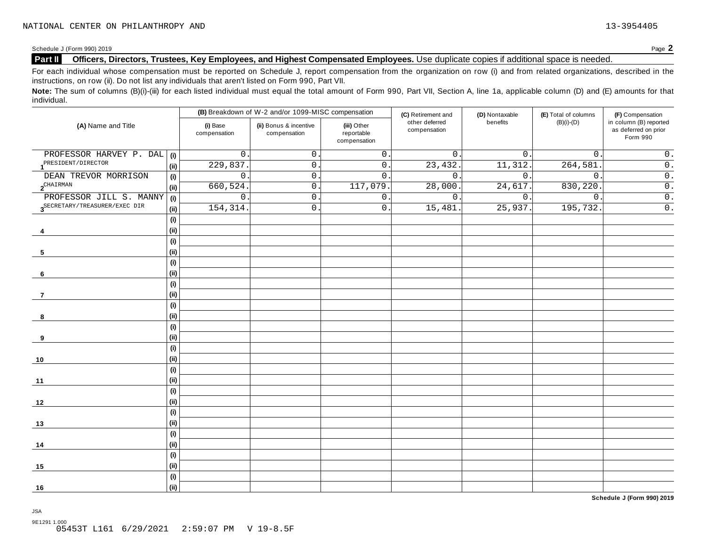### **Part II Officers, Directors, Trustees, Key Employees, and Highest Compensated Employees.** Use duplicate copies ifadditional space is needed.

For each individual whose compensation must be reported on Schedule J, report compensation from the organization on row (i) and from related organizations, described in the instructions, on row (ii). Do not list any individuals that aren't listed on Form 990, Part VII.

Note: The sum of columns (B)(i)-(iii) for each listed individual must equal the total amount of Form 990, Part VII, Section A, line 1a, applicable column (D) and (E) amounts for that individual.

|                                           |                              |                          | (B) Breakdown of W-2 and/or 1099-MISC compensation |                                           | (C) Retirement and             | (D) Nontaxable   | (E) Total of columns | (F) Compensation                                           |  |
|-------------------------------------------|------------------------------|--------------------------|----------------------------------------------------|-------------------------------------------|--------------------------------|------------------|----------------------|------------------------------------------------------------|--|
| (A) Name and Title                        |                              | (i) Base<br>compensation | (ii) Bonus & incentive<br>compensation             | (iii) Other<br>reportable<br>compensation | other deferred<br>compensation | benefits         | $(B)(i)-(D)$         | in column (B) reported<br>as deferred on prior<br>Form 990 |  |
| PROFESSOR HARVEY P. DAL                   | (i)                          | $\mathsf{O}$             | 0                                                  | $\mathsf{O}$ .                            | 0.                             | $0$ .            | $\mathbf 0$ .        | $\mathsf 0$ .                                              |  |
| PRESIDENT/DIRECTOR                        | (i)                          | 229,837                  | $\mathsf{O}$ .                                     | $\mathsf 0$ .                             | 23,432.                        | 11,312.          | 264,581              | $\overline{0}$ .                                           |  |
| DEAN TREVOR MORRISON                      | (i)                          | $\mathsf{O}\xspace$      | $\mathsf{O}$ .                                     | $\mathsf{O}$                              | $\overline{0}$ .               | $\overline{0}$ . | $\mathsf{O}$ .       | $\overline{0}$ .                                           |  |
| $2^{\text{CHAIN}}$                        | (i)                          | 660, 524                 | $0$ .                                              | 117,079                                   | 28,000                         | 24,617.          | 830,220              | $\overline{0}$ .                                           |  |
| PROFESSOR JILL S. MANNY                   | (i)                          | $\mathsf{O}$             | $\mathsf{O}$ .                                     | $\mathsf{0}$ .                            | $\overline{0}$ .               | $\overline{0}$ . | $\mathsf{O}$ .       | $\overline{0}$ .                                           |  |
| 3 <sup>SECRETARY/TREASURER/EXEC</sup> DIR | (i)                          | 154, 314.                | 0.                                                 | $\mathsf 0$ .                             | 15,481                         | 25,937.          | 195,732.             | $\overline{0}$ .                                           |  |
|                                           | (i)                          |                          |                                                    |                                           |                                |                  |                      |                                                            |  |
| 4                                         | (i)                          |                          |                                                    |                                           |                                |                  |                      |                                                            |  |
|                                           | (i)                          |                          |                                                    |                                           |                                |                  |                      |                                                            |  |
| 5                                         | (i)                          |                          |                                                    |                                           |                                |                  |                      |                                                            |  |
|                                           | (i)                          |                          |                                                    |                                           |                                |                  |                      |                                                            |  |
| 6                                         | (i)                          |                          |                                                    |                                           |                                |                  |                      |                                                            |  |
|                                           | (i)                          |                          |                                                    |                                           |                                |                  |                      |                                                            |  |
| $\overline{7}$                            | (i)                          |                          |                                                    |                                           |                                |                  |                      |                                                            |  |
|                                           | (i)                          |                          |                                                    |                                           |                                |                  |                      |                                                            |  |
| 8                                         | (i)                          |                          |                                                    |                                           |                                |                  |                      |                                                            |  |
|                                           | $\qquad \qquad \textbf{(i)}$ |                          |                                                    |                                           |                                |                  |                      |                                                            |  |
| 9                                         | (i)                          |                          |                                                    |                                           |                                |                  |                      |                                                            |  |
|                                           | (i)                          |                          |                                                    |                                           |                                |                  |                      |                                                            |  |
| 10                                        | (i)                          |                          |                                                    |                                           |                                |                  |                      |                                                            |  |
|                                           | (i)                          |                          |                                                    |                                           |                                |                  |                      |                                                            |  |
| 11                                        | (i)                          |                          |                                                    |                                           |                                |                  |                      |                                                            |  |
|                                           | (i)                          |                          |                                                    |                                           |                                |                  |                      |                                                            |  |
| 12                                        | (ii)                         |                          |                                                    |                                           |                                |                  |                      |                                                            |  |
|                                           | (i)                          |                          |                                                    |                                           |                                |                  |                      |                                                            |  |
| 13                                        | (i)                          |                          |                                                    |                                           |                                |                  |                      |                                                            |  |
|                                           | (i)                          |                          |                                                    |                                           |                                |                  |                      |                                                            |  |
| 14                                        | (i)                          |                          |                                                    |                                           |                                |                  |                      |                                                            |  |
|                                           | (i)                          |                          |                                                    |                                           |                                |                  |                      |                                                            |  |
| 15                                        | (i)                          |                          |                                                    |                                           |                                |                  |                      |                                                            |  |
|                                           | (i)                          |                          |                                                    |                                           |                                |                  |                      |                                                            |  |
| 16                                        | (ii)                         |                          |                                                    |                                           |                                |                  |                      |                                                            |  |

**Schedule J (Form 990) 2019**

9E1291 1.000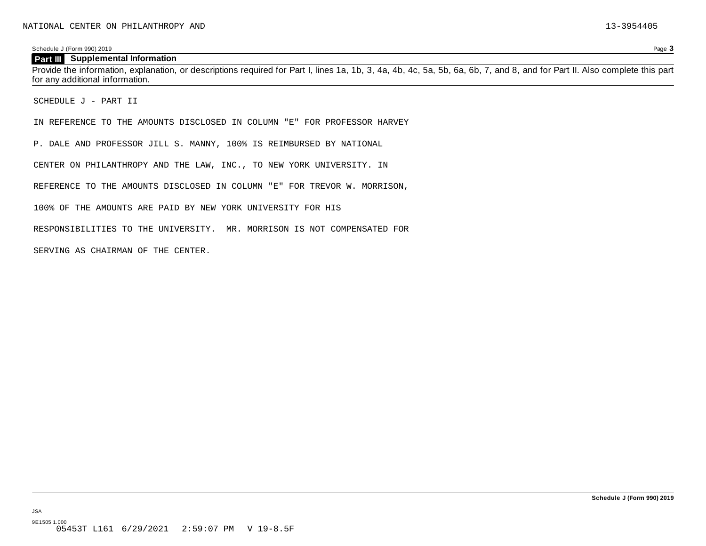#### **Part III Supplemental Information**

Provide the information, explanation, or descriptions required for Part I, lines 1a, 1b, 3, 4a, 4b, 4c, 5a, 5b, 6a, 6b, 7, and 8, and for Part II. Also complete this part for any additional information.

SCHEDULE J - PART II

IN REFERENCE TO THE AMOUNTS DISCLOSED IN COLUMN "E" FOR PROFESSOR HARVEY

P. DALE AND PROFESSOR JILL S. MANNY, 100% IS REIMBURSED BY NATIONAL

CENTER ON PHILANTHROPY AND THE LAW, INC., TO NEW YORK UNIVERSITY. IN

REFERENCE TO THE AMOUNTS DISCLOSED IN COLUMN "E" FOR TREVOR W. MORRISON,

100% OF THE AMOUNTS ARE PAID BY NEW YORK UNIVERSITY FOR HIS

RESPONSIBILITIES TO THE UNIVERSITY. MR. MORRISON IS NOT COMPENSATED FOR

SERVING AS CHAIRMAN OF THE CENTER.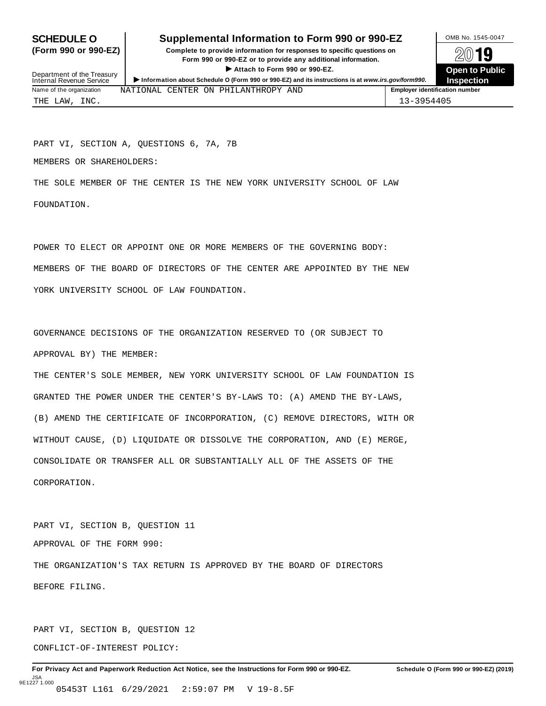## **SCHEDULE O** Supplemental Information to Form 990 or 990-EZ DAMB No. 1545-0047

(Form 990 or 990-EZ) Complete to provide information for responses to specific questions on  $\oslash\oslash\blacksquare$ Profit to provide information for responses to specific questions on<br>
Form 990 or 990-EZ or to provide any additional information.<br>
► Attach to Form 990 or 990-EZ.<br>
Open to Public



| Department of the Treasury<br>Internal Revenue Service | $\blacktriangleright$ Attach to Form 990 or 990-EZ.<br>Information about Schedule O (Form 990 or 990-EZ) and its instructions is at www.irs.gov/form990. | <b>Open to Publi</b><br><b>Inspection</b> |
|--------------------------------------------------------|----------------------------------------------------------------------------------------------------------------------------------------------------------|-------------------------------------------|
| Name of the organization                               | NATIONAL CENTER ON PHILANTHROPY AND                                                                                                                      | <b>Employer identification number</b>     |
| THE LAW, INC.                                          |                                                                                                                                                          | 13-3954405                                |

PART VI, SECTION A, QUESTIONS 6, 7A, 7B

MEMBERS OR SHAREHOLDERS:

THE SOLE MEMBER OF THE CENTER IS THE NEW YORK UNIVERSITY SCHOOL OF LAW FOUNDATION.

POWER TO ELECT OR APPOINT ONE OR MORE MEMBERS OF THE GOVERNING BODY: MEMBERS OF THE BOARD OF DIRECTORS OF THE CENTER ARE APPOINTED BY THE NEW YORK UNIVERSITY SCHOOL OF LAW FOUNDATION.

GOVERNANCE DECISIONS OF THE ORGANIZATION RESERVED TO (OR SUBJECT TO APPROVAL BY) THE MEMBER:

THE CENTER'S SOLE MEMBER, NEW YORK UNIVERSITY SCHOOL OF LAW FOUNDATION IS GRANTED THE POWER UNDER THE CENTER'S BY-LAWS TO: (A) AMEND THE BY-LAWS, (B) AMEND THE CERTIFICATE OF INCORPORATION, (C) REMOVE DIRECTORS, WITH OR WITHOUT CAUSE, (D) LIQUIDATE OR DISSOLVE THE CORPORATION, AND (E) MERGE, CONSOLIDATE OR TRANSFER ALL OR SUBSTANTIALLY ALL OF THE ASSETS OF THE CORPORATION.

PART VI, SECTION B, QUESTION 11 APPROVAL OF THE FORM 990: THE ORGANIZATION'S TAX RETURN IS APPROVED BY THE BOARD OF DIRECTORS BEFORE FILING.

PART VI, SECTION B, QUESTION 12 CONFLICT-OF-INTEREST POLICY: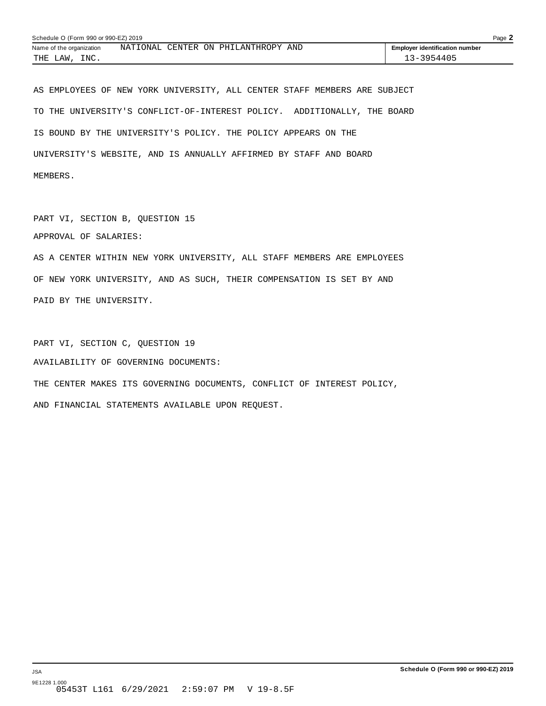| Schedule O (Form 990 or 990-EZ) 2019<br>Page $\blacktriangle$ |  |  |                                     |  |                                       |  |
|---------------------------------------------------------------|--|--|-------------------------------------|--|---------------------------------------|--|
| Name of the organization                                      |  |  | NATIONAL CENTER ON PHILANTHROPY AND |  | <b>Employer identification number</b> |  |
| INC.<br>THE LAW,                                              |  |  |                                     |  | 13-3954405                            |  |

AS EMPLOYEES OF NEW YORK UNIVERSITY, ALL CENTER STAFF MEMBERS ARE SUBJECT TO THE UNIVERSITY'S CONFLICT-OF-INTEREST POLICY. ADDITIONALLY, THE BOARD IS BOUND BY THE UNIVERSITY'S POLICY. THE POLICY APPEARS ON THE UNIVERSITY'S WEBSITE, AND IS ANNUALLY AFFIRMED BY STAFF AND BOARD MEMBERS.

PART VI, SECTION B, QUESTION 15 APPROVAL OF SALARIES:

AS A CENTER WITHIN NEW YORK UNIVERSITY, ALL STAFF MEMBERS ARE EMPLOYEES OF NEW YORK UNIVERSITY, AND AS SUCH, THEIR COMPENSATION IS SET BY AND PAID BY THE UNIVERSITY.

PART VI, SECTION C, QUESTION 19 AVAILABILITY OF GOVERNING DOCUMENTS: THE CENTER MAKES ITS GOVERNING DOCUMENTS, CONFLICT OF INTEREST POLICY,

AND FINANCIAL STATEMENTS AVAILABLE UPON REQUEST.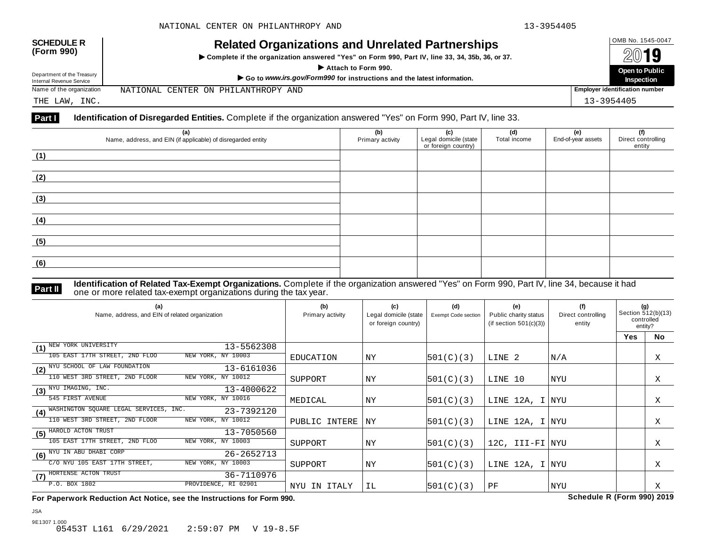| <b>SCHEDULE R</b><br>(Form 990)                        | <b>Related Organizations and Unrelated Partnerships</b><br>Complete if the organization answered "Yes" on Form 990, Part IV, line 33, 34, 35b, 36, or 37.<br>Attach to Form 990. | OMB No. 1545-0047<br>2019<br>Open to Public |
|--------------------------------------------------------|----------------------------------------------------------------------------------------------------------------------------------------------------------------------------------|---------------------------------------------|
| Department of the Treasury<br>Internal Revenue Service | Go to www.irs.gov/Form990 for instructions and the latest information.                                                                                                           | <b>Inspection</b>                           |
| Name of the organization                               | NATIONAL CENTER ON PHILANTHROPY AND                                                                                                                                              | <b>Employer identification number</b>       |

THE LAW, INC. 13-3954405

#### **Part I Identification of Disregarded Entities.** Complete if the organization answered "Yes" on Form 990, Part IV, line 33.

| (a)<br>Name, address, and EIN (if applicable) of disregarded entity | (b)<br>Primary activity | (c)<br>Legal domicile (state<br>or foreign country) | (d)<br>Total income | (e)<br>End-of-year assets | (f)<br>Direct controlling<br>entity |
|---------------------------------------------------------------------|-------------------------|-----------------------------------------------------|---------------------|---------------------------|-------------------------------------|
| (1)                                                                 |                         |                                                     |                     |                           |                                     |
| (2)                                                                 |                         |                                                     |                     |                           |                                     |
| (3)                                                                 |                         |                                                     |                     |                           |                                     |
| (4)                                                                 |                         |                                                     |                     |                           |                                     |
| (5)                                                                 |                         |                                                     |                     |                           |                                     |
| (6)                                                                 |                         |                                                     |                     |                           |                                     |

### **Identification of Related Tax-Exempt Organizations.** Complete if the organization answered "Yes" on Form 990, Part IV, line 34, because it had **Part II** one or more related tax-exempt organizations during the tax year.

| (a)<br>Name, address, and EIN of related organization       | (b)<br>Primary activity | (c)<br>Legal domicile (state<br>or foreign country) | (d)<br>Exempt Code section | (e)<br>Public charity status<br>(if section $501(c)(3)$ ) | (f)<br>Direct controlling<br>entity | (g)<br>Section 512(b)(13)<br>controlled<br>entity? |           |
|-------------------------------------------------------------|-------------------------|-----------------------------------------------------|----------------------------|-----------------------------------------------------------|-------------------------------------|----------------------------------------------------|-----------|
|                                                             |                         |                                                     |                            |                                                           |                                     | <b>Yes</b>                                         | <b>No</b> |
| (1) NEW YORK UNIVERSITY<br>13-5562308                       |                         |                                                     |                            |                                                           |                                     |                                                    |           |
| 105 EAST 17TH STREET, 2ND FLOO<br>NEW YORK, NY 10003        | EDUCATION               | NY                                                  | 501(C)(3)                  | LINE 2                                                    | N/A                                 |                                                    | Χ         |
| (2) NYU SCHOOL OF LAW FOUNDATION<br>13-6161036              |                         |                                                     |                            |                                                           |                                     |                                                    |           |
| NEW YORK, NY 10012<br>110 WEST 3RD STREET, 2ND FLOOR        | SUPPORT                 | ΝY                                                  | 501(C)(3)                  | LINE 10                                                   | NYU                                 |                                                    | Χ         |
| (3) NYU IMAGING, INC.<br>13-4000622                         |                         |                                                     |                            |                                                           |                                     |                                                    |           |
| NEW YORK, NY 10016<br>545 FIRST AVENUE                      | MEDICAL                 | NY                                                  | 501(C)(3)                  | LINE 12A, I NYU                                           |                                     |                                                    | Χ         |
| WASHINGTON SQUARE LEGAL SERVICES, INC.<br>23-7392120<br>(4) |                         |                                                     |                            |                                                           |                                     |                                                    |           |
| 110 WEST 3RD STREET, 2ND FLOOR<br>NEW YORK, NY 10012        | PUBLIC INTERE           | ΝY                                                  | 501(C)(3)                  | LINE 12A, I NYU                                           |                                     |                                                    | X         |
| HAROLD ACTON TRUST<br>13-7050560<br>(5)                     |                         |                                                     |                            |                                                           |                                     |                                                    |           |
| 105 EAST 17TH STREET, 2ND FLOO<br>NEW YORK, NY 10003        | SUPPORT                 | ΝY                                                  | 501(C)(3)                  | 12C, III-FI NYU                                           |                                     |                                                    | Χ         |
| (6) NYU IN ABU DHABI CORP<br>26-2652713                     |                         |                                                     |                            |                                                           |                                     |                                                    |           |
| C/O NYU 105 EAST 17TH STREET,<br>NEW YORK, NY 10003         | SUPPORT                 | ΝY                                                  | 501(C)(3)                  | LINE 12A, I NYU                                           |                                     |                                                    | Χ         |
| (7) HORTENSE ACTON TRUST<br>36-7110976                      |                         |                                                     |                            |                                                           |                                     |                                                    |           |
| P.O. BOX 1802<br>PROVIDENCE, RI 02901                       | NYU IN ITALY            | IL                                                  | 501(C)(3)                  | PF                                                        | <b>NYU</b>                          |                                                    | Χ         |

**For Paperwork Reduction Act Notice, see the Instructions for Form 990. Schedule R (Form 990) 2019**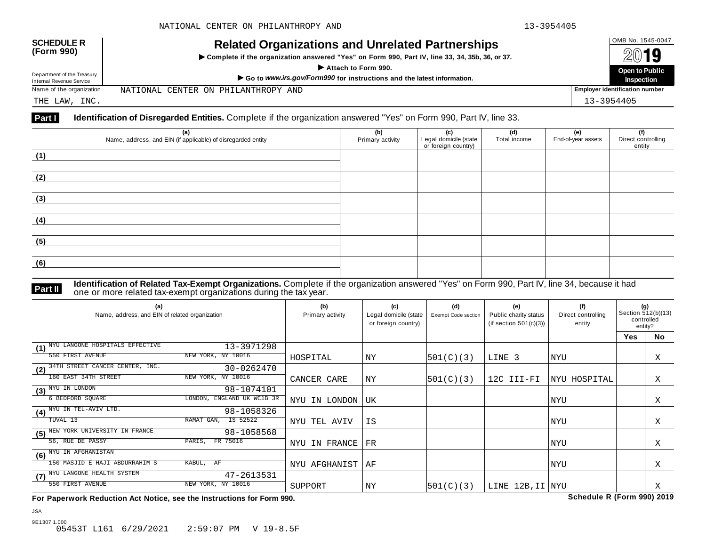| <b>SCHEDULE R</b>          | <b>Related Organizations and Unrelated Partnerships</b>                                          | OMB No. 1545-0047                     |
|----------------------------|--------------------------------------------------------------------------------------------------|---------------------------------------|
| (Form 990)                 | ► Complete if the organization answered "Yes" on Form 990, Part IV, line 33, 34, 35b, 36, or 37. | 2019                                  |
| Department of the Treasury | Attach to Form 990.                                                                              | <b>Open to Public</b>                 |
| Internal Revenue Service   | Go to www.irs.gov/Form990 for instructions and the latest information.                           | Inspection                            |
| Name of the organization   | NATIONAL CENTER ON PHILANTHROPY AND                                                              | <b>Employer identification number</b> |

THE LAW, INC. 13-3954405

#### **Part I Identification of Disregarded Entities.** Complete if the organization answered "Yes" on Form 990, Part IV, line 33.

| (a)<br>Name, address, and EIN (if applicable) of disregarded entity | (b)<br>Primary activity | (c)<br>Legal domicile (state<br>or foreign country) | (d)<br>Total income | (e)<br>End-of-year assets | (f)<br>Direct controlling<br>entity |
|---------------------------------------------------------------------|-------------------------|-----------------------------------------------------|---------------------|---------------------------|-------------------------------------|
| (1)                                                                 |                         |                                                     |                     |                           |                                     |
| (2)                                                                 |                         |                                                     |                     |                           |                                     |
| (3)                                                                 |                         |                                                     |                     |                           |                                     |
| (4)                                                                 |                         |                                                     |                     |                           |                                     |
| (5)                                                                 |                         |                                                     |                     |                           |                                     |
| (6)                                                                 |                         |                                                     |                     |                           |                                     |

**Identification of Related Tax-Exempt Organizations.** Complete if the organization answered "Yes" on Form 990, Part IV, line 34, because it had **Part II** one or more related tax-exempt organizations during the tax year.

| (a)<br>Name, address, and EIN of related organization | (b)<br>Primary activity | (c)<br>Legal domicile (state<br>or foreign country) | (d)<br><b>Exempt Code section</b> | (e)<br>Public charity status<br>(if section $501(c)(3)$ ) | (f)<br>Direct controlling<br>entity | (g)<br>Section 512(b)(13)<br>controlled<br>entity? |           |
|-------------------------------------------------------|-------------------------|-----------------------------------------------------|-----------------------------------|-----------------------------------------------------------|-------------------------------------|----------------------------------------------------|-----------|
|                                                       |                         |                                                     |                                   |                                                           |                                     | <b>Yes</b>                                         | <b>No</b> |
| NYU LANGONE HOSPITALS EFFECTIVE<br>13-3971298<br>(1)  |                         |                                                     |                                   |                                                           |                                     |                                                    |           |
| 550 FIRST AVENUE<br>NEW YORK, NY 10016                | HOSPITAL                | NY                                                  | 501(C)(3)                         | LINE 3                                                    | NYU                                 |                                                    | Χ         |
| 34TH STREET CANCER CENTER, INC.<br>30-0262470<br>(2)  |                         |                                                     |                                   |                                                           |                                     |                                                    |           |
| 160 EAST 34TH STREET<br>NEW YORK, NY 10016            | CANCER CARE             | ΝY                                                  | 501(C)(3)                         | 12C III-FI                                                | NYU HOSPITAL                        |                                                    | Χ         |
| $(3)$ $\overline{N YU}$ in LONDON<br>98-1074101       |                         |                                                     |                                   |                                                           |                                     |                                                    |           |
| 6 BEDFORD SQUARE<br>LONDON, ENGLAND UK WC1B 3R        | NYU IN LONDON           | UK                                                  |                                   |                                                           | NYU                                 |                                                    | X         |
| (4) NYU IN TEL-AVIV LTD.<br>98-1058326                |                         |                                                     |                                   |                                                           |                                     |                                                    |           |
| RAMAT GAN,<br>IS 52522<br>TUVAL 13                    | NYU TEL AVIV            | IS                                                  |                                   |                                                           | NYU                                 |                                                    | Χ         |
| NEW YORK UNIVERSITY IN FRANCE<br>98-1058568<br>(5)    |                         |                                                     |                                   |                                                           |                                     |                                                    |           |
| 56, RUE DE PASSY<br>FR 75016<br>PARIS,                | NYU IN FRANCE           | $_{\rm FR}$                                         |                                   |                                                           | NYU                                 |                                                    | X         |
| (6) NYU IN AFGHANISTAN                                |                         |                                                     |                                   |                                                           |                                     |                                                    |           |
| 150 MASJID E HAJI ABDURRAHIM S<br>KABUL, AF           | NYU AFGHANIST           | ΑF                                                  |                                   |                                                           | NYU                                 |                                                    | Χ         |
| (7) NYU LANGONE HEALTH SYSTEM<br>47-2613531           |                         |                                                     |                                   |                                                           |                                     |                                                    |           |
| 550 FIRST AVENUE<br>NEW YORK, NY 10016                | SUPPORT                 | ΝY                                                  | 501(C)(3)                         | LINE 12B, II NYU                                          |                                     |                                                    | Χ         |

**For Paperwork Reduction Act Notice, see the Instructions for Form 990. Schedule R (Form 990) 2019**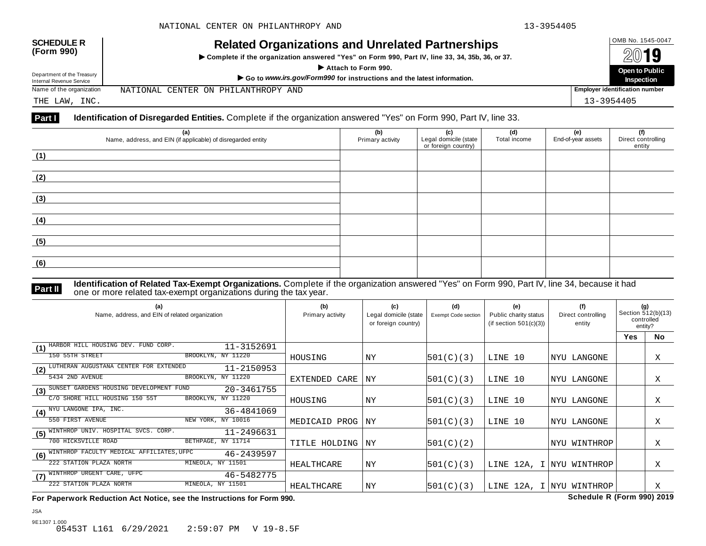| <b>SCHEDULE R</b><br>(Form 990)<br>Department of the Treasury<br>Internal Revenue Service | <b>Related Organizations and Unrelated Partnerships</b><br>▶ Complete if the organization answered "Yes" on Form 990, Part IV, line 33, 34, 35b, 36, or 37.<br>Attach to Form 990.<br>Go to www.irs.gov/Form990 for instructions and the latest information. | OMB No. 1545-0047<br>2019<br>Open to Public<br>Inspection |
|-------------------------------------------------------------------------------------------|--------------------------------------------------------------------------------------------------------------------------------------------------------------------------------------------------------------------------------------------------------------|-----------------------------------------------------------|
| Name of the organization                                                                  | NATIONAL CENTER ON PHILANTHROPY AND                                                                                                                                                                                                                          | <b>Employer identification number</b>                     |
|                                                                                           |                                                                                                                                                                                                                                                              |                                                           |

#### THE LAW, INC. 13-3954405

### **Part I** Identification of Disregarded Entities. Complete if the organization answered "Yes" on Form 990, Part IV, line 33.

| (a)<br>Name, address, and EIN (if applicable) of disregarded entity | (b)<br>Primary activity | (c)<br>Legal domicile (state<br>or foreign country) | (d)<br>Total income | (e)<br>End-of-year assets | (f)<br>Direct controlling<br>entity |
|---------------------------------------------------------------------|-------------------------|-----------------------------------------------------|---------------------|---------------------------|-------------------------------------|
| (1)                                                                 |                         |                                                     |                     |                           |                                     |
| (2)                                                                 |                         |                                                     |                     |                           |                                     |
| (3)                                                                 |                         |                                                     |                     |                           |                                     |
| (4)                                                                 |                         |                                                     |                     |                           |                                     |
| (5)                                                                 |                         |                                                     |                     |                           |                                     |
| (6)                                                                 |                         |                                                     |                     |                           |                                     |

**Identification of Related Tax-Exempt Organizations.** Complete if the organization answered "Yes" on Form 990, Part IV, line 34, because it had **Part II one or more related tax-exempt organizations during the tax year. Part II one or more related tax-exempt organizations during the tax year.** 

| (a)<br>Name, address, and EIN of related organization          | (b)<br>Primary activity | (c)<br>Legal domicile (state<br>or foreign country) | (d)<br><b>Exempt Code section</b> | (e)<br>Public charity status<br>(if section $501(c)(3)$ ) | (f)<br>Direct controlling<br>entity | (g)<br>Section 512(b)(13)<br>controlled<br>entity? |           |
|----------------------------------------------------------------|-------------------------|-----------------------------------------------------|-----------------------------------|-----------------------------------------------------------|-------------------------------------|----------------------------------------------------|-----------|
|                                                                |                         |                                                     |                                   |                                                           |                                     | Yes                                                | <b>No</b> |
| HARBOR HILL HOUSING DEV. FUND CORP.<br>11-3152691<br>(1)       |                         |                                                     |                                   |                                                           |                                     |                                                    |           |
| 150 55TH STREET<br>BROOKLYN, NY 11220                          | HOUSING                 | NY                                                  | 501(C)(3)                         | LINE 10                                                   | NYU LANGONE                         |                                                    | Χ         |
| LUTHERAN AUGUSTANA CENTER FOR EXTENDED<br>11-2150953<br>(2)    |                         |                                                     |                                   |                                                           |                                     |                                                    |           |
| BROOKLYN, NY 11220<br>5434 2ND AVENUE                          | EXTENDED CARE           | ΝY                                                  | 501(C)(3)                         | LINE 10                                                   | NYU LANGONE                         |                                                    | Χ         |
| SUNSET GARDENS HOUSING DEVELOPMENT FUND<br>20-3461755<br>(3)   |                         |                                                     |                                   |                                                           |                                     |                                                    |           |
| BROOKLYN, NY 11220<br>C/O SHORE HILL HOUSING 150 55T           | HOUSING                 | NY                                                  | 501(C)(3)                         | LINE 10                                                   | NYU LANGONE                         |                                                    | Χ         |
| (4) NYU LANGONE IPA, INC.<br>36-4841069                        |                         |                                                     |                                   |                                                           |                                     |                                                    |           |
| 550 FIRST AVENUE<br>NEW YORK, NY 10016                         | MEDICAID PROG           | ΝY                                                  | 501(C)(3)                         | LINE 10                                                   | NYU LANGONE                         |                                                    | Χ         |
| HOSPITAL SVCS. CORP.<br>WINTHROP UNIV.<br>11-2496631<br>(5)    |                         |                                                     |                                   |                                                           |                                     |                                                    |           |
| 700 HICKSVILLE ROAD<br>BETHPAGE, NY 11714                      | TITLE HOLDING           | ΝY                                                  | 501(C)(2)                         |                                                           | WINTHROP<br>  NYU                   |                                                    | Χ         |
| WINTHROP FACULTY MEDICAL AFFILIATES, UFPC<br>46-2439597<br>(6) |                         |                                                     |                                   |                                                           |                                     |                                                    |           |
| 222 STATION PLAZA NORTH<br>MINEOLA, NY 11501                   | HEALTHCARE              | ΝY                                                  | 501(C)(3)                         |                                                           | LINE 12A, I NYU WINTHROP            |                                                    | X         |
| WINTHROP URGENT CARE, UFPC<br>46-5482775<br>(7)                |                         |                                                     |                                   |                                                           |                                     |                                                    |           |
| MINEOLA, NY 11501<br>222 STATION PLAZA NORTH                   | HEALTHCARE              | ΝY                                                  | 501(C)(3)                         | LINE 12A, I NYU                                           | WINTHROP                            |                                                    | Χ         |

**For Paperwork Reduction Act Notice, see the Instructions for Form 990. Schedule R (Form 990) 2019**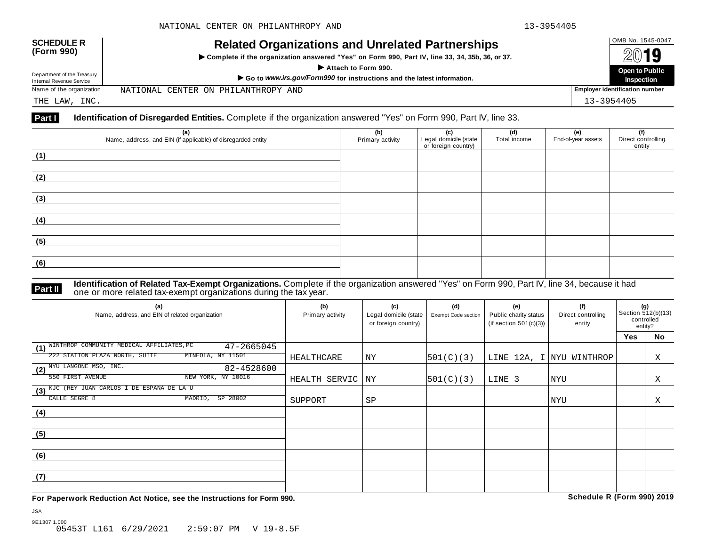| <b>SCHEDULE R</b><br>(Form 990)                        | <b>Related Organizations and Unrelated Partnerships</b><br>► Complete if the organization answered "Yes" on Form 990, Part IV, line 33, 34, 35b, 36, or 37. | OMB No. 1545-0047<br>2019             |
|--------------------------------------------------------|-------------------------------------------------------------------------------------------------------------------------------------------------------------|---------------------------------------|
|                                                        | Attach to Form 990.                                                                                                                                         | <b>Open to Public</b>                 |
| Department of the Treasury<br>Internal Revenue Service | Go to www.irs.gov/Form990 for instructions and the latest information.                                                                                      | Inspection                            |
| Name of the organization                               | NATIONAL CENTER ON PHILANTHROPY AND                                                                                                                         | <b>Employer identification number</b> |

THE LAW, INC. 13-3954405

#### **Part I Identification of Disregarded Entities.** Complete if the organization answered "Yes" on Form 990, Part IV, line 33.

| (a)                                                          | (b)              | (c)                                          | (d)          | (e)                | (f)                          |
|--------------------------------------------------------------|------------------|----------------------------------------------|--------------|--------------------|------------------------------|
| Name, address, and EIN (if applicable) of disregarded entity | Primary activity | Legal domicile (state<br>or foreign country) | Total income | End-of-year assets | Direct controlling<br>entity |
| (1)                                                          |                  |                                              |              |                    |                              |
| (2)                                                          |                  |                                              |              |                    |                              |
|                                                              |                  |                                              |              |                    |                              |
| (3)                                                          |                  |                                              |              |                    |                              |
| (4)                                                          |                  |                                              |              |                    |                              |
| (5)                                                          |                  |                                              |              |                    |                              |
| (6)                                                          |                  |                                              |              |                    |                              |
|                                                              |                  |                                              |              |                    |                              |

#### **Identification of Related Tax-Exempt Organizations.** Complete if the organization answered "Yes" on Form 990, Part IV, line 34, because it had **Part II** one or more related tax-exempt organizations during the tax year.

| (a)<br>Name, address, and EIN of related organization       | (b)<br>Primary activity | (c)<br>Legal domicile (state<br>or foreign country) | (d)<br>Exempt Code section | (e)<br>Public charity status<br>(if section $501(c)(3)$ ) | (f)<br>Direct controlling<br>entity | (g)<br>Section 512(b)(13)<br>controlled<br>entity? |    |
|-------------------------------------------------------------|-------------------------|-----------------------------------------------------|----------------------------|-----------------------------------------------------------|-------------------------------------|----------------------------------------------------|----|
|                                                             |                         |                                                     |                            |                                                           |                                     | <b>Yes</b>                                         | No |
| (1) WINTHROP COMMUNITY MEDICAL AFFILIATES, PC<br>47-2665045 |                         |                                                     |                            |                                                           |                                     |                                                    |    |
| MINEOLA, NY 11501<br>222 STATION PLAZA NORTH, SUITE         | HEALTHCARE              | ΝY                                                  | 501(C)(3)                  |                                                           | LINE 12A, I NYU WINTHROP            |                                                    | Χ  |
| (2) NYU LANGONE MSO, INC.<br>82-4528600                     |                         |                                                     |                            |                                                           |                                     |                                                    |    |
| NEW YORK, NY 10016<br>550 FIRST AVENUE                      | HEALTH SERVIC           | NY                                                  | 501(C)(3)                  | LINE 3                                                    | NYU                                 |                                                    | X  |
| (3) KJC (REY JUAN CARLOS I DE ESPANA DE LA U                |                         |                                                     |                            |                                                           |                                     |                                                    |    |
| CALLE SEGRE 8<br>SP 28002<br>MADRID,                        | SUPPORT                 | SP                                                  |                            |                                                           | NYU                                 |                                                    | Χ  |
| (4)                                                         |                         |                                                     |                            |                                                           |                                     |                                                    |    |
|                                                             |                         |                                                     |                            |                                                           |                                     |                                                    |    |
| (5)                                                         |                         |                                                     |                            |                                                           |                                     |                                                    |    |
|                                                             |                         |                                                     |                            |                                                           |                                     |                                                    |    |
| (6)                                                         |                         |                                                     |                            |                                                           |                                     |                                                    |    |
|                                                             |                         |                                                     |                            |                                                           |                                     |                                                    |    |
| (7)                                                         |                         |                                                     |                            |                                                           |                                     |                                                    |    |
|                                                             |                         |                                                     |                            |                                                           |                                     |                                                    |    |

**For Paperwork Reduction Act Notice, see the Instructions for Form 990. Schedule R (Form 990) 2019**

JSA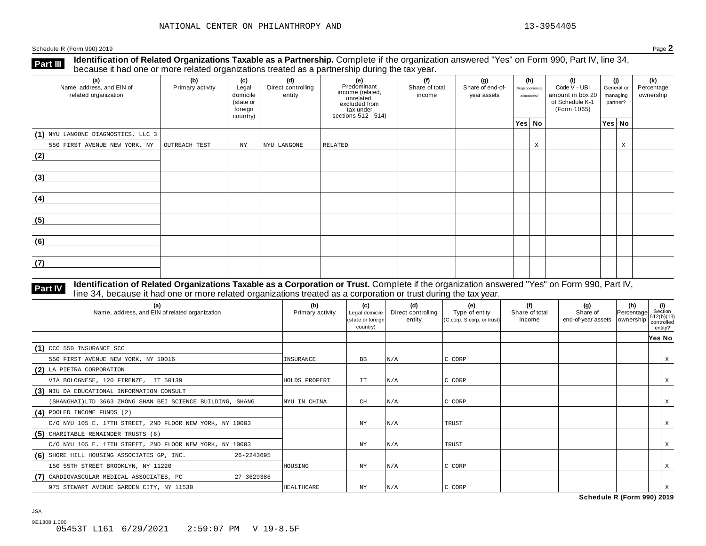**Identification of Related Organizations Taxable as a Partnership.** Complete if the organization answered "Yes" on Form 990, Part IV, line 34, **because it had one or more related organizations Taxable as a Partnership.** Complete if the organization of Related organizations treated as a partnership during the tax year.

| (a)<br>Name, address, and EIN of<br>related organization | ັ<br>(b)<br>Primary activity | (c)<br>Legal<br>domicile<br>(state or<br>foreign<br>country) | (d)<br>Direct controlling<br>entity | ັ<br>(e)<br>Predominant<br>income (related,<br>unrelated,<br>excluded from<br>tax under<br>sections 512 - 514) | (f)<br>(g)<br>Share of total<br>Share of end-of-<br>income<br>year assets |  | (h)<br>Disproportionate<br>allocations? |   | (i)<br>Code V - UBI<br>amount in box 20<br>of Schedule K-1<br>(Form 1065) | (i)<br>General or<br>managing<br>partner? |        | (k)<br>Percentage<br>ownership |
|----------------------------------------------------------|------------------------------|--------------------------------------------------------------|-------------------------------------|----------------------------------------------------------------------------------------------------------------|---------------------------------------------------------------------------|--|-----------------------------------------|---|---------------------------------------------------------------------------|-------------------------------------------|--------|--------------------------------|
|                                                          |                              |                                                              |                                     |                                                                                                                |                                                                           |  | Yes No                                  |   |                                                                           |                                           | Yes No |                                |
| (1) NYU LANGONE DIAGNOSTICS, LLC 3                       |                              |                                                              |                                     |                                                                                                                |                                                                           |  |                                         |   |                                                                           |                                           |        |                                |
| 550 FIRST AVENUE NEW YORK, NY                            | OUTREACH TEST                | NY                                                           | NYU LANGONE                         | RELATED                                                                                                        |                                                                           |  |                                         | X |                                                                           |                                           | X      |                                |
| (2)                                                      |                              |                                                              |                                     |                                                                                                                |                                                                           |  |                                         |   |                                                                           |                                           |        |                                |
| (3)                                                      |                              |                                                              |                                     |                                                                                                                |                                                                           |  |                                         |   |                                                                           |                                           |        |                                |
| (4)                                                      |                              |                                                              |                                     |                                                                                                                |                                                                           |  |                                         |   |                                                                           |                                           |        |                                |
| (5)                                                      |                              |                                                              |                                     |                                                                                                                |                                                                           |  |                                         |   |                                                                           |                                           |        |                                |
| (6)                                                      |                              |                                                              |                                     |                                                                                                                |                                                                           |  |                                         |   |                                                                           |                                           |        |                                |
| (7)                                                      |                              |                                                              |                                     |                                                                                                                |                                                                           |  |                                         |   |                                                                           |                                           |        |                                |

# **Part IV** Identification of Related Organizations Taxable as a Corporation or Trust. Complete if the organization answered "Yes" on Form 990, Part IV,<br>line 34, because it had one or more related organizations treated as a

| (a)<br>Name, address, and EIN of related organization     | (b)<br>Primary activity | (c)<br>Legal domicile<br>(state or foreign<br>country) | (d)<br>Direct controlling<br>entity | (e)<br>Type of entity<br>(C corp, S corp, or trust) | (f)<br>Share of total<br>income | (g)<br>Share of<br>end-of-year assets   ownership | (h)<br>Percentage | (i)<br>Section<br>512(b)(13)<br>controlled<br>entity? |   |
|-----------------------------------------------------------|-------------------------|--------------------------------------------------------|-------------------------------------|-----------------------------------------------------|---------------------------------|---------------------------------------------------|-------------------|-------------------------------------------------------|---|
|                                                           |                         |                                                        |                                     |                                                     |                                 |                                                   |                   | Yes∣ No                                               |   |
| $(1)$ CCC 550 INSURANCE SCC                               |                         |                                                        |                                     |                                                     |                                 |                                                   |                   |                                                       |   |
| 550 FIRST AVENUE NEW YORK, NY 10016                       | INSURANCE               | BB                                                     | N/A                                 | C CORP                                              |                                 |                                                   |                   |                                                       | X |
| (2) LA PIETRA CORPORATION                                 |                         |                                                        |                                     |                                                     |                                 |                                                   |                   |                                                       |   |
| VIA BOLOGNESE, 120 FIRENZE, IT 50139                      | HOLDS PROPERT           | IT                                                     | N/A                                 | C CORP                                              |                                 |                                                   |                   |                                                       | X |
| (3) NIU DA EDUCATIONAL INFORMATION CONSULT                |                         |                                                        |                                     |                                                     |                                 |                                                   |                   |                                                       |   |
| (SHANGHAI)LTD 3663 ZHONG SHAN BEI SCIENCE BUILDING, SHANG | NYU IN CHINA            | CH                                                     | $\lfloor N/A \rfloor$               | C CORP                                              |                                 |                                                   |                   |                                                       |   |
| (4) POOLED INCOME FUNDS (2)                               |                         |                                                        |                                     |                                                     |                                 |                                                   |                   |                                                       |   |
| C/O NYU 105 E. 17TH STREET, 2ND FLOOR NEW YORK, NY 10003  |                         | ΝY                                                     | N/A                                 | <b>TRUST</b>                                        |                                 |                                                   |                   |                                                       | X |
| (5) CHARITABLE REMAINDER TRUSTS (6)                       |                         |                                                        |                                     |                                                     |                                 |                                                   |                   |                                                       |   |
| C/O NYU 105 E. 17TH STREET, 2ND FLOOR NEW YORK, NY 10003  |                         | ΝY                                                     | N/A                                 | <b>TRUST</b>                                        |                                 |                                                   |                   |                                                       |   |
| (6) SHORE HILL HOUSING ASSOCIATES GP, INC.<br>26-2243695  |                         |                                                        |                                     |                                                     |                                 |                                                   |                   |                                                       |   |
| 150 55TH STREET BROOKLYN, NY 11220                        | HOUSING                 | ΝY                                                     | N/A                                 | C CORP                                              |                                 |                                                   |                   |                                                       | Х |
| (7) CARDIOVASCULAR MEDICAL ASSOCIATES, PC<br>27-3629386   |                         |                                                        |                                     |                                                     |                                 |                                                   |                   |                                                       |   |
| 975 STEWART AVENUE GARDEN CITY, NY 11530                  | <b>HEALTHCARE</b>       | NY.                                                    | N/A                                 | C CORP                                              |                                 |                                                   |                   |                                                       |   |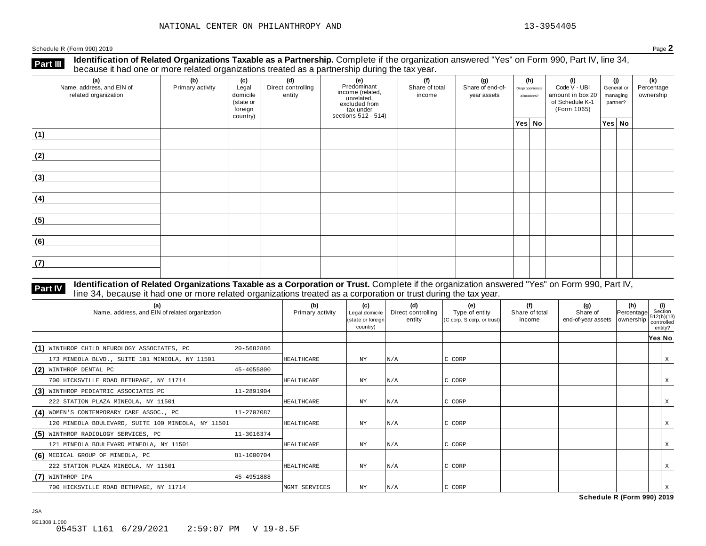**Identification of Related Organizations Taxable as a Partnership.** Complete if the organization answered "Yes" on Form 990, Part IV, line 34, **because it had one or more related organizations Taxable as a Partnership.** Complete if the organization of Related organizations treated as a partnership during the tax year.

| (a)<br>Name, address, and EIN of<br>related organization | (b)<br>Primary activity | (c)<br>Legal<br>domicile<br>(state or<br>foreign<br>country) | (d)<br>Direct controlling<br>entity | (e)<br>Predominant<br>income (related,<br>unrelated,<br>excluded from<br>$\frac{3}{10}$ tax under<br>sections 512 - 514) | (f)<br>Share of total<br>income | (g)<br>Share of end-of-<br>year assets | (h)<br>Disproportionate<br>allocations? | (i)<br>Code V - UBI<br>amount in box 20<br>of Schedule K-1<br>(Form 1065) | (j)<br>General or<br>managing<br>partner? | (k)<br>Percentage<br>ownership |
|----------------------------------------------------------|-------------------------|--------------------------------------------------------------|-------------------------------------|--------------------------------------------------------------------------------------------------------------------------|---------------------------------|----------------------------------------|-----------------------------------------|---------------------------------------------------------------------------|-------------------------------------------|--------------------------------|
|                                                          |                         |                                                              |                                     |                                                                                                                          |                                 |                                        | Yes No                                  |                                                                           | Yes No                                    |                                |
| (1)                                                      |                         |                                                              |                                     |                                                                                                                          |                                 |                                        |                                         |                                                                           |                                           |                                |
| (2)                                                      |                         |                                                              |                                     |                                                                                                                          |                                 |                                        |                                         |                                                                           |                                           |                                |
| (3)                                                      |                         |                                                              |                                     |                                                                                                                          |                                 |                                        |                                         |                                                                           |                                           |                                |
| (4)                                                      |                         |                                                              |                                     |                                                                                                                          |                                 |                                        |                                         |                                                                           |                                           |                                |
| (5)                                                      |                         |                                                              |                                     |                                                                                                                          |                                 |                                        |                                         |                                                                           |                                           |                                |
| (6)                                                      |                         |                                                              |                                     |                                                                                                                          |                                 |                                        |                                         |                                                                           |                                           |                                |
| (7)                                                      |                         |                                                              |                                     |                                                                                                                          |                                 |                                        |                                         |                                                                           |                                           |                                |

# **Part IV** Identification of Related Organizations Taxable as a Corporation or Trust. Complete if the organization answered "Yes" on Form 990, Part IV,<br>line 34, because it had one or more related organizations treated as a

| (a)<br>Name, address, and EIN of related organization |            | (b)<br>Primary activity | (c)<br>Legal domicile<br>(state or foreign<br>country) | (d)<br>Direct controlling<br>entity | (e)<br>Type of entity<br>(C corp, S corp, or trust) | (f)<br>Share of total<br>income | (g)<br>Share of<br>end-of-year assets   ownership | (h)<br>Percentage | (i)<br>Section<br>1512(b)(13)<br>controlled<br>entity? |   |
|-------------------------------------------------------|------------|-------------------------|--------------------------------------------------------|-------------------------------------|-----------------------------------------------------|---------------------------------|---------------------------------------------------|-------------------|--------------------------------------------------------|---|
|                                                       |            |                         |                                                        |                                     |                                                     |                                 |                                                   |                   | Yes No                                                 |   |
| (1) WINTHROP CHILD NEUROLOGY ASSOCIATES, PC           | 20-5682886 |                         |                                                        |                                     |                                                     |                                 |                                                   |                   |                                                        |   |
| 173 MINEOLA BLVD., SUITE 101 MINEOLA, NY 11501        |            | HEALTHCARE              | $_{\rm NY}$                                            | N/A                                 | C CORP                                              |                                 |                                                   |                   |                                                        | X |
| (2) WINTHROP DENTAL PC                                | 45-4055800 |                         |                                                        |                                     |                                                     |                                 |                                                   |                   |                                                        |   |
| 700 HICKSVILLE ROAD BETHPAGE, NY 11714                |            | HEALTHCARE              | ΝY                                                     | N/A                                 | C CORP                                              |                                 |                                                   |                   |                                                        | X |
| (3) WINTHROP PEDIATRIC ASSOCIATES PC                  | 11-2891904 |                         |                                                        |                                     |                                                     |                                 |                                                   |                   |                                                        |   |
| 222 STATION PLAZA MINEOLA, NY 11501                   |            | HEALTHCARE              | NY                                                     | N/A                                 | C CORP                                              |                                 |                                                   |                   |                                                        |   |
| (4) WOMEN'S CONTEMPORARY CARE ASSOC., PC              | 11-2707087 |                         |                                                        |                                     |                                                     |                                 |                                                   |                   |                                                        |   |
| 120 MINEOLA BOULEVARD, SUITE 100 MINEOLA, NY 11501    |            | <b>HEALTHCARE</b>       | ΝY                                                     | N/A                                 | C CORP                                              |                                 |                                                   |                   |                                                        | X |
| (5) WINTHROP RADIOLOGY SERVICES, PC                   | 11-3016374 |                         |                                                        |                                     |                                                     |                                 |                                                   |                   |                                                        |   |
| 121 MINEOLA BOULEVARD MINEOLA, NY 11501               |            | <b>HEALTHCARE</b>       | ΝY                                                     | N/A                                 | C CORP                                              |                                 |                                                   |                   |                                                        | Χ |
| (6) MEDICAL GROUP OF MINEOLA, PC                      | 81-1000704 |                         |                                                        |                                     |                                                     |                                 |                                                   |                   |                                                        |   |
| 222 STATION PLAZA MINEOLA, NY 11501                   |            | <b>HEALTHCARE</b>       | ΝY                                                     | N/A                                 | C CORP                                              |                                 |                                                   |                   |                                                        | X |
| (7) WINTHROP IPA                                      | 45-4951888 |                         |                                                        |                                     |                                                     |                                 |                                                   |                   |                                                        |   |
| 700 HICKSVILLE ROAD BETHPAGE, NY 11714                |            | MGMT SERVICES           | NY                                                     | N/A                                 | IC CORP                                             |                                 |                                                   |                   |                                                        |   |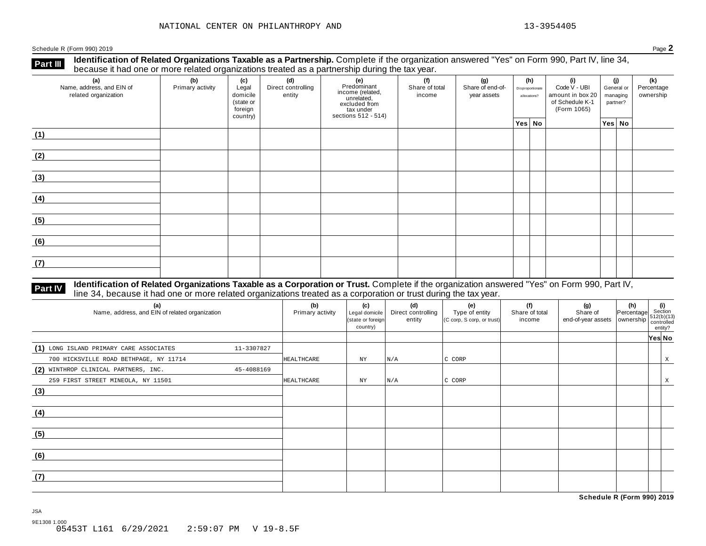**Part III** Identification of Related Organizations Taxable as a Partnership. Complete if the organization answered "Yes" on Form 990, Part IV, line 34,<br>because it had one or more related organizations treated as a partners

| (a)<br>Name, address, and EIN of<br>related organization | (b)<br>Primary activity | (c)<br>Legal<br>domicile<br>(state or<br>foreign<br>country) | (d)<br>Direct controlling<br>entity | (e)<br>Predominant<br>income (related,<br>unrelated,<br>excluded from<br>tax under<br>sections 512 - 514) | (f)<br>Share of total<br>income | (g)<br>Share of end-of-<br>year assets | (h)<br>Disproportionate<br>allocations? |  | (i)<br>Code V - UBI<br>amount in box 20<br>of Schedule K-1<br>(Form 1065) | (j)<br>General or<br>managing<br>partner? |        | (k)<br>Percentage<br>ownership |
|----------------------------------------------------------|-------------------------|--------------------------------------------------------------|-------------------------------------|-----------------------------------------------------------------------------------------------------------|---------------------------------|----------------------------------------|-----------------------------------------|--|---------------------------------------------------------------------------|-------------------------------------------|--------|--------------------------------|
|                                                          |                         |                                                              |                                     |                                                                                                           |                                 |                                        | Yes No                                  |  |                                                                           |                                           | Yes No |                                |
| (1)                                                      |                         |                                                              |                                     |                                                                                                           |                                 |                                        |                                         |  |                                                                           |                                           |        |                                |
| (2)                                                      |                         |                                                              |                                     |                                                                                                           |                                 |                                        |                                         |  |                                                                           |                                           |        |                                |
| (3)                                                      |                         |                                                              |                                     |                                                                                                           |                                 |                                        |                                         |  |                                                                           |                                           |        |                                |
| (4)                                                      |                         |                                                              |                                     |                                                                                                           |                                 |                                        |                                         |  |                                                                           |                                           |        |                                |
| (5)                                                      |                         |                                                              |                                     |                                                                                                           |                                 |                                        |                                         |  |                                                                           |                                           |        |                                |
| (6)                                                      |                         |                                                              |                                     |                                                                                                           |                                 |                                        |                                         |  |                                                                           |                                           |        |                                |
| (7)                                                      |                         |                                                              |                                     |                                                                                                           |                                 |                                        |                                         |  |                                                                           |                                           |        |                                |

# **Part IV** Identification of Related Organizations Taxable as a Corporation or Trust. Complete if the organization answered "Yes" on Form 990, Part IV,<br>line 34, because it had one or more related organizations treated as a

| (a)<br>Name, address, and EIN of related organization |            | (b)<br>Primary activity | (c)<br>Legal domicile<br>(state or foreign<br>country) | (d)<br>Direct controlling<br>entity | (e)<br>Type of entity<br>(C corp, S corp, or trust) | (f)<br>Share of total<br>income | $\begin{array}{ccc} \textbf{(g)} & \textbf{(h)} & \textbf{(i)} \\\text{Share of} & \text{Percentage} & \text{Section} \\\text{end-of-year assets} & \text{ownership} & \begin{array}{l} \textbf{(i)} \\\text{St2(b)(13)} \\\text{countrolled} \end{array} \end{array}$ | entity? |  |
|-------------------------------------------------------|------------|-------------------------|--------------------------------------------------------|-------------------------------------|-----------------------------------------------------|---------------------------------|------------------------------------------------------------------------------------------------------------------------------------------------------------------------------------------------------------------------------------------------------------------------|---------|--|
|                                                       |            |                         |                                                        |                                     |                                                     |                                 |                                                                                                                                                                                                                                                                        | Yes No  |  |
| (1) LONG ISLAND PRIMARY CARE ASSOCIATES               | 11-3307827 |                         |                                                        |                                     |                                                     |                                 |                                                                                                                                                                                                                                                                        |         |  |
| 700 HICKSVILLE ROAD BETHPAGE, NY 11714                |            | HEALTHCARE              | NY                                                     | N/A                                 | C CORP                                              |                                 |                                                                                                                                                                                                                                                                        | X       |  |
| (2) WINTHROP CLINICAL PARTNERS, INC.                  | 45-4088169 |                         |                                                        |                                     |                                                     |                                 |                                                                                                                                                                                                                                                                        |         |  |
| 259 FIRST STREET MINEOLA, NY 11501                    |            | HEALTHCARE              | NY                                                     | N/A                                 | C CORP                                              |                                 |                                                                                                                                                                                                                                                                        | X       |  |
| (3)                                                   |            |                         |                                                        |                                     |                                                     |                                 |                                                                                                                                                                                                                                                                        |         |  |
| (4)                                                   |            |                         |                                                        |                                     |                                                     |                                 |                                                                                                                                                                                                                                                                        |         |  |
| (5)                                                   |            |                         |                                                        |                                     |                                                     |                                 |                                                                                                                                                                                                                                                                        |         |  |
| (6)                                                   |            |                         |                                                        |                                     |                                                     |                                 |                                                                                                                                                                                                                                                                        |         |  |
| (7)                                                   |            |                         |                                                        |                                     |                                                     |                                 |                                                                                                                                                                                                                                                                        |         |  |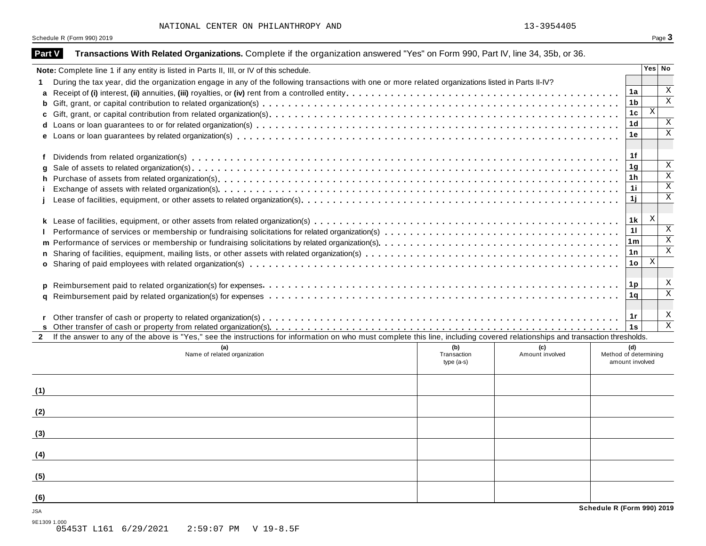| <b>Part V</b> | Transactions With Related Organizations. Complete if the organization answered "Yes" on Form 990, Part IV, line 34, 35b, or 36.                                              |                            |                 |                                          |                |                           |
|---------------|------------------------------------------------------------------------------------------------------------------------------------------------------------------------------|----------------------------|-----------------|------------------------------------------|----------------|---------------------------|
|               | Note: Complete line 1 if any entity is listed in Parts II, III, or IV of this schedule.                                                                                      |                            |                 |                                          |                | Yes No                    |
|               | During the tax year, did the organization engage in any of the following transactions with one or more related organizations listed in Parts II-IV?                          |                            |                 |                                          |                |                           |
| a             |                                                                                                                                                                              |                            |                 |                                          | 1a             | $\mathbf x$               |
| b             |                                                                                                                                                                              |                            |                 |                                          | 1 <sub>b</sub> | $\overline{\mathbf{x}}$   |
|               |                                                                                                                                                                              |                            |                 |                                          | 1c             | $\mathbf{X}$              |
| d             |                                                                                                                                                                              |                            |                 |                                          | 1 <sub>d</sub> | $\mathbf X$               |
|               |                                                                                                                                                                              |                            |                 |                                          | 1е             | $\overline{\mathbf{x}}$   |
|               |                                                                                                                                                                              |                            |                 |                                          |                |                           |
| f             |                                                                                                                                                                              |                            |                 |                                          | 1f             |                           |
|               |                                                                                                                                                                              |                            |                 |                                          | 1 <sub>g</sub> | $\mathbf x$               |
| h.            |                                                                                                                                                                              |                            |                 |                                          | 1 <sub>h</sub> | $\overline{\mathbf{x}}$   |
|               |                                                                                                                                                                              |                            |                 |                                          | 11             | $\overline{\mathbf{x}}$   |
|               |                                                                                                                                                                              |                            |                 |                                          | 1j             | $\mathbf X$               |
|               |                                                                                                                                                                              |                            |                 |                                          |                |                           |
|               |                                                                                                                                                                              |                            |                 |                                          | 1 <sub>k</sub> | X                         |
|               |                                                                                                                                                                              |                            |                 |                                          | 11             | X                         |
| m             |                                                                                                                                                                              |                            |                 |                                          | 1m             | $\overline{\mathbf{x}}$   |
|               |                                                                                                                                                                              |                            |                 |                                          | 1n             | $\overline{\mathbf{x}}$   |
|               |                                                                                                                                                                              |                            |                 |                                          | 1o             | X                         |
|               |                                                                                                                                                                              |                            |                 |                                          |                |                           |
|               |                                                                                                                                                                              |                            |                 |                                          | 1p             | X                         |
|               |                                                                                                                                                                              |                            |                 |                                          | 1q             | $\overline{\mathbf{x}}$   |
|               |                                                                                                                                                                              |                            |                 |                                          |                |                           |
|               |                                                                                                                                                                              |                            |                 |                                          | 1r             | $\boldsymbol{\mathrm{X}}$ |
|               |                                                                                                                                                                              |                            |                 |                                          | 1s             | $\overline{\mathbf{x}}$   |
| $\mathbf{2}$  | If the answer to any of the above is "Yes," see the instructions for information on who must complete this line, including covered relationships and transaction thresholds. |                            |                 |                                          |                |                           |
|               |                                                                                                                                                                              | (b)                        | (c)             |                                          | (d)            |                           |
|               | Name of related organization                                                                                                                                                 | Transaction<br>$type(a-s)$ | Amount involved | Method of determining<br>amount involved |                |                           |
|               |                                                                                                                                                                              |                            |                 |                                          |                |                           |
|               |                                                                                                                                                                              |                            |                 |                                          |                |                           |
| (1)           |                                                                                                                                                                              |                            |                 |                                          |                |                           |
|               |                                                                                                                                                                              |                            |                 |                                          |                |                           |
| (2)           |                                                                                                                                                                              |                            |                 |                                          |                |                           |
|               |                                                                                                                                                                              |                            |                 |                                          |                |                           |
| (3)           |                                                                                                                                                                              |                            |                 |                                          |                |                           |
|               |                                                                                                                                                                              |                            |                 |                                          |                |                           |
| (4)           |                                                                                                                                                                              |                            |                 |                                          |                |                           |
|               |                                                                                                                                                                              |                            |                 |                                          |                |                           |
| (5)           |                                                                                                                                                                              |                            |                 |                                          |                |                           |
|               |                                                                                                                                                                              |                            |                 |                                          |                |                           |
| (6)           |                                                                                                                                                                              |                            |                 |                                          |                |                           |
| JSA           |                                                                                                                                                                              |                            |                 | Schedule R (Form 990) 2019               |                |                           |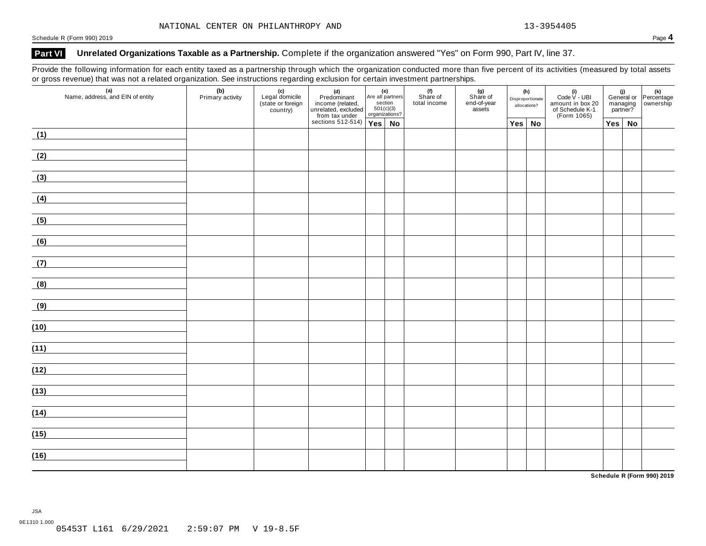### **Part VI Unrelated Organizations Taxable as a Partnership.** Complete if the organization answered "Yes" on Form 990, Part IV, line 37.

Provide the following information for each entity taxed as a partnership through which the organization conducted more than five percent of its activities (measured by total assets or gross revenue) that was not a related organization. See instructions regarding exclusion for certain investment partnerships.

| (a)<br>Name, address, and EIN of entity             | $\tilde{}$<br>(b)<br>Primary activity | (c)<br>Legal domicile<br>(state or foreign<br>country) | ັ<br>(d)<br>Predominant<br>income (related,<br>unrelated, excluded<br>from tax under | (e)<br>Are all partners<br>section<br>501(c)(3) |  | (f)<br>Share of<br>total income | . .<br>(g)<br>Share of<br>end-of-year<br>assets | (h)<br>Disproportionate<br>allocations? |               | (i)<br>Code $V - UBI$<br>amount in box 20<br>of Schedule K-1<br>(Form 1065) |  |               | (i)<br>General or Percentage<br>managing ownership<br>partner? |
|-----------------------------------------------------|---------------------------------------|--------------------------------------------------------|--------------------------------------------------------------------------------------|-------------------------------------------------|--|---------------------------------|-------------------------------------------------|-----------------------------------------|---------------|-----------------------------------------------------------------------------|--|---------------|----------------------------------------------------------------|
|                                                     |                                       |                                                        | sections 512-514) $Yes \mid No$                                                      |                                                 |  |                                 |                                                 |                                         | $Yes \mid No$ |                                                                             |  | $Yes \mid No$ |                                                                |
| (1)                                                 |                                       |                                                        |                                                                                      |                                                 |  |                                 |                                                 |                                         |               |                                                                             |  |               |                                                                |
| (2)                                                 |                                       |                                                        |                                                                                      |                                                 |  |                                 |                                                 |                                         |               |                                                                             |  |               |                                                                |
| (3)                                                 |                                       |                                                        |                                                                                      |                                                 |  |                                 |                                                 |                                         |               |                                                                             |  |               |                                                                |
| (4)                                                 |                                       |                                                        |                                                                                      |                                                 |  |                                 |                                                 |                                         |               |                                                                             |  |               |                                                                |
| (5)                                                 |                                       |                                                        |                                                                                      |                                                 |  |                                 |                                                 |                                         |               |                                                                             |  |               |                                                                |
| (6)                                                 |                                       |                                                        |                                                                                      |                                                 |  |                                 |                                                 |                                         |               |                                                                             |  |               |                                                                |
| (7)<br><u> 1989 - Jan Barnett, fransk politik (</u> |                                       |                                                        |                                                                                      |                                                 |  |                                 |                                                 |                                         |               |                                                                             |  |               |                                                                |
| (8)                                                 |                                       |                                                        |                                                                                      |                                                 |  |                                 |                                                 |                                         |               |                                                                             |  |               |                                                                |
| (9)                                                 |                                       |                                                        |                                                                                      |                                                 |  |                                 |                                                 |                                         |               |                                                                             |  |               |                                                                |
| (10)                                                |                                       |                                                        |                                                                                      |                                                 |  |                                 |                                                 |                                         |               |                                                                             |  |               |                                                                |
| (11)                                                |                                       |                                                        |                                                                                      |                                                 |  |                                 |                                                 |                                         |               |                                                                             |  |               |                                                                |
| (12)                                                |                                       |                                                        |                                                                                      |                                                 |  |                                 |                                                 |                                         |               |                                                                             |  |               |                                                                |
| (13)                                                |                                       |                                                        |                                                                                      |                                                 |  |                                 |                                                 |                                         |               |                                                                             |  |               |                                                                |
| (14)                                                |                                       |                                                        |                                                                                      |                                                 |  |                                 |                                                 |                                         |               |                                                                             |  |               |                                                                |
| (15)                                                |                                       |                                                        |                                                                                      |                                                 |  |                                 |                                                 |                                         |               |                                                                             |  |               |                                                                |
| (16)                                                |                                       |                                                        |                                                                                      |                                                 |  |                                 |                                                 |                                         |               |                                                                             |  |               |                                                                |